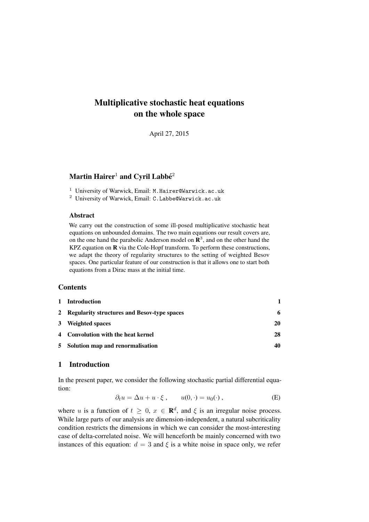# Multiplicative stochastic heat equations on the whole space

April 27, 2015

# Martin Hairer $^1$  and Cyril Labbé $^2$

- <sup>1</sup> University of Warwick, Email: M.Hairer@Warwick.ac.uk
- <sup>2</sup> University of Warwick, Email: C.Labbe@Warwick.ac.uk

### Abstract

We carry out the construction of some ill-posed multiplicative stochastic heat equations on unbounded domains. The two main equations our result covers are, on the one hand the parabolic Anderson model on  $\mathbb{R}^3$ , and on the other hand the KPZ equation on R via the Cole-Hopf transform. To perform these constructions, we adapt the theory of regularity structures to the setting of weighted Besov spaces. One particular feature of our construction is that it allows one to start both equations from a Dirac mass at the initial time.

### **Contents**

| 1 Introduction                                |    |
|-----------------------------------------------|----|
| 2 Regularity structures and Besov-type spaces | 6  |
| 3 Weighted spaces                             | 20 |
| 4 Convolution with the heat kernel            | 28 |
| 5 Solution map and renormalisation            | 40 |

# <span id="page-0-0"></span>1 Introduction

In the present paper, we consider the following stochastic partial differential equation:

$$
\partial_t u = \Delta u + u \cdot \xi , \qquad u(0, \cdot) = u_0(\cdot) , \tag{E}
$$

where u is a function of  $t \geq 0$ ,  $x \in \mathbb{R}^d$ , and  $\xi$  is an irregular noise process. While large parts of our analysis are dimension-independent, a natural subcriticality condition restricts the dimensions in which we can consider the most-interesting case of delta-correlated noise. We will henceforth be mainly concerned with two instances of this equation:  $d = 3$  and  $\xi$  is a white noise in space only, we refer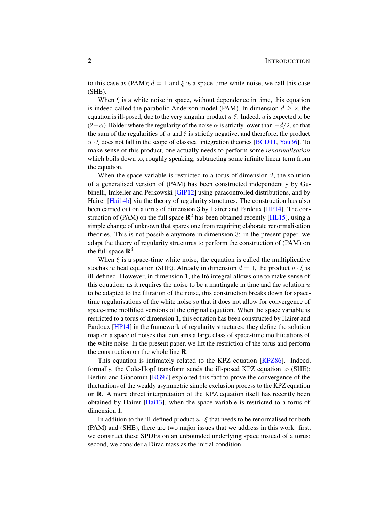to this case as (PAM);  $d = 1$  and  $\xi$  is a space-time white noise, we call this case (SHE).

When  $\xi$  is a white noise in space, without dependence in time, this equation is indeed called the parabolic Anderson model (PAM). In dimension  $d \geq 2$ , the equation is ill-posed, due to the very singular product  $u \cdot \xi$ . Indeed, u is expected to be  $(2+\alpha)$ -Hölder where the regularity of the noise  $\alpha$  is strictly lower than  $-d/2$ , so that the sum of the regularities of u and  $\xi$  is strictly negative, and therefore, the product  $u \cdot \xi$  does not fall in the scope of classical integration theories [\[BCD11,](#page-48-0) [You36\]](#page-49-0). To make sense of this product, one actually needs to perform some *renormalisation* which boils down to, roughly speaking, subtracting some infinite linear term from the equation.

When the space variable is restricted to a torus of dimension 2, the solution of a generalised version of (PAM) has been constructed independently by Gubinelli, Imkeller and Perkowski [\[GIP12\]](#page-49-1) using paracontrolled distributions, and by Hairer [\[Hai14b\]](#page-49-2) via the theory of regularity structures. The construction has also been carried out on a torus of dimension 3 by Hairer and Pardoux [\[HP14\]](#page-49-3). The construction of (PAM) on the full space  $\mathbb{R}^2$  has been obtained recently [\[HL15\]](#page-49-4), using a simple change of unknown that spares one from requiring elaborate renormalisation theories. This is not possible anymore in dimension 3: in the present paper, we adapt the theory of regularity structures to perform the construction of (PAM) on the full space  $\mathbb{R}^3$ .

When  $\xi$  is a space-time white noise, the equation is called the multiplicative stochastic heat equation (SHE). Already in dimension  $d = 1$ , the product  $u \cdot \xi$  is ill-defined. However, in dimension 1, the Itô integral allows one to make sense of this equation: as it requires the noise to be a martingale in time and the solution  $u$ to be adapted to the filtration of the noise, this construction breaks down for spacetime regularisations of the white noise so that it does not allow for convergence of space-time mollified versions of the original equation. When the space variable is restricted to a torus of dimension 1, this equation has been constructed by Hairer and Pardoux [\[HP14\]](#page-49-3) in the framework of regularity structures: they define the solution map on a space of noises that contains a large class of space-time mollifications of the white noise. In the present paper, we lift the restriction of the torus and perform the construction on the whole line R.

This equation is intimately related to the KPZ equation [\[KPZ86\]](#page-49-5). Indeed, formally, the Cole-Hopf transform sends the ill-posed KPZ equation to (SHE); Bertini and Giacomin [\[BG97\]](#page-48-1) exploited this fact to prove the convergence of the fluctuations of the weakly asymmetric simple exclusion process to the KPZ equation on R. A more direct interpretation of the KPZ equation itself has recently been obtained by Hairer [\[Hai13\]](#page-49-6), when the space variable is restricted to a torus of dimension 1.

In addition to the ill-defined product  $u \cdot \xi$  that needs to be renormalised for both (PAM) and (SHE), there are two major issues that we address in this work: first, we construct these SPDEs on an unbounded underlying space instead of a torus; second, we consider a Dirac mass as the initial condition.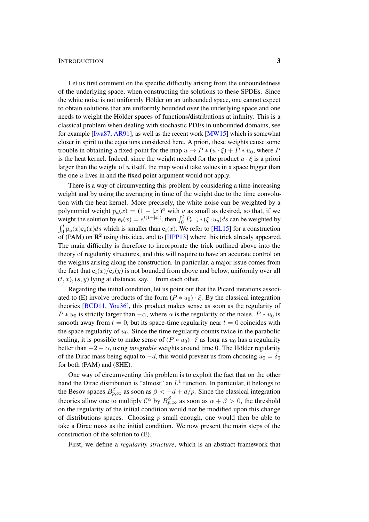### INTRODUCTION 3

Let us first comment on the specific difficulty arising from the unboundedness of the underlying space, when constructing the solutions to these SPDEs. Since the white noise is not uniformly Hölder on an unbounded space, one cannot expect to obtain solutions that are uniformly bounded over the underlying space and one needs to weight the Hölder spaces of functions/distributions at infinity. This is a classical problem when dealing with stochastic PDEs in unbounded domains, see for example [\[Iwa87,](#page-49-7) [AR91\]](#page-48-2), as well as the recent work [\[MW15\]](#page-49-8) which is somewhat closer in spirit to the equations considered here. A priori, these weights cause some trouble in obtaining a fixed point for the map  $u \mapsto P * (u \cdot \xi) + P * u_0$ , where P is the heat kernel. Indeed, since the weight needed for the product  $u \cdot \xi$  is a priori larger than the weight of  $u$  itself, the map would take values in a space bigger than the one  $u$  lives in and the fixed point argument would not apply.

There is a way of circumventing this problem by considering a time-increasing weight and by using the averaging in time of the weight due to the time convolution with the heat kernel. More precisely, the white noise can be weighted by a polynomial weight  $p_a(x) = (1 + |x|)^a$  with a as small as desired, so that, if we weight the solution by  $e_t(x) = e^{t(1+|x|)}$ , then  $\int_0^t P_{t-s} * (\xi \cdot u_s) ds$  can be weighted by  $\int_0^t p_a(x) e_s(x) ds$  which is smaller than  $e_t(x)$ . We refer to [\[HL15\]](#page-49-4) for a construction of (PAM) on  $\mathbb{R}^2$  using this idea, and to [\[HPP13\]](#page-49-9) where this trick already appeared. The main difficulty is therefore to incorporate the trick outlined above into the theory of regularity structures, and this will require to have an accurate control on the weights arising along the construction. In particular, a major issue comes from the fact that  $e_t(x)/e_s(y)$  is not bounded from above and below, uniformly over all  $(t, x)$ ,  $(s, y)$  lying at distance, say, 1 from each other.

Regarding the initial condition, let us point out that the Picard iterations associ-ated to [\(E\)](#page-0-0) involve products of the form  $(P * u_0) \cdot \xi$ . By the classical integration theories [\[BCD11,](#page-48-0) [You36\]](#page-49-0), this product makes sense as soon as the regularity of  $P * u_0$  is strictly larger than  $-\alpha$ , where  $\alpha$  is the regularity of the noise.  $P * u_0$  is smooth away from  $t = 0$ , but its space-time regularity near  $t = 0$  coincides with the space regularity of  $u_0$ . Since the time regularity counts twice in the parabolic scaling, it is possible to make sense of  $(P * u_0) \cdot \xi$  as long as  $u_0$  has a regularity better than  $-2 - \alpha$ , using *integrable* weights around time 0. The Hölder regularity of the Dirac mass being equal to  $-d$ , this would prevent us from choosing  $u_0 = \delta_0$ for both (PAM) and (SHE).

One way of circumventing this problem is to exploit the fact that on the other hand the Dirac distribution is "almost" an  $L^1$  function. In particular, it belongs to the Besov spaces  $B_{p,\infty}^{\beta}$  as soon as  $\beta < -d + d/p$ . Since the classical integration theories allow one to multiply  $C^{\alpha}$  by  $B^{\beta}_{p,\infty}$  as soon as  $\alpha + \beta > 0$ , the threshold on the regularity of the initial condition would not be modified upon this change of distributions spaces. Choosing  $p$  small enough, one would then be able to take a Dirac mass as the initial condition. We now present the main steps of the construction of the solution to [\(E\)](#page-0-0).

First, we define a *regularity structure*, which is an abstract framework that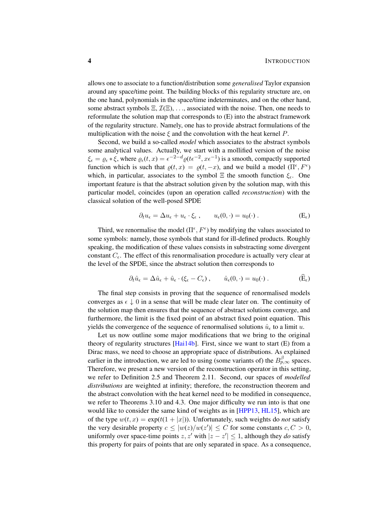allows one to associate to a function/distribution some *generalised* Taylor expansion around any space/time point. The building blocks of this regularity structure are, on the one hand, polynomials in the space/time indeterminates, and on the other hand, some abstract symbols  $\Xi$ ,  $\mathcal{I}(\Xi)$ , ..., associated with the noise. Then, one needs to reformulate the solution map that corresponds to [\(E\)](#page-0-0) into the abstract framework of the regularity structure. Namely, one has to provide abstract formulations of the multiplication with the noise  $\xi$  and the convolution with the heat kernel P.

Second, we build a so-called *model* which associates to the abstract symbols some analytical values. Actually, we start with a mollified version of the noise  $\xi_{\epsilon} = \varrho_{\epsilon} * \xi$ , where  $\varrho_{\epsilon}(t, x) = \epsilon^{-2-d} \varrho(t \epsilon^{-2}, x \epsilon^{-1})$  is a smooth, compactly supported function which is such that  $\rho(t, x) = \rho(t, -x)$ , and we build a model  $(\Pi^{\epsilon}, F^{\epsilon})$ which, in particular, associates to the symbol  $\Xi$  the smooth function  $\xi_{\epsilon}$ . One important feature is that the abstract solution given by the solution map, with this particular model, coincides (upon an operation called *reconstruction*) with the classical solution of the well-posed SPDE

$$
\partial_t u_{\epsilon} = \Delta u_{\epsilon} + u_{\epsilon} \cdot \xi_{\epsilon} , \qquad u_{\epsilon}(0, \cdot) = u_0(\cdot) . \tag{E_{\epsilon}}
$$

Third, we renormalise the model  $(\Pi^{\epsilon}, F^{\epsilon})$  by modifying the values associated to some symbols: namely, those symbols that stand for ill-defined products. Roughly speaking, the modification of these values consists in substracting some divergent constant  $C_{\epsilon}$ . The effect of this renormalisation procedure is actually very clear at the level of the SPDE, since the abstract solution then corresponds to

$$
\partial_t \hat{u}_\epsilon = \Delta \hat{u}_\epsilon + \hat{u}_\epsilon \cdot (\xi_\epsilon - C_\epsilon) , \qquad \hat{u}_\epsilon(0, \cdot) = u_0(\cdot) . \tag{E_\epsilon}
$$

The final step consists in proving that the sequence of renormalised models converges as  $\epsilon \downarrow 0$  in a sense that will be made clear later on. The continuity of the solution map then ensures that the sequence of abstract solutions converge, and furthermore, the limit is the fixed point of an abstract fixed point equation. This yields the convergence of the sequence of renormalised solutions  $\hat{u}_{\epsilon}$  to a limit u.

Let us now outline some major modifications that we bring to the original theory of regularity structures  $[Hai14b]$ . First, since we want to start  $(E)$  from a Dirac mass, we need to choose an appropriate space of distributions. As explained earlier in the introduction, we are led to using (some variants of) the  $B_{p,\infty}^{\beta}$  spaces. Therefore, we present a new version of the reconstruction operator in this setting, we refer to Definition [2.5](#page-10-0) and Theorem [2.11.](#page-14-0) Second, our spaces of *modelled distributions* are weighted at infinity; therefore, the reconstruction theorem and the abstract convolution with the heat kernel need to be modified in consequence, we refer to Theorems [3.10](#page-30-0) and [4.3.](#page-33-0) One major difficulty we run into is that one would like to consider the same kind of weights as in [\[HPP13,](#page-49-9) [HL15\]](#page-49-4), which are of the type  $w(t, x) = \exp(t(1+|x|))$ . Unfortunately, such weights do *not* satisfy the very desirable property  $c \le |w(z)/w(z')| \le C$  for some constants  $c, C > 0$ , uniformly over space-time points  $z, z'$  with  $|z - z'| \leq 1$ , although they *do* satisfy this property for pairs of points that are only separated in space. As a consequence,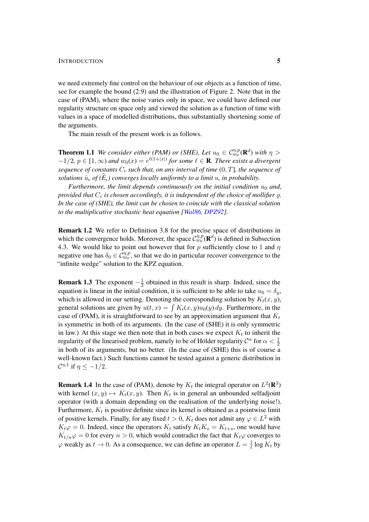we need extremely fine control on the behaviour of our objects as a function of time, see for example the bound [\(2.9\)](#page-14-1) and the illustration of Figure [2.](#page-15-0) Note that in the case of (PAM), where the noise varies only in space, we could have defined our regularity structure on space only and viewed the solution as a function of time with values in a space of modelled distributions, thus substantially shortening some of the arguments.

The main result of the present work is as follows.

<span id="page-4-0"></span>**Theorem 1.1** We consider either (PAM) or (SHE). Let  $u_0 \in C_{w_0}^{\eta,p}(\mathbf{R}^d)$  with  $\eta >$  $-1/2$ ,  $p \in [1,\infty)$  and  $w_0(x) = e^{\ell(1+|x|)}$  for some  $\ell \in \mathbf{R}$ . There exists a divergent *sequence of constants*  $C_{\epsilon}$  *such that, on any interval of time*  $(0, T]$ *, the sequence of solutions*  $\hat{u}_{\epsilon}$  *of*  $(\hat{E}_{\epsilon})$  converges locally uniformly to a limit u, in probability.

*Furthermore, the limit depends continuously on the initial condition*  $u_0$  *and, provided that*  $C_{\varepsilon}$  *is chosen accordingly, it is independent of the choice of mollifier*  $\rho$ *. In the case of (SHE), the limit can be chosen to coincide with the classical solution to the multiplicative stochastic heat equation [\[Wal86,](#page-49-10) [DPZ92\]](#page-48-3).*

Remark 1.2 We refer to Definition [3.8](#page-26-0) for the precise space of distributions in which the convergence holds. Moreover, the space  $\mathcal{C}_{w_0}^{\eta,p}(\mathbf{R}^d)$  is defined in Subsection [4.3.](#page-44-1) We would like to point out however that for p sufficiently close to 1 and  $\eta$ negative one has  $\delta_0 \in \tilde{\mathcal{C}}_{w_0}^{\eta,p}$ , so that we do in particular recover convergence to the "infinite wedge" solution to the KPZ equation.

**Remark 1.3** The exponent  $-\frac{1}{2}$  $\frac{1}{2}$  obtained in this result is sharp. Indeed, since the equation is linear in the initial condition, it is sufficient to be able to take  $u_0 = \delta_y$ , which is allowed in our setting. Denoting the corresponding solution by  $K_t(x, y)$ , general solutions are given by  $u(t, x) = \int K_t(x, y)u_0(y) dy$ . Furthermore, in the case of (PAM), it is straightforward to see by an approximation argument that  $K_t$ is symmetric in both of its arguments. (In the case of (SHE) it is only symmetric in law.) At this stage we then note that in both cases we expect  $K_t$  to inherit the regularity of the linearised problem, namely to be of Hölder regularity  $\mathcal{C}^{\alpha}$  for  $\alpha < \frac{1}{2}$ in both of its arguments, but no better. (In the case of (SHE) this is of course a well-known fact.) Such functions cannot be tested against a generic distribution in  $\mathcal{C}^{\eta,1}$  if  $\eta \leq -1/2$ .

**Remark 1.4** In the case of (PAM), denote by  $K_t$  the integral operator on  $L^2(\mathbf{R}^3)$ with kernel  $(x, y) \mapsto K_t(x, y)$ . Then  $K_t$  is in general an unbounded selfadjoint operator (with a domain depending on the realisation of the underlying noise!). Furthermore,  $K_t$  is positive definite since its kernel is obtained as a pointwise limit of positive kernels. Finally, for any fixed  $t > 0$ ,  $K_t$  does not admit any  $\varphi \in L^2$  with  $K_t\varphi = 0$ . Indeed, since the operators  $K_t$  satisfy  $K_tK_s = K_{t+s}$ , one would have  $K_{t/n}\varphi = 0$  for every  $n > 0$ , which would contradict the fact that  $K_t\varphi$  converges to  $\varphi$  weakly as  $t \to 0$ . As a consequence, we can define an operator  $L = \frac{1}{t}$  $\frac{1}{t} \log K_t$  by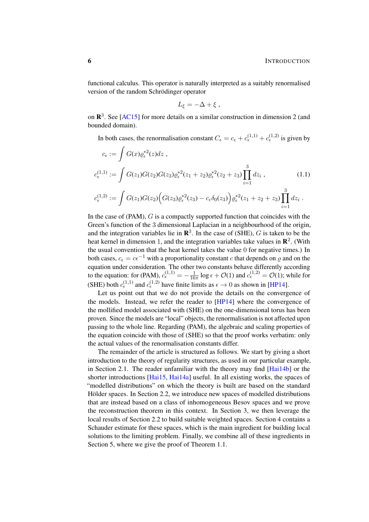functional calculus. This operator is naturally interpreted as a suitably renormalised version of the random Schrödinger operator

<span id="page-5-0"></span>
$$
L_{\xi}=-\Delta+\xi,
$$

on  $\mathbb{R}^3$ . See [\[AC15\]](#page-48-4) for more details on a similar construction in dimension 2 (and bounded domain).

In both cases, the renormalisation constant  $C_{\epsilon} = c_{\epsilon} + c_{\epsilon}^{(1,1)} + c_{\epsilon}^{(1,2)}$  is given by

$$
c_{\epsilon} := \int G(x)\varrho_{\epsilon}^{*2}(z)dz ,
$$
  
\n
$$
c_{\epsilon}^{(1,1)} := \int G(z_{1})G(z_{2})G(z_{3})\varrho_{\epsilon}^{*2}(z_{1} + z_{2})\varrho_{\epsilon}^{*2}(z_{2} + z_{3})\prod_{i=1}^{3} dz_{i} ,
$$
\n
$$
c_{\epsilon}^{(1,2)} := \int G(z_{1})G(z_{2})\Big(G(z_{3})\varrho_{\epsilon}^{*2}(z_{3}) - c_{\epsilon}\delta_{0}(z_{3})\Big)\varrho_{\epsilon}^{*2}(z_{1} + z_{2} + z_{3})\prod_{i=1}^{3} dz_{i} .
$$
\n(1.1)

In the case of  $(PAM)$ ,  $G$  is a compactly supported function that coincides with the Green's function of the 3 dimensional Laplacian in a neighbourhood of the origin, and the integration variables lie in  $\mathbb{R}^3$ . In the case of (SHE), G is taken to be the heat kernel in dimension 1, and the integration variables take values in  $\mathbb{R}^2$ . (With the usual convention that the heat kernel takes the value 0 for negative times.) In both cases,  $c_{\epsilon} = c\epsilon^{-1}$  with a proportionality constant c that depends on  $\varrho$  and on the equation under consideration. The other two constants behave differently according to the equation: for (PAM),  $c_{\epsilon}^{(1,1)} = -\frac{1}{16}$  $\frac{1}{16\pi}$  log  $\epsilon$  +  $\mathcal{O}(1)$  and  $c_{\epsilon}^{(1,2)} = \mathcal{O}(1)$ ; while for (SHE) both  $c_{\epsilon}^{(1,1)}$  and  $c_{\epsilon}^{(1,2)}$  have finite limits as  $\epsilon \to 0$  as shown in [\[HP14\]](#page-49-3).

Let us point out that we do not provide the details on the convergence of the models. Instead, we refer the reader to [\[HP14\]](#page-49-3) where the convergence of the mollified model associated with (SHE) on the one-dimensional torus has been proven. Since the models are "local" objects, the renormalisation is not affected upon passing to the whole line. Regarding (PAM), the algebraic and scaling properties of the equation coincide with those of (SHE) so that the proof works verbatim: only the actual values of the renormalisation constants differ.

The remainder of the article is structured as follows. We start by giving a short introduction to the theory of regularity structures, as used in our particular example, in Section [2.1.](#page-6-1) The reader unfamiliar with the theory may find [\[Hai14b\]](#page-49-2) or the shorter introductions [\[Hai15,](#page-49-11) [Hai14a\]](#page-49-12) useful. In all existing works, the spaces of "modelled distributions" on which the theory is built are based on the standard Hölder spaces. In Section [2.2,](#page-10-1) we introduce new spaces of modelled distributions that are instead based on a class of inhomogeneous Besov spaces and we prove the reconstruction theorem in this context. In Section [3,](#page-22-0) we then leverage the local results of Section [2.2](#page-10-1) to build suitable weighted spaces. Section [4](#page-31-0) contains a Schauder estimate for these spaces, which is the main ingredient for building local solutions to the limiting problem. Finally, we combine all of these ingredients in Section [5,](#page-44-0) where we give the proof of Theorem [1.1.](#page-4-0)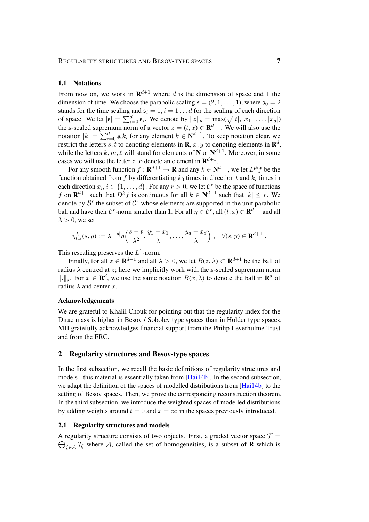#### <span id="page-6-2"></span>1.1 Notations

From now on, we work in  $\mathbb{R}^{d+1}$  where d is the dimension of space and 1 the dimension of time. We choose the parabolic scaling  $\mathfrak{s} = (2, 1, \ldots, 1)$ , where  $\mathfrak{s}_0 = 2$ stands for the time scaling and  $\mathfrak{s}_i = 1, i = 1 \dots d$  for the scaling of each direction of space. We let  $|\mathfrak{s}| = \sum_{i=0}^d \mathfrak{s}_i$ . We denote by  $||z||_{\mathfrak{s}} = \max(\sqrt{|t|}, |x_1|, \dots, |x_d|)$ the s-scaled supremum norm of a vector  $z = (t, x) \in \mathbf{R}^{d+1}$ . We will also use the notation  $|k| = \sum_{i=0}^{d} s_i k_i$  for any element  $k \in \mathbb{N}^{d+1}$ . To keep notation clear, we restrict the letters s, t to denoting elements in  $\mathbf{R}$ ,  $x, y$  to denoting elements in  $\mathbf{R}^{d}$ , while the letters  $k, m, \ell$  will stand for elements of N or  $N^{d+1}$ . Moreover, in some cases we will use the letter z to denote an element in  $\mathbf{R}^{d+1}$ .

For any smooth function  $f : \mathbf{R}^{d+1} \to \mathbf{R}$  and any  $k \in \mathbf{N}^{d+1}$ , we let  $D^k f$  be the function obtained from f by differentiating  $k_0$  times in direction t and  $k_i$  times in each direction  $x_i, i \in \{1, ..., d\}$ . For any  $r > 0$ , we let  $\mathcal{C}^r$  be the space of functions f on  $\mathbf{R}^{d+1}$  such that  $D^k f$  is continuous for all  $k \in \mathbf{N}^{d+1}$  such that  $|k| \leq r$ . We denote by  $\mathcal{B}^r$  the subset of  $\mathcal{C}^r$  whose elements are supported in the unit parabolic ball and have their  $\mathcal{C}^r$ -norm smaller than 1. For all  $\eta \in \mathcal{C}^r$ , all  $(t, x) \in \mathbf{R}^{d+1}$  and all  $\lambda > 0$ , we set

$$
\eta_{t,x}^{\lambda}(s,y) := \lambda^{-|s|} \eta\left(\frac{s-t}{\lambda^2}, \frac{y_1 - x_1}{\lambda}, \dots, \frac{y_d - x_d}{\lambda}\right), \quad \forall (s,y) \in \mathbf{R}^{d+1}.
$$

This rescaling preserves the  $L^1$ -norm.

Finally, for all  $z \in \mathbf{R}^{d+1}$  and all  $\lambda > 0$ , we let  $B(z, \lambda) \subset \mathbf{R}^{d+1}$  be the ball of radius  $\lambda$  centred at z; here we implicitly work with the s-scaled supremum norm  $\|\cdot\|_{\mathfrak{s}}$ . For  $x \in \mathbb{R}^d$ , we use the same notation  $B(x, \lambda)$  to denote the ball in  $\mathbb{R}^d$  of radius  $\lambda$  and center x.

### Acknowledgements

We are grateful to Khalil Chouk for pointing out that the regularity index for the Dirac mass is higher in Besov / Sobolev type spaces than in Hölder type spaces. MH gratefully acknowledges financial support from the Philip Leverhulme Trust and from the ERC.

### <span id="page-6-0"></span>2 Regularity structures and Besov-type spaces

In the first subsection, we recall the basic definitions of regularity structures and models - this material is essentially taken from  $[Hai14b]$ . In the second subsection, we adapt the definition of the spaces of modelled distributions from [\[Hai14b\]](#page-49-2) to the setting of Besov spaces. Then, we prove the corresponding reconstruction theorem. In the third subsection, we introduce the weighted spaces of modelled distributions by adding weights around  $t = 0$  and  $x = \infty$  in the spaces previously introduced.

#### <span id="page-6-1"></span>2.1 Regularity structures and models

A regularity structure consists of two objects. First, a graded vector space  $\mathcal{T} =$  $\bigoplus_{\zeta \in A} \mathcal{T}_{\zeta}$  where A, called the set of homogeneities, is a subset of **R** which is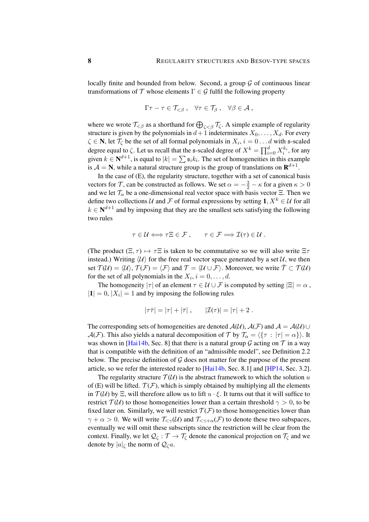locally finite and bounded from below. Second, a group  $\mathcal G$  of continuous linear transformations of  $\mathcal T$  whose elements  $\Gamma \in \mathcal G$  fulfil the following property

$$
\Gamma \tau - \tau \in \mathcal{T}_{<\beta} , \quad \forall \tau \in \mathcal{T}_{\beta} , \quad \forall \beta \in \mathcal{A} ,
$$

where we wrote  $\mathcal{T}_{\leq \beta}$  as a shorthand for  $\bigoplus_{\zeta \leq \beta} \mathcal{T}_{\zeta}$ . A simple example of regularity structure is given by the polynomials in  $d+1$  indeterminates  $X_0, \ldots, X_d$ . For every  $\zeta \in \mathbb{N}$ , let  $\mathcal{T}_{\zeta}$  be the set of all formal polynomials in  $X_i$ ,  $i = 0 \dots d$  with s-scaled degree equal to  $\zeta$ . Let us recall that the s-scaled degree of  $X^k = \prod_{i=0}^d X_i^{k_i}$ , for any given  $k \in \mathbb{N}^{d+1}$ , is equal to  $|k| = \sum_i \mathfrak{s}_i k_i$ . The set of homogeneities in this example is  $A = N$ , while a natural structure group is the group of translations on  $\mathbf{R}^{d+1}$ .

In the case of [\(E\)](#page-0-0), the regularity structure, together with a set of canonical basis vectors for T, can be constructed as follows. We set  $\alpha = -\frac{3}{2} - \kappa$  for a given  $\kappa > 0$ and we let  $\mathcal{T}_{\alpha}$  be a one-dimensional real vector space with basis vector Ξ. Then we define two collections U and F of formal expressions by setting 1,  $X^k \in U$  for all  $k \in \mathbb{N}^{d+1}$  and by imposing that they are the smallest sets satisfying the following two rules

$$
\tau \in \mathcal{U} \Longleftrightarrow \tau \Xi \in \mathcal{F} , \qquad \tau \in \mathcal{F} \Longrightarrow \mathcal{I}(\tau) \in \mathcal{U} .
$$

(The product  $(\Xi, \tau) \mapsto \tau \Xi$  is taken to be commutative so we will also write  $\Xi \tau$ instead.) Writing  $\langle U \rangle$  for the free real vector space generated by a set U, we then set  $\mathcal{T}(\mathcal{U}) = \langle \mathcal{U} \rangle$ ,  $\mathcal{T}(\mathcal{F}) = \langle \mathcal{F} \rangle$  and  $\mathcal{T} = \langle \mathcal{U} \cup \mathcal{F} \rangle$ . Moreover, we write  $\bar{\mathcal{T}} \subset \mathcal{T}(\mathcal{U})$ for the set of all polynomials in the  $X_i$ ,  $i = 0, \ldots, d$ .

The homogeneity  $|\tau|$  of an element  $\tau \in \mathcal{U} \cup \mathcal{F}$  is computed by setting  $|\Xi| = \alpha$ ,  $|1| = 0$ ,  $|X_i| = 1$  and by imposing the following rules

$$
|\tau\bar{\tau}| = |\tau| + |\bar{\tau}| \,, \qquad |\mathcal{I}(\tau)| = |\tau| + 2 \;.
$$

The corresponding sets of homogeneities are denoted  $\mathcal{A}(\mathcal{U})$ ,  $\mathcal{A}(\mathcal{F})$  and  $\mathcal{A} = \mathcal{A}(\mathcal{U}) \cup$  $\mathcal{A}(\mathcal{F})$ . This also yields a natural decomposition of T by  $\mathcal{T}_{\alpha} = \langle {\tau : |\tau| = \alpha} \rangle$ . It was shown in [\[Hai14b,](#page-49-2) Sec. 8] that there is a natural group  $G$  acting on  $T$  in a way that is compatible with the definition of an "admissible model", see Definition [2.2](#page-8-0) below. The precise definition of  $\mathcal G$  does not matter for the purpose of the present article, so we refer the interested reader to [\[Hai14b,](#page-49-2) Sec. 8.1] and [\[HP14,](#page-49-3) Sec. 3.2].

The regularity structure  $T(U)$  is the abstract framework to which the solution u of [\(E\)](#page-0-0) will be lifted.  $\mathcal{T}(\mathcal{F})$ , which is simply obtained by multiplying all the elements in  $\mathcal{T}(\mathcal{U})$  by  $\Xi$ , will therefore allow us to lift  $u \cdot \xi$ . It turns out that it will suffice to restrict  $\mathcal{T}(\mathcal{U})$  to those homogeneities lower than a certain threshold  $\gamma > 0$ , to be fixed later on. Similarly, we will restrict  $\mathcal{T}(\mathcal{F})$  to those homogeneities lower than  $\gamma + \alpha > 0$ . We will write  $\mathcal{T}_{\leq \gamma}(\mathcal{U})$  and  $\mathcal{T}_{\leq \gamma + \alpha}(\mathcal{F})$  to denote these two subspaces, eventually we will omit these subscripts since the restriction will be clear from the context. Finally, we let  $\mathcal{Q}_{\zeta} : \mathcal{T} \to \mathcal{T}_{\zeta}$  denote the canonical projection on  $\mathcal{T}_{\zeta}$  and we denote by  $|a|_\zeta$  the norm of  $\mathcal{Q}_\zeta a$ .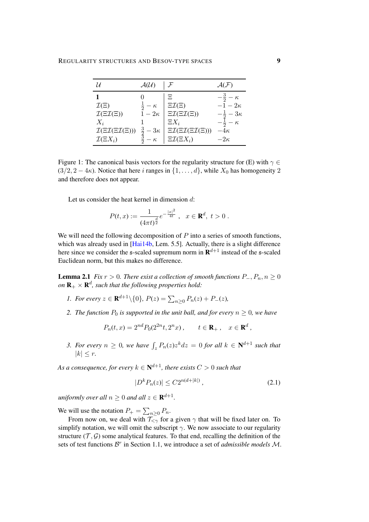|                                                    | $\mathcal{A}(\mathcal{U})$                       |                                                       |                        |
|----------------------------------------------------|--------------------------------------------------|-------------------------------------------------------|------------------------|
|                                                    |                                                  | Ξ                                                     | $-\frac{3}{2}-\kappa$  |
| $\mathcal{I}(\Xi)$                                 | $rac{1}{2} - \kappa$                             | $\Xi \mathcal{I}(\Xi)$                                | $-1-2\kappa$           |
| $\mathcal{I}(\Xi\mathcal{I}(\Xi))$                 | $1-2\kappa$                                      | $\Xi \mathcal{I}(\Xi \mathcal{I}(\Xi))$               | $-\frac{1}{2}-3\kappa$ |
| $X_i$                                              |                                                  | $\Xi X_i$                                             | $\kappa$               |
| $\mathcal{I}(\Xi\mathcal{I}(\Xi\mathcal{I}(\Xi)))$ | $\frac{3}{2}$ -<br>$\frac{3}{2}$ -<br>$-3\kappa$ | $\Xi\mathcal{I}(\Xi\mathcal{I}(\Xi\mathcal{I}(\Xi)))$ | $-4\kappa$             |
| $\mathcal{I}(\Xi X_i)$                             | $\kappa$                                         | $\Xi \mathcal{I}(\Xi X_i)$                            | $-2\kappa$             |

Figure 1: The canonical basis vectors for the regularity structure for [\(E\)](#page-0-0) with  $\gamma \in$  $(3/2, 2-4\kappa)$ . Notice that here i ranges in  $\{1, \ldots, d\}$ , while  $X_0$  has homogeneity 2 and therefore does not appear.

Let us consider the heat kernel in dimension d:

<span id="page-8-1"></span>
$$
P(t,x) := \frac{1}{(4\pi t)^{\frac{d}{2}}} e^{-\frac{|x|^2}{4t}}, \quad x \in \mathbf{R}^d, \ t > 0.
$$

We will need the following decomposition of  $P$  into a series of smooth functions, which was already used in [\[Hai14b,](#page-49-2) Lem. 5.5]. Actually, there is a slight difference here since we consider the  $\mathfrak s$ -scaled supremum norm in  $\mathbf{R}^{d+1}$  instead of the  $\mathfrak s$ -scaled Euclidean norm, but this makes no difference.

**Lemma 2.1** *Fix*  $r > 0$ *. There exist a collection of smooth functions*  $P_-, P_n, n \ge 0$ on  $\mathbf{R}_+\times\mathbf{R}^d$ , such that the following properties hold:

- *1. For every*  $z \in \mathbf{R}^{d+1} \setminus \{0\}$ ,  $P(z) = \sum_{n \geq 0} P_n(z) + P_-(z)$ ,
- *2. The function*  $P_0$  *is supported in the unit ball, and for every*  $n \geq 0$ *, we have*

$$
P_n(t, x) = 2^{nd} P_0(2^{2n}t, 2^n x), \qquad t \in \mathbf{R}_+, \quad x \in \mathbf{R}^d,
$$

3. For every  $n \geq 0$ , we have  $\int_z P_n(z) z^k dz = 0$  for all  $k \in \mathbb{N}^{d+1}$  such that  $|k| < r$ .

As a consequence, for every  $k \in \mathbf{N}^{d+1}$ , there exists  $C > 0$  such that

$$
|D^k P_n(z)| \le C 2^{n(d+|k|)},\tag{2.1}
$$

uniformly over all  $n \geq 0$  and all  $z \in \mathbf{R}^{d+1}$ .

We will use the notation  $P_+ = \sum_{n \geq 0} P_n$ .

<span id="page-8-0"></span>From now on, we deal with  $\frac{\sum n \leq 0}{T \leq \gamma}$  for a given  $\gamma$  that will be fixed later on. To simplify notation, we will omit the subscript  $\gamma$ . We now associate to our regularity structure  $(\mathcal{T}, \mathcal{G})$  some analytical features. To that end, recalling the definition of the sets of test functions  $\mathcal{B}^r$  in Section [1.1,](#page-6-2) we introduce a set of *admissible models*  $\mathcal{M}$ .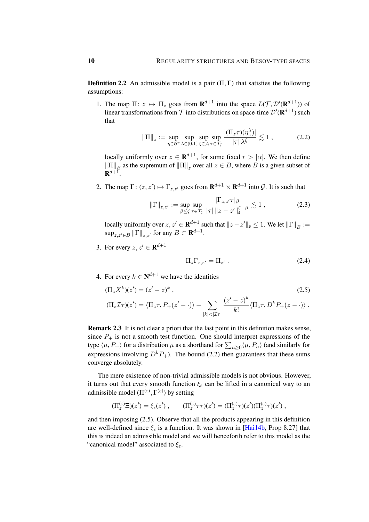**Definition 2.2** An admissible model is a pair  $(\Pi, \Gamma)$  that satisfies the following assumptions:

1. The map  $\Pi: z \mapsto \Pi_z$  goes from  $\mathbf{R}^{d+1}$  into the space  $L(\mathcal{T}, \mathcal{D}'(\mathbf{R}^{d+1}))$  of linear transformations from  $\mathcal T$  into distributions on space-time  $\mathcal D'(\mathbf R^{d+1})$  such that

<span id="page-9-0"></span>
$$
\|\Pi\|_{z} := \sup_{\eta \in \mathcal{B}^r} \sup_{\lambda \in (0,1]} \sup_{\zeta \in \mathcal{A}} \sup_{\tau \in \mathcal{T}_{\zeta}} \frac{|(\Pi_z \tau)(\eta_z^{\lambda})|}{|\tau| \lambda^{\zeta}} \lesssim 1 ,
$$
 (2.2)

locally uniformly over  $z \in \mathbf{R}^{d+1}$ , for some fixed  $r > |\alpha|$ . We then define  $\|\Pi\|_B$  as the supremum of  $\|\Pi\|_z$  over all  $z \in B$ , where B is a given subset of  $\mathbf{R}^{d+1}$ .

2. The map  $\Gamma: (z, z') \mapsto \Gamma_{z, z'}$  goes from  $\mathbf{R}^{d+1} \times \mathbf{R}^{d+1}$  into  $\mathcal{G}$ . It is such that

$$
\|\Gamma\|_{z,z'} := \sup_{\beta \le \zeta} \sup_{\tau \in \mathcal{T}_{\zeta}} \frac{|\Gamma_{z,z'}\tau|_{\beta}}{|\tau| \, \|z-z'\|_{\mathfrak{s}}^{\zeta-\beta}} \lesssim 1 ,\tag{2.3}
$$

locally uniformly over  $z, z' \in \mathbf{R}^{d+1}$  such that  $\|z - z'\|_{\mathfrak{s}} \leq 1$ . We let  $\|\Gamma\|_{B} :=$  $\sup_{z,z'\in B} \|\Gamma\|_{z,z'}$  for any  $B\subset \mathbf{R}^{d+1}$ .

3. For every  $z, z' \in \mathbf{R}^{d+1}$ 

<span id="page-9-1"></span>
$$
\Pi_z \Gamma_{z,z'} = \Pi_{z'} . \tag{2.4}
$$

4. For every  $k \in \mathbb{N}^{d+1}$  we have the identities

$$
(\Pi_z X^k)(z') = (z' - z)^k,
$$
  
\n
$$
(\Pi_z \mathcal{I}\tau)(z') = \langle \Pi_z \tau, P_+(z' - \cdot) \rangle - \sum_{|k| < |\mathcal{I}\tau|} \frac{(z' - z)^k}{k!} \langle \Pi_z \tau, D^k P_+(z - \cdot) \rangle.
$$
\n
$$
(2.5)
$$

Remark 2.3 It is not clear a priori that the last point in this definition makes sense, since  $P_+$  is not a smooth test function. One should interpret expressions of the type  $\langle \mu, P_+ \rangle$  for a distribution  $\mu$  as a shorthand for  $\sum_{n\geq 0} \langle \mu, P_n \rangle$  (and similarly for expressions involving  $D^k P_+$ ). The bound [\(2.2\)](#page-9-0) then guarantees that these sums converge absolutely.

The mere existence of non-trivial admissible models is not obvious. However, it turns out that every smooth function  $\xi_{\varepsilon}$  can be lifted in a canonical way to an admissible model  $(\Pi^{(\varepsilon)}, \Gamma^{(\varepsilon)})$  by setting

$$
(\Pi_z^{(\varepsilon)}\Xi)(z')=\xi_\epsilon(z')\ ,\qquad (\Pi_z^{(\varepsilon)}\tau\bar\tau)(z')=(\Pi_z^{(\varepsilon)}\tau)(z')(\Pi_z^{(\varepsilon)}\bar\tau)(z')\ ,
$$

and then imposing [\(2.5\)](#page-9-1). Observe that all the products appearing in this definition are well-defined since  $\xi_{\epsilon}$  is a function. It was shown in [\[Hai14b,](#page-49-2) Prop 8.27] that this is indeed an admissible model and we will henceforth refer to this model as the "canonical model" associated to  $\xi_{\varepsilon}$ .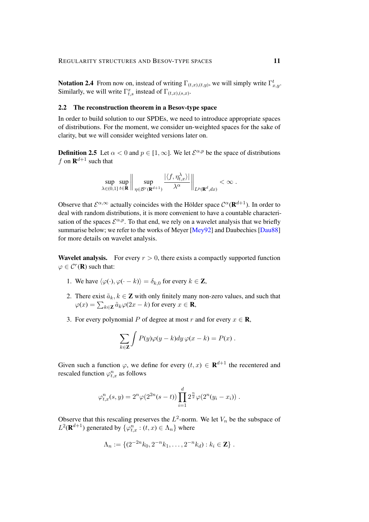**Notation 2.4** From now on, instead of writing  $\Gamma_{(t,x),(t,y)}$ , we will simply write  $\Gamma_{x,y}^t$ . Similarly, we will write  $\Gamma_{t,s}^x$  instead of  $\Gamma_{(t,x),(s,x)}$ .

### <span id="page-10-1"></span>2.2 The reconstruction theorem in a Besov-type space

In order to build solution to our SPDEs, we need to introduce appropriate spaces of distributions. For the moment, we consider un-weighted spaces for the sake of clarity, but we will consider weighted versions later on.

**Definition 2.5** Let  $\alpha < 0$  and  $p \in [1, \infty]$ . We let  $\mathcal{E}^{\alpha, p}$  be the space of distributions f on  $\mathbf{R}^{d+1}$  such that

<span id="page-10-0"></span>
$$
\sup_{\lambda\in(0,1]}\sup_{t\in\mathbf{R}}\bigg\|\sup_{\eta\in\mathcal{B}^r(\mathbf{R}^{d+1})}\frac{|\langle f,\eta_{t,x}^\lambda\rangle|}{\lambda^\alpha}\bigg\|_{L^p(\mathbf{R}^d,dx)}<\infty\;.
$$

Observe that  $\mathcal{E}^{\alpha,\infty}$  actually coincides with the Hölder space  $\mathcal{C}^{\alpha}(\mathbf{R}^{d+1})$ . In order to deal with random distributions, it is more convenient to have a countable characterisation of the spaces  $\mathcal{E}^{\alpha,p}$ . To that end, we rely on a wavelet analysis that we briefly summarise below; we refer to the works of Meyer [\[Mey92\]](#page-49-13) and Daubechies [\[Dau88\]](#page-48-5) for more details on wavelet analysis.

**Wavelet analysis.** For every  $r > 0$ , there exists a compactly supported function  $\varphi \in \mathcal{C}^r(\mathbf{R})$  such that:

- 1. We have  $\langle \varphi(\cdot), \varphi(\cdot k) \rangle = \delta_{k,0}$  for every  $k \in \mathbb{Z}$ ,
- 2. There exist  $\tilde{a}_k, k \in \mathbb{Z}$  with only finitely many non-zero values, and such that  $\varphi(x) = \sum_{k \in \mathbf{Z}} \tilde{a}_k \varphi(2x - k)$  for every  $x \in \mathbf{R}$ ,
- 3. For every polynomial P of degree at most r and for every  $x \in \mathbf{R}$ ,

$$
\sum_{k\in\mathbf{Z}}\int P(y)\varphi(y-k)dy\,\varphi(x-k)=P(x).
$$

Given such a function  $\varphi$ , we define for every  $(t, x) \in \mathbf{R}^{d+1}$  the recentered and rescaled function  $\varphi_{t,x}^n$  as follows

$$
\varphi_{t,x}^n(s,y) = 2^n \varphi(2^{2n}(s-t)) \prod_{i=1}^d 2^{\frac{n}{2}} \varphi(2^n(y_i - x_i)).
$$

Observe that this rescaling preserves the  $L^2$ -norm. We let  $V_n$  be the subspace of  $L^2(\mathbf{R}^{d+1})$  generated by  $\{\varphi_{t,x}^n : (t,x) \in \Lambda_n\}$  where

$$
\Lambda_n := \{ (2^{-2n}k_0, 2^{-n}k_1, \dots, 2^{-n}k_d) : k_i \in \mathbb{Z} \} .
$$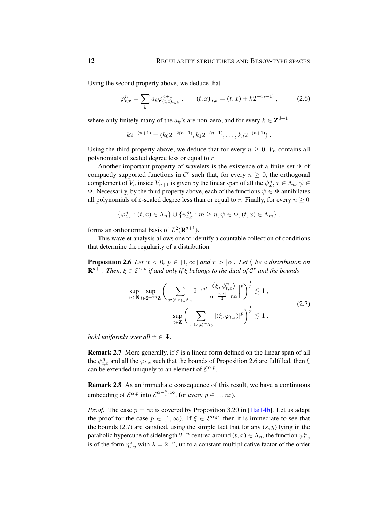Using the second property above, we deduce that

$$
\varphi_{t,x}^{n} = \sum_{k} a_k \varphi_{(t,x)_{n,k}}^{n+1} , \qquad (t,x)_{n,k} = (t,x) + k2^{-(n+1)} , \qquad (2.6)
$$

where only finitely many of the  $a_k$ 's are non-zero, and for every  $k \in \mathbb{Z}^{d+1}$ 

<span id="page-11-2"></span>
$$
k2^{-(n+1)} = (k_0 2^{-2(n+1)}, k_1 2^{-(n+1)}, \dots, k_d 2^{-(n+1)})
$$
.

Using the third property above, we deduce that for every  $n \geq 0$ ,  $V_n$  contains all polynomials of scaled degree less or equal to r.

Another important property of wavelets is the existence of a finite set  $\Psi$  of compactly supported functions in  $\mathcal{C}^r$  such that, for every  $n \geq 0$ , the orthogonal complement of  $V_n$  inside  $V_{n+1}$  is given by the linear span of all the  $\psi_x^n, x \in \Lambda_n, \psi \in$ Ψ. Necessarily, by the third property above, each of the functions  $ψ ∈ Ψ$  annihilates all polynomials of  $\mathfrak s$ -scaled degree less than or equal to r. Finally, for every  $n \geq 0$ 

$$
\{\varphi_{t,x}^n : (t,x) \in \Lambda_n\} \cup \{\psi_{t,x}^m : m \ge n, \psi \in \Psi, (t,x) \in \Lambda_m\},\
$$

forms an orthonormal basis of  $L^2(\mathbf{R}^{d+1})$ .

This wavelet analysis allows one to identify a countable collection of conditions that determine the regularity of a distribution.

<span id="page-11-0"></span>**Proposition 2.6** *Let*  $\alpha < 0$ ,  $p \in [1, \infty]$  *and*  $r > |\alpha|$ *. Let*  $\xi$  *be a distribution on*  $\mathbf{R}^{d+1}$ *. Then,*  $\xi \in \mathcal{E}^{\alpha,p}$  if and only if  $\xi$  belongs to the dual of  $\mathcal{C}^r$  and the bounds

<span id="page-11-1"></span>
$$
\sup_{n \in \mathbb{N}} \sup_{t \in 2^{-2n} \mathbb{Z}} \left( \sum_{x: (t,x) \in \Lambda_n} 2^{-nd} \left| \frac{\langle \xi, \psi_{t,x}^n \rangle}{2^{-\frac{n|s|}{2} - n\alpha}} \right|^p \right)^{\frac{1}{p}} \lesssim 1,
$$
\n
$$
\sup_{t \in \mathbb{Z}} \left( \sum_{x: (x,t) \in \Lambda_0} |\langle \xi, \varphi_{t,x} \rangle|^p \right)^{\frac{1}{p}} \lesssim 1,
$$
\n
$$
(2.7)
$$

*hold uniformly over all*  $\psi \in \Psi$ .

**Remark 2.7** More generally, if  $\xi$  is a linear form defined on the linear span of all the  $\psi_{t,x}^n$  and all the  $\varphi_{t,x}$  such that the bounds of Proposition [2.6](#page-11-0) are fulfilled, then  $\xi$ can be extended uniquely to an element of  $\mathcal{E}^{\alpha,p}$ .

Remark 2.8 As an immediate consequence of this result, we have a continuous embedding of  $\mathcal{E}^{\alpha,p}$  into  $\mathcal{E}^{\alpha-\frac{d}{p},\infty}$ , for every  $p \in [1,\infty)$ .

*Proof.* The case  $p = \infty$  is covered by Proposition 3.20 in [\[Hai14b\]](#page-49-2). Let us adapt the proof for the case  $p \in [1,\infty)$ . If  $\xi \in \mathcal{E}^{\alpha,p}$ , then it is immediate to see that the bounds [\(2.7\)](#page-11-1) are satisfied, using the simple fact that for any  $(s, y)$  lying in the parabolic hypercube of sidelength  $2^{-n}$  centred around  $(t, x) \in \Lambda_n$ , the function  $\psi_{t, x}^n$ is of the form  $\eta_{s,y}^{\lambda}$  with  $\lambda = 2^{-n}$ , up to a constant multiplicative factor of the order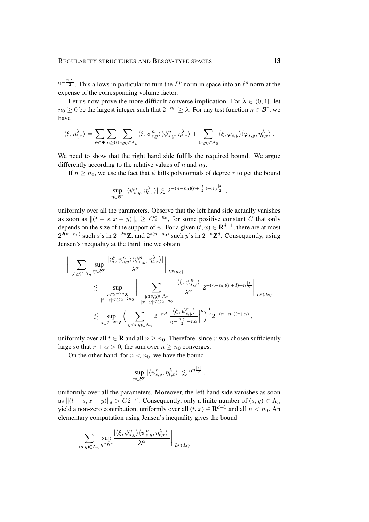$2^{-\frac{n|s|}{2}}$ . This allows in particular to turn the  $L^p$  norm in space into an  $\ell^p$  norm at the expense of the corresponding volume factor.

Let us now prove the more difficult converse implication. For  $\lambda \in (0, 1]$ , let  $n_0 \geq 0$  be the largest integer such that  $2^{-n_0} \geq \lambda$ . For any test function  $\eta \in \mathcal{B}^r$ , we have

$$
\langle \xi, \eta_{t,x}^{\lambda} \rangle = \sum_{\psi \in \Psi} \sum_{n \geq 0} \sum_{(s,y) \in \Lambda_n} \langle \xi, \psi_{s,y}^n \rangle \langle \psi_{s,y}^n, \eta_{t,x}^{\lambda} \rangle + \sum_{(s,y) \in \Lambda_0} \langle \xi, \varphi_{s,y} \rangle \langle \varphi_{s,y}, \eta_{t,x}^{\lambda} \rangle.
$$

We need to show that the right hand side fulfils the required bound. We argue differently according to the relative values of n and  $n_0$ .

If  $n \geq n_0$ , we use the fact that  $\psi$  kills polynomials of degree r to get the bound

$$
\sup_{\eta \in \mathcal{B}^r} |\langle \psi^n_{s,y}, \eta^{\lambda}_{t,x} \rangle| \lesssim 2^{-(n-n_0)(r+\frac{|{\mathfrak{s}}|}{2})+n_0\frac{|{\mathfrak{s}}|}{2}},
$$

uniformly over all the parameters. Observe that the left hand side actually vanishes as soon as  $||(t - s, x - y)||_{\mathfrak{s}} \geq C2^{-n_0}$ , for some positive constant C that only depends on the size of the support of  $\psi$ . For a given  $(t, x) \in \mathbf{R}^{d+1}$ , there are at most  $2^{2(n-n_0)}$  such s's in  $2^{-2n}\mathbb{Z}$ , and  $2^{d(n-n_0)}$  such y's in  $2^{-n}\mathbb{Z}^d$ . Consequently, using Jensen's inequality at the third line we obtain

$$
\begin{split} \Big\| \sum_{(s,y)\in \Lambda_n} \sup_{\eta \in \mathcal{B}^r} \frac{|\langle \xi, \psi^n_{s,y} \rangle \langle \psi^n_{s,y}, \eta^{\lambda}_{t,x} \rangle|}{\lambda^{\alpha}} \Big\|_{L^p(dx)} \\ \lesssim \sup_{\substack{s \in 2^{-2n} \mathbf{Z} \\ |t-s| \le C2^{-2n_0}}} \Big\| \sum_{\substack{y:(s,y)\in \Lambda_n \\ |x-y| \le C2^{-n_0}}} \frac{|\langle \xi, \psi^n_{s,y} \rangle|}{\lambda^{\alpha}} 2^{-(n-n_0)(r+d)+n\frac{|s|}{2}} \Big\|_{L^p(dx)} \\ \lesssim \sup_{s \in 2^{-2n} \mathbf{Z}} \Big( \sum_{y:(s,y)\in \Lambda_n} 2^{-nd} \Big\| \frac{\langle \xi, \psi^n_{s,y} \rangle}{2^{-\frac{n|s|}{2}-n\alpha}} \Big\|^p \Big)^{\frac{1}{p}} 2^{-(n-n_0)(r+\alpha)}, \end{split}
$$

uniformly over all  $t \in \mathbf{R}$  and all  $n \geq n_0$ . Therefore, since r was chosen sufficiently large so that  $r + \alpha > 0$ , the sum over  $n \geq n_0$  converges.

On the other hand, for  $n < n_0$ , we have the bound

$$
\sup_{\eta \in \mathcal{B}^r} |\langle \psi^n_{s,y}, \eta^\lambda_{t,x} \rangle| \lesssim 2^{n \frac{|\mathfrak{s}|}{2}} \;,
$$

uniformly over all the parameters. Moreover, the left hand side vanishes as soon as  $||(t - s, x - y)||_{\mathfrak{s}} > C2^{-n}$ . Consequently, only a finite number of  $(s, y) \in \Lambda_n$ yield a non-zero contribution, uniformly over all  $(t, x) \in \mathbf{R}^{d+1}$  and all  $n < n_0$ . An elementary computation using Jensen's inequality gives the bound

$$
\bigg\|\sum_{(s,y)\in \Lambda_n}\sup_{\eta\in \mathcal{B}^r}\frac{|\langle \xi, \psi^n_{s,y}\rangle \langle \psi^n_{s,y}, \eta_{t,x}^\lambda \rangle|}{\lambda^\alpha}\bigg\|_{L^p(dx)}
$$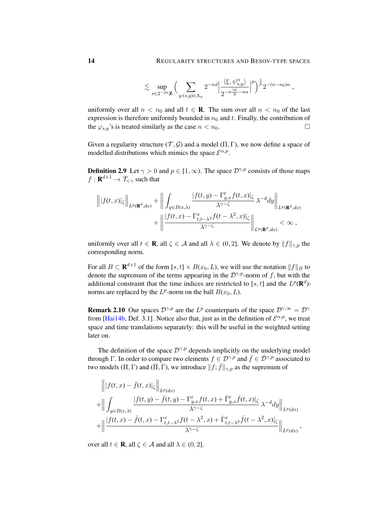$$
\lesssim \sup_{s\in 2^{-2n}{\bf Z}}\Big(\sum_{y: (s,y)\in \Lambda_n} 2^{-nd}\Big|\frac{\langle \xi, \psi^n_{s,y}\rangle}{2^{-n\frac{|{\bf s}|}{2}-n\alpha}}\Big|^p\Big)^{\frac{1}{p}}2^{-(n-n_0)\alpha}\;,
$$

uniformly over all  $n < n_0$  and all  $t \in \mathbb{R}$ . The sum over all  $n < n_0$  of the last expression is therefore uniformly bounded in  $n_0$  and t. Finally, the contribution of the  $\varphi_{s,y}$ 's is treated similarly as the case  $n < n_0$ .

Given a regularity structure  $(\mathcal{T}, \mathcal{G})$  and a model  $(\Pi, \Gamma)$ , we now define a space of modelled distributions which mimics the space  $\mathcal{E}^{\alpha,p}$ .

**Definition 2.9** Let  $\gamma > 0$  and  $p \in [1, \infty)$ . The space  $\mathcal{D}^{\gamma, p}$  consists of those maps  $f: \mathbf{R}^{d+1} \to \mathcal{T}_{<\gamma}$  such that

$$
\left\| |f(t,x)|_{\zeta} \right\|_{L^{p}(\mathbf{R}^{d},dx)} + \left\| \int_{y \in B(x,\lambda)} \frac{|f(t,y) - \Gamma_{y,x}^{t} f(t,x)|_{\zeta}}{\lambda^{\gamma-\zeta}} \lambda^{-d} dy \right\|_{L^{p}(\mathbf{R}^{d},dx)} + \left\| \frac{|f(t,x) - \Gamma_{t,t-\lambda^{2}}^{x} f(t-\lambda^{2},x)|_{\zeta}}{\lambda^{\gamma-\zeta}} \right\|_{L^{p}(\mathbf{R}^{d},dx)} < \infty,
$$

uniformly over all  $t \in \mathbf{R}$ , all  $\zeta \in \mathcal{A}$  and all  $\lambda \in (0, 2]$ . We denote by  $||f||_{\gamma, p}$  the corresponding norm.

For all  $B \subset \mathbf{R}^{d+1}$  of the form  $[s, t] \times B(x_0, L)$ , we will use the notation  $||f||_B$  to denote the supremum of the terms appearing in the  $\mathcal{D}^{\gamma,p}$ -norm of f, but with the additional constraint that the time indices are restricted to [s, t] and the  $L^p(\mathbf{R}^d)$ norms are replaced by the  $L^p$ -norm on the ball  $B(x_0, L)$ .

**Remark 2.10** Our spaces  $\mathcal{D}^{\gamma,p}$  are the  $L^p$  counterparts of the space  $\mathcal{D}^{\gamma,\infty} = \mathcal{D}^{\gamma}$ from [\[Hai14b,](#page-49-2) Def. 3.1]. Notice also that, just as in the definition of  $\mathcal{E}^{\alpha,p}$ , we treat space and time translations separately: this will be useful in the weighted setting later on.

The definition of the space  $\mathcal{D}^{\gamma,p}$  depends implicitly on the underlying model through Γ. In order to compare two elements  $f \in \mathcal{D}^{\gamma,p}$  and  $\bar{f} \in \bar{\mathcal{D}}^{\gamma,p}$  associated to two models (Π, Γ) and ( $\overline{\Pi}, \overline{\Gamma}$ ), we introduce  $|| f; \overline{f} ||_{\gamma, p}$  as the supremum of

$$
\| |f(t,x) - \bar{f}(t,x)|_{\zeta} \|_{L^p(dx)} \n+ \| \int_{y \in B(x,\lambda)} \frac{|f(t,y) - \bar{f}(t,y) - \Gamma_{y,x}^t f(t,x) + \bar{\Gamma}_{y,x}^t \bar{f}(t,x)|_{\zeta}}{\lambda^{\gamma-\zeta}} \lambda^{-d} dy \|_{L^p(dx)} \n+ \| \frac{|f(t,x) - \bar{f}(t,x) - \Gamma_{t,t-\lambda^2}^x f(t-\lambda^2,x) + \bar{\Gamma}_{t,t-\lambda^2}^x \bar{f}(t-\lambda^2,x)|_{\zeta}}{\lambda^{\gamma-\zeta}} \|_{L^p(dx)},
$$

over all  $t \in \mathbf{R}$ , all  $\zeta \in \mathcal{A}$  and all  $\lambda \in (0, 2]$ .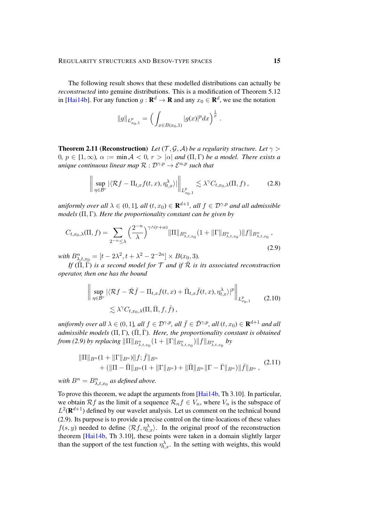The following result shows that these modelled distributions can actually be *reconstructed* into genuine distributions. This is a modification of Theorem 5.12 in [\[Hai14b\]](#page-49-2). For any function  $g: \mathbf{R}^d \to \mathbf{R}$  and any  $x_0 \in \mathbf{R}^d$ , we use the notation

$$
||g||_{L_{x_0,1}^p} = \Big(\int_{x \in B(x_0,1)} |g(x)|^p dx\Big)^{\frac{1}{p}}
$$

<span id="page-14-0"></span>**Theorem 2.11 (Reconstruction)** *Let* (T, G, A) *be a regularity structure. Let*  $\gamma$  > 0*,*  $p \in [1, \infty)$ ,  $\alpha := \min A < 0$ ,  $r > |\alpha|$  and  $(\Pi, \Gamma)$  be a model. There exists a *unique continuous linear map*  $\mathcal{R}: \mathcal{D}^{\gamma,p} \to \mathcal{E}^{\alpha,p}$  *such that* 

$$
\left\| \sup_{\eta \in \mathcal{B}^r} |\langle \mathcal{R}f - \Pi_{t,x}f(t,x), \eta_{t,x}^\lambda \rangle| \right\|_{L^p_{x_0,1}} \lesssim \lambda^\gamma C_{t,x_0,\lambda}(\Pi, f), \tag{2.8}
$$

<span id="page-14-2"></span><span id="page-14-1"></span>.

 $uniformly$  over all  $\lambda \in (0,1]$ *, all*  $(t,x_0) \in \mathbf{R}^{d+1}$ *, all*  $f \in \mathcal{D}^{\gamma,p}$  and all admissible *models* (Π, Γ)*. Here the proportionality constant can be given by*

$$
C_{t,x_0,\lambda}(\Pi,f) = \sum_{2^{-n} \leq \lambda} \left(\frac{2^{-n}}{\lambda}\right)^{\gamma \wedge (r+\alpha)} \|\Pi\|_{B_{\lambda,t,x_0}^n} (1 + \|\Gamma\|_{B_{\lambda,t,x_0}^n}) \|f\|_{B_{\lambda,t,x_0}^n},\tag{2.9}
$$

with  $B_{\lambda,t,x_0}^n = [t - 2\lambda^2, t + \lambda^2 - 2^{-2n}] \times B(x_0,3)$ .

*If*  $(\overline{\Pi}, \overline{\Gamma})$  *is a second model for*  $\mathcal T$  *and if*  $\overline{\mathcal{R}}$  *is its associated reconstruction operator, then one has the bound*

<span id="page-14-4"></span>
$$
\left\| \sup_{\eta \in \mathcal{B}^r} |\langle \mathcal{R}f - \bar{\mathcal{R}}\bar{f} - \Pi_{t,x}f(t,x) + \bar{\Pi}_{t,x}\bar{f}(t,x), \eta_{t,x}^{\lambda}|^p \right\|_{L_{x_0,1}^p}
$$
\n
$$
\lesssim \lambda^{\gamma} C_{t,x_0,\lambda}(\Pi, \bar{\Pi}, f, \bar{f}), \qquad (2.10)
$$

*uniformly over all*  $\lambda \in (0,1]$ *, all*  $f \in \mathcal{D}^{\gamma,p}$ *, all*  $\bar{f} \in \bar{\mathcal{D}}^{\gamma,p}$ *, all*  $(t,x_0) \in \mathbf{R}^{d+1}$  *and all admissible models*  $(\Pi, \Gamma)$ ,  $(\overline{\Pi}, \overline{\Gamma})$ *. Here, the proportionality constant is obtained from [\(2.9\)](#page-14-1) by replacing*  $\|\Pi\|_{B_{\lambda,t,x_0}^n}(1 + \|\Gamma\|_{B_{\lambda,t,x_0}^n})\|f\|_{B_{\lambda,t,x_0}^n}$  *by* 

<span id="page-14-3"></span>
$$
\|\Pi\|_{B^n}(1+\|\Gamma\|_{B^n})\|f;\bar{f}\|_{B^n} +\left(\|\Pi-\bar{\Pi}\|_{B^n}(1+\|\Gamma\|_{B^n})+\|\bar{\Pi}\|_{B^n}\|\Gamma-\bar{\Gamma}\|_{B^n}\right)\|\bar{f}\|_{B^n},
$$
(2.11)

with  $B^n = B^n_{\lambda, t, x_0}$  as defined above.

To prove this theorem, we adapt the arguments from [\[Hai14b,](#page-49-2) Th 3.10]. In particular, we obtain Rf as the limit of a sequence  $\mathcal{R}_n f \in V_n$ , where  $V_n$  is the subspace of  $L^2(\mathbf{R}^{d+1})$  defined by our wavelet analysis. Let us comment on the technical bound [\(2.9\)](#page-14-1). Its purpose is to provide a precise control on the time-locations of these values  $f(s, y)$  needed to define  $\langle \mathcal{R}f, \eta_{t,x}^{\lambda} \rangle$ . In the original proof of the reconstruction theorem [\[Hai14b,](#page-49-2) Th 3.10], these points were taken in a domain slightly larger than the support of the test function  $\eta_{t,x}^{\lambda}$ . In the setting with weights, this would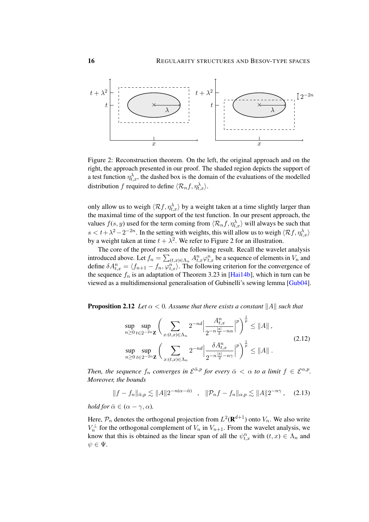

<span id="page-15-0"></span>Figure 2: Reconstruction theorem. On the left, the original approach and on the right, the approach presented in our proof. The shaded region depicts the support of a test function  $\eta_{t,x}^{\lambda}$ , the dashed box is the domain of the evaluations of the modelled distribution f required to define  $\langle \mathcal{R}_n f, \eta_{t,x}^{\lambda} \rangle$ .

only allow us to weigh  $\langle \mathcal{R}f, \eta_{t,x}^{\lambda} \rangle$  by a weight taken at a time slightly larger than the maximal time of the support of the test function. In our present approach, the values  $f(s, y)$  used for the term coming from  $\langle \mathcal{R}_n f, \eta_{t,x}^{\lambda} \rangle$  will always be such that  $s < t + \lambda^2 - 2^{-2n}$ . In the setting with weights, this will allow us to weigh  $\langle Rf, \eta_{t,x}^{\lambda} \rangle$ by a weight taken at time  $t + \lambda^2$  $t + \lambda^2$ . We refer to Figure 2 for an illustration.

The core of the proof rests on the following result. Recall the wavelet analysis introduced above. Let  $f_n = \sum_{(t,x)\in\Lambda_n} A^n_{t,x} \varphi^n_{t,x}$  be a sequence of elements in  $V_n$  and define  $\delta A_{t,x}^n = \langle f_{n+1} - f_n, \varphi_{t,x}^n \rangle$ . The following criterion for the convergence of the sequence  $f_n$  is an adaptation of Theorem 3.23 in [\[Hai14b\]](#page-49-2), which in turn can be viewed as a multidimensional generalisation of Gubinelli's sewing lemma [\[Gub04\]](#page-49-14).

<span id="page-15-3"></span>**Proposition 2.12** *Let*  $\alpha < 0$ *. Assume that there exists a constant* ||A|| *such that* 

<span id="page-15-1"></span>
$$
\sup_{n\geq 0} \sup_{t\in 2^{-2n}\mathbf{Z}} \left( \sum_{x:(t,x)\in\Lambda_n} 2^{-nd} \left| \frac{A_{t,x}^n}{2^{-n\frac{|\mathfrak{s}|}{2}-n\alpha}} \right|^p \right)^{\frac{1}{p}} \leq \|A\|,
$$
\n
$$
\sup_{n\geq 0} \sup_{t\in 2^{-2n}\mathbf{Z}} \left( \sum_{x:(t,x)\in\Lambda_n} 2^{-nd} \left| \frac{\delta A_{t,x}^n}{2^{-n\frac{|\mathfrak{s}|}{2}-n\gamma}} \right|^p \right)^{\frac{1}{p}} \leq \|A\|.
$$
\n(2.12)

Then, the sequence  $f_n$  converges in  $\mathcal{E}^{\bar{\alpha},p}$  for every  $\bar{\alpha} < \alpha$  to a limit  $f \in \mathcal{E}^{\alpha,p}$ . *Moreover, the bounds*

<span id="page-15-2"></span>
$$
||f - f_n||_{\bar{\alpha},p} \lesssim ||A|| 2^{-n(\alpha - \bar{\alpha})} \quad , \quad ||\mathcal{P}_n f - f_n||_{\alpha,p} \lesssim ||A|| 2^{-n\gamma} \quad . \quad (2.13)
$$

*hold for*  $\bar{\alpha} \in (\alpha - \gamma, \alpha)$ *.* 

Here,  $P_n$  denotes the orthogonal projection from  $L^2(\mathbf{R}^{d+1})$  onto  $V_n$ . We also write  $V_n^{\perp}$  for the orthogonal complement of  $V_n$  in  $V_{n+1}$ . From the wavelet analysis, we know that this is obtained as the linear span of all the  $\psi_{t,x}^n$  with  $(t, x) \in \Lambda_n$  and  $\psi \in \Psi$ .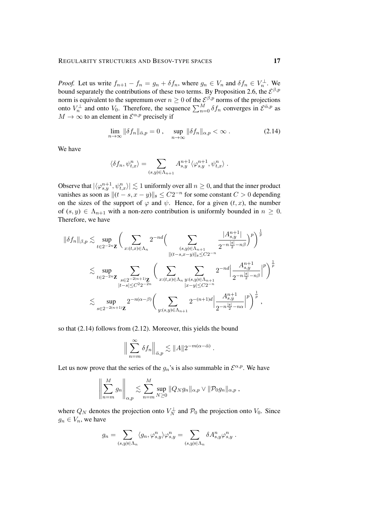*Proof.* Let us write  $f_{n+1} - f_n = g_n + \delta f_n$ , where  $g_n \in V_n$  and  $\delta f_n \in V_n^{\perp}$ . We bound separately the contributions of these two terms. By Proposition [2.6,](#page-11-0) the  $\mathcal{E}^{\beta,p}$ norm is equivalent to the supremum over  $n \geq 0$  of the  $\mathcal{E}^{\beta,p}$  norms of the projections onto  $V_n^{\perp}$  and onto  $V_0$ . Therefore, the sequence  $\sum_{n=0}^{M} \delta f_n$  converges in  $\mathcal{E}^{\bar{\alpha},p}$  as  $M \to \infty$  to an element in  $\mathcal{E}^{\alpha,p}$  precisely if

<span id="page-16-0"></span>
$$
\lim_{n \to \infty} \|\delta f_n\|_{\bar{\alpha},p} = 0 \,, \quad \sup_{n \to \infty} \|\delta f_n\|_{\alpha,p} < \infty \,.
$$
\n(2.14)

We have

$$
\langle \delta f_n, \psi_{t,x}^n \rangle = \sum_{(s,y)\in\Lambda_{n+1}} A^{n+1}_{s,y} \langle \varphi_{s,y}^{n+1}, \psi_{t,x}^n \rangle.
$$

Observe that  $|\langle \varphi^{n+1}_{s,y}, \psi^n_{t,x}\rangle| \lesssim 1$  uniformly over all  $n \geq 0$ , and that the inner product vanishes as soon as  $||(t - s, x - y)||_{\mathfrak{s}} \leq C2^{-n}$  for some constant  $C > 0$  depending on the sizes of the support of  $\varphi$  and  $\psi$ . Hence, for a given  $(t, x)$ , the number of  $(s, y) \in \Lambda_{n+1}$  with a non-zero contribution is uniformly bounded in  $n \geq 0$ . Therefore, we have

$$
\begin{split} \|\delta f_n\|_{\beta,p} \lesssim & \sup_{t \in 2^{-2n} \mathbf{Z}} \bigg( \sum_{x: (t,x) \in \Lambda_n} 2^{-nd} \Big( \sum_{\substack{(s,y) \in \Lambda_{n+1} \\ \| (t-s,x-y) \|_s \le C2^{-n}}} \frac{|A^{n+1}_{s,y}|}{2^{-n\frac{|s|}{2} - n\beta}} \Big)^p \bigg)^{\frac{1}{p}} \\ \lesssim & \sup_{t \in 2^{-2n} \mathbf{Z}} \sum_{\substack{s \in 2^{-2(n+1)} \mathbf{Z} \\ |t-s| \le C^2 2^{-2n}}} \bigg( \sum_{x: (t,x) \in \Lambda_n} \sum_{\substack{y: (s,y) \in \Lambda_{n+1} \\ |x-y| \le C2^{-n}}} 2^{-nd} \Big| \frac{A^{n+1}_{s,y}}{2^{-n\frac{|s|}{2} - n\beta}} \Big|^p \bigg)^{\frac{1}{p}} \\ \lesssim & \sup_{s \in 2^{-2(n+1)} \mathbf{Z}} 2^{-n(\alpha-\beta)} \bigg( \sum_{\substack{y: (s,y) \in \Lambda_{n+1} \\ y: (s,y) \in \Lambda_{n+1}}} 2^{-(n+1)d} \Big| \frac{A^{n+1}_{s,y}}{2^{-n\frac{|s|}{2} - n\alpha}} \Big|^p \bigg)^{\frac{1}{p}} \,, \end{split}
$$

so that [\(2.14\)](#page-16-0) follows from [\(2.12\)](#page-15-1). Moreover, this yields the bound

$$
\Big\| \sum_{n=m}^{\infty} \delta f_n \Big\|_{\bar{\alpha},p} \lesssim \|A\| 2^{-m(\alpha - \bar{\alpha})} .
$$

Let us now prove that the series of the  $g_n$ 's is also summable in  $\mathcal{E}^{\alpha,p}$ . We have

$$
\left\|\sum_{n=m}^M g_n\right\|_{\alpha,p} \lesssim \sum_{n=m}^M \sup_{N\geq 0} \|Q_N g_n\|_{\alpha,p} \vee \|\mathcal{P}_0 g_n\|_{\alpha,p} ,
$$

where  $Q_N$  denotes the projection onto  $V_N^{\perp}$  and  $\mathcal{P}_0$  the projection onto  $V_0$ . Since  $g_n \in V_n$ , we have

$$
g_n = \sum_{(s,y)\in\Lambda_n} \langle g_n, \varphi_{s,y}^n \rangle \varphi_{s,y}^n = \sum_{(s,y)\in\Lambda_n} \delta A_{s,y}^n \varphi_{s,y}^n.
$$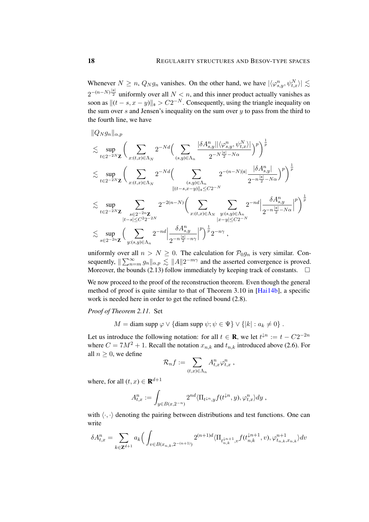Whenever  $N \ge n$ ,  $Q_N g_n$  vanishes. On the other hand, we have  $|\langle \varphi^n_{s,y}, \psi^n_{t,x} \rangle| \lesssim$  $2^{-(n-N)^{\frac{|\mathfrak{s}|}{2}}}$  uniformly over all  $N < n$ , and this inner product actually vanishes as soon as  $||(t - s, x - y)||_{\mathfrak{s}} > C2^{-N}$ . Consequently, using the triangle inequality on the sum over  $s$  and Jensen's inequality on the sum over  $y$  to pass from the third to the fourth line, we have

$$
\label{eq:QN9n} \begin{split} & \|Q_Ng_n\|_{\alpha,p} \\ & \lesssim \sup_{t\in 2^{-2N}\mathbf{Z}} \bigg( \sum_{x: (t,x)\in \Lambda_N} 2^{-Nd} \Big( \sum_{(s,y)\in \Lambda_n} \frac{|\delta A^n_{s,y}||\langle \varphi^n_{s,y}, \psi^N_{t,x}\rangle|}{2^{-N\frac{|s|}{2}-N\alpha}} \Big)^p \bigg)^{\frac{1}{p}} \\ & \lesssim \sup_{t\in 2^{-2N}\mathbf{Z}} \bigg( \sum_{x: (t,x)\in \Lambda_N} 2^{-Nd} \Big( \sum_{(s,y)\in \Lambda_n} 2^{-(n-N)|s|} \frac{|\delta A^n_{s,y}|}{2^{-n\frac{|s|}{2}-N\alpha}} \Big)^p \bigg)^{\frac{1}{p}} \\ & \lesssim \sup_{t\in 2^{-2N}\mathbf{Z}} \sum_{\substack{s\in 2^{-2n}\mathbf{Z} \\ |t-s|\le C^{2}2^{-2N} \\ s\le 2^{-2N}\mathbf{Z}}} 2^{-2(n-N)} \Big( \sum_{x: (t,x)\in \Lambda_N} \sum_{\substack{y: (s,y)\in \Lambda_n \\ |x-y|\le C2^{-N} \\ |x-y|\le C2^{-N}}} 2^{-nd} \Big| \frac{\delta A^n_{s,y}}{2^{-n\frac{|s|}{2}-N\alpha}} \Big|^p \Big)^{\frac{1}{p}} 2^{-n\gamma} \,, \end{split}
$$

uniformly over all  $n > N \ge 0$ . The calculation for  $P_0g_n$  is very similar. Consequently,  $\|\sum_{n=m}^{\infty} g_n\|_{\alpha,p} \lesssim \|A\| 2^{-m\gamma}$  and the asserted convergence is proved. Moreover, the bounds [\(2.13\)](#page-15-2) follow immediately by keeping track of constants.  $\square$ 

We now proceed to the proof of the reconstruction theorem. Even though the general method of proof is quite similar to that of Theorem 3.10 in [\[Hai14b\]](#page-49-2), a specific work is needed here in order to get the refined bound [\(2.8\)](#page-14-2).

*Proof of Theorem [2.11.](#page-14-0)* Set

 $M = \text{diam supp } \varphi \vee \{\text{diam supp } \psi; \psi \in \Psi\} \vee \{|k| : a_k \neq 0\}.$ 

Let us introduce the following notation: for all  $t \in \mathbf{R}$ , we let  $t^{\downarrow n} := t - C2^{-2n}$ where  $C = 7M^2 + 1$ . Recall the notation  $x_{n,k}$  and  $t_{n,k}$  introduced above [\(2.6\)](#page-11-2). For all  $n \geq 0$ , we define

$$
\mathcal{R}_n f := \sum_{(t,x)\in\Lambda_n} A^n_{t,x} \varphi^n_{t,x} ,
$$

where, for all  $(t, x) \in \mathbf{R}^{d+1}$ 

$$
A_{t,x}^n := \int_{y \in B(x,2^{-n})} 2^{nd} \langle \Pi_{t^{\downarrow n},y} f(t^{\downarrow n}, y), \varphi_{t,x}^n \rangle dy,
$$

with  $\langle \cdot, \cdot \rangle$  denoting the pairing between distributions and test functions. One can write

$$
\delta A_{t,x}^{n} = \sum_{k \in \mathbf{Z}^{d+1}} a_k \Big( \int_{v \in B(x_{n,k}, 2^{-(n+1)})} 2^{(n+1)d} \langle \Pi_{t_{n,k}^{\downarrow n+1}, v} f(t_{n,k}^{\downarrow n+1}, v), \varphi_{t_{n,k}, x_{n,k}}^{n+1} \rangle dv
$$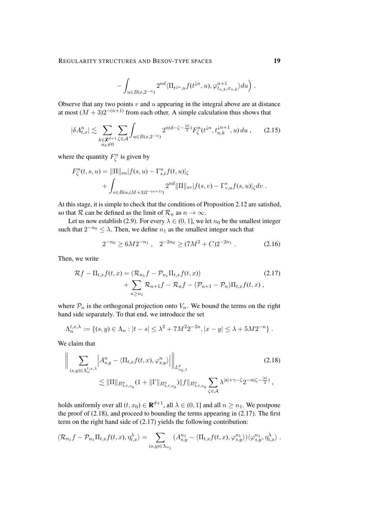<span id="page-18-3"></span>
$$
-\int_{u\in B(x,2^{-n})} 2^{nd} \langle \Pi_{t^{\downarrow n},u} f(t^{\downarrow n},u),\varphi_{t_{n,k},x_{n,k}}^{n+1} \rangle du \Big) .
$$

Observe that any two points  $v$  and  $u$  appearing in the integral above are at distance at most  $(M+3)2^{-(n+1)}$  from each other. A simple calculation thus shows that

$$
|\delta A_{t,x}^n| \lesssim \sum_{\substack{k \in \mathbf{Z}^{d+1} \\ a_k \neq 0}} \sum_{\zeta \in \mathcal{A}} \int_{u \in B(x,2^{-n})} 2^{n(d-\zeta-\frac{|\mathfrak{s}|}{2})} F_{\zeta}^n(t^{\downarrow n}, t_{n,k}^{\downarrow n+1}, u) du , \qquad (2.15)
$$

where the quantity  $F_{\zeta}^{n}$  is given by

$$
F_{\zeta}^{n}(t,s,u) = ||\Pi||_{su}|f(s,u) - \Gamma_{s,t}^{u}f(t,u)|_{\zeta}
$$
  
+ 
$$
\int_{v \in B(u,(M+3)2^{-(n+1)})} 2^{nd} ||\Pi||_{sv} |f(s,v) - \Gamma_{v,u}^{s}f(s,u)|_{\zeta} dv.
$$

At this stage, it is simple to check that the conditions of Proposition [2.12](#page-15-3) are satisfied, so that R can be defined as the limit of  $\mathcal{R}_n$  as  $n \to \infty$ .

Let us now establish [\(2.9\)](#page-14-1). For every  $\lambda \in (0, 1]$ , we let  $n_0$  be the smallest integer such that  $2^{-n_0} \leq \lambda$ . Then, we define  $n_1$  as the smallest integer such that

<span id="page-18-2"></span><span id="page-18-1"></span><span id="page-18-0"></span>
$$
2^{-n_0} \ge 6M 2^{-n_1}, \quad 2^{-2n_0} \ge (7M^2 + C) 2^{-2n_1}. \tag{2.16}
$$

Then, we write

$$
\mathcal{R}f - \Pi_{t,x}f(t,x) = (\mathcal{R}_{n_1}f - \mathcal{P}_{n_1}\Pi_{t,x}f(t,x)) + \sum_{n \ge n_1} \mathcal{R}_{n+1}f - \mathcal{R}_n f - (\mathcal{P}_{n+1} - \mathcal{P}_n)\Pi_{t,x}f(t,x) ,
$$
\n(2.17)

where  $P_n$  is the orthogonal projection onto  $V_n$ . We bound the terms on the right hand side separately. To that end, we introduce the set

$$
\Lambda_n^{t,x,\lambda} := \{(s,y) \in \Lambda_n : |t-s| \leq \lambda^2 + 7M^2 2^{-2n}, |x-y| \leq \lambda + 5M 2^{-n}\}.
$$

We claim that

$$
\left\| \sum_{(s,y)\in\Lambda_n^{t,x,\lambda}} \left| A_{s,y}^n - \langle \Pi_{t,x} f(t,x), \varphi_{s,y}^n \rangle \right| \right\|_{L_{x_0,1}^p}
$$
\n
$$
\lesssim \|\Pi\|_{B_{\lambda,t,x_0}^n} (1 + \|\Gamma\|_{B_{\lambda,t,x_0}^n}) \|f\|_{B_{\lambda,t,x_0}^n} \sum_{\zeta \in \mathcal{A}} \lambda^{|s|+\gamma-\zeta} 2^{-n(\zeta-\frac{|s|}{2})},
$$
\n(2.18)

holds uniformly over all  $(t, x_0) \in \mathbf{R}^{d+1}$ , all  $\lambda \in (0, 1]$  and all  $n \geq n_1$ . We postpone the proof of [\(2.18\)](#page-18-0), and proceed to bounding the terms appearing in [\(2.17\)](#page-18-1). The first term on the right hand side of [\(2.17\)](#page-18-1) yields the following contribution:

$$
\langle \mathcal{R}_{n_1} f - \mathcal{P}_{n_1} \Pi_{t,x} f(t,x), \eta_{t,x}^{\lambda} \rangle = \sum_{(s,y) \in \Lambda_{n_1}} (A^{n_1}_{s,y} - \langle \Pi_{t,x} f(t,x), \varphi_{s,y}^{n_1} \rangle) \langle \varphi_{s,y}^{n_1}, \eta_{t,x}^{\lambda} \rangle.
$$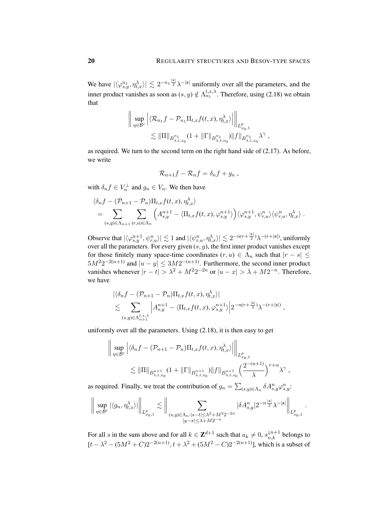We have  $|\langle \varphi^{n_1}_{s,y}, \eta^{\lambda}_{t,x} \rangle| \lesssim 2^{-n_1 \frac{|s|}{2}} \lambda^{-|s|}$  uniformly over all the parameters, and the inner product vanishes as soon as  $(s, y) \notin \Lambda_{n_1}^{t, x, \lambda}$ . Therefore, using [\(2.18\)](#page-18-0) we obtain that

$$
\left\| \sup_{\eta \in \mathcal{B}^r} \left| \langle \mathcal{R}_{n_1} f - \mathcal{P}_{n_1} \Pi_{t,x} f(t,x), \eta_{t,x}^{\lambda} \rangle \right| \right\|_{L^p_{x_0,1}} \leq \|\Pi\|_{B^{n_1}_{\lambda,t,x_0}} (1 + \|\Gamma\|_{B^{n_1}_{\lambda,t,x_0}}) \|f\|_{B^{n_1}_{\lambda,t,x_0}} \lambda^{\gamma},
$$

as required. We turn to the second term on the right hand side of [\(2.17\)](#page-18-1). As before, we write

$$
\mathcal{R}_{n+1}f - \mathcal{R}_n f = \delta_n f + g_n ,
$$

with  $\delta_n f \in V_n^{\perp}$  and  $g_n \in V_n$ . We then have

$$
\langle \delta_n f - (\mathcal{P}_{n+1} - \mathcal{P}_n) \Pi_{t,x} f(t,x), \eta_{t,x}^{\lambda} \rangle = \sum_{(s,y)\in\Lambda_{n+1}} \sum_{(r,u)\in\Lambda_n} \left( A_{s,y}^{n+1} - \langle \Pi_{t,x} f(t,x), \varphi_{s,y}^{n+1} \rangle \right) \langle \varphi_{s,y}^{n+1}, \psi_{r,u}^n \rangle \langle \psi_{r,u}^n, \eta_{t,x}^{\lambda} \rangle .
$$

Observe that  $|\langle \varphi^{n+1}_{s,y}, \psi^n_{r,u} \rangle| \lesssim 1$  and  $|\langle \psi^n_{r,u}, \eta^{\lambda}_{t,x} \rangle| \lesssim 2^{-n(r+\frac{|s|}{2})} \lambda^{-(r+|s|)}$ , uniformly over all the parameters. For every given  $(s, y)$ , the first inner product vanishes except for those finitely many space-time coordinates  $(r, u) \in \Lambda_n$  such that  $|r - s| \leq$  $5M^22^{-2(n+1)}$  and  $|u-y| \leq 3M2^{-(n+1)}$ . Furthermore, the second inner product vanishes whenever  $|r - t| > \lambda^2 + M^2 2^{-2n}$  or  $|u - x| > \lambda + M 2^{-n}$ . Therefore, we have

$$
\begin{split} &|\langle \delta_n f - (\mathcal{P}_{n+1} - \mathcal{P}_n) \Pi_{t,x} f(t,x), \eta_{t,x}^\lambda \rangle| \\ &\lesssim \sum_{(s,y)\in \Lambda_{n+1}^{t,x,\lambda}} \left| A_{s,y}^{n+1} - \langle \Pi_{t,x} f(t,x), \varphi_{s,y}^{n+1} \rangle \right| 2^{-n(r+\frac{|s|}{2})} \lambda^{-(r+|s|)}, \end{split}
$$

uniformly over all the parameters. Using [\(2.18\)](#page-18-0), it is then easy to get

$$
\left\| \sup_{\eta \in \mathcal{B}^r} \left| \langle \delta_n f - (\mathcal{P}_{n+1} - \mathcal{P}_n) \Pi_{t,x} f(t,x), \eta_{t,x}^{\lambda} \rangle \right| \right\|_{L^p_{x_0,1}} \leq \|\Pi\|_{B^{n+1}_{\lambda,t,x_0}} (1 + \|\Gamma\|_{B^{n+1}_{\lambda,t,x_0}}) \|f\|_{B^{n+1}_{\lambda,t,x_0}} \left(\frac{2^{-(n+1)}}{\lambda}\right)^{r+\alpha} \lambda^{\gamma},
$$

as required. Finally, we treat the contribution of  $g_n = \sum_{(s,y)\in\Lambda_n} \delta A^n_{s,y} \varphi^n_{s,y}$ :

$$
\bigg\|\sup_{\eta\in\mathcal{B}^r}|\langle g_n,\eta^{\lambda}_{t,x}\rangle|\bigg\|_{L^p_{x_0,1}}\lesssim \bigg\|\sum_{(s,y)\in\Lambda_n:|s-t|\leq \lambda^2+M^22^{-2n}}|\delta A^n_{s,y}|2^{-n\frac{|s|}{2}}\lambda^{-|s|}\bigg\|_{L^p_{x_0,1}}.
$$

For all s in the sum above and for all  $k \in \mathbb{Z}^{d+1}$  such that  $a_k \neq 0$ ,  $s_{n,k}^{\downarrow n+1}$  belongs to  $[t - \lambda^2 - (5M^2 + C)2^{-2(n+1)}, t + \lambda^2 + (5M^2 - C)2^{-2(n+1)}]$ , which is a subset of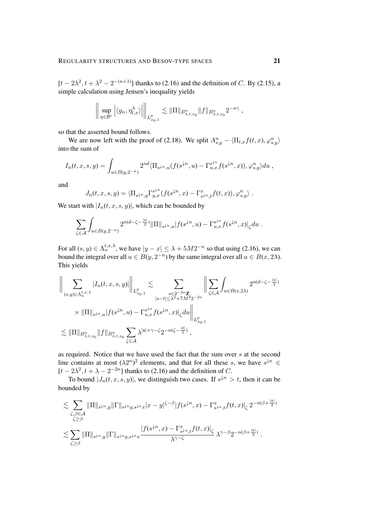$[t - 2\lambda^2, t + \lambda^2 - 2^{-(n+1)}]$  thanks to [\(2.16\)](#page-18-2) and the definition of C. By [\(2.15\)](#page-18-3), a simple calculation using Jensen's inequality yields

$$
\bigg\| \sup_{\eta \in \mathcal{B}^r} \left| \langle g_n, \eta_{t,x}^\lambda \rangle \right| \bigg\|_{L^p_{x_0,1}} \lesssim \| \Pi \|_{B^n_{\lambda,t,x_0}} \| f \|_{B^n_{\lambda,t,x_0}} 2^{-n\gamma} ,
$$

so that the asserted bound follows.

We are now left with the proof of [\(2.18\)](#page-18-0). We split  $A_{s,y}^n - \langle \Pi_{t,x} f(t,x), \varphi_{s,y}^n \rangle$ into the sum of

$$
I_n(t, x, s, y) = \int_{u \in B(y, 2^{-n})} 2^{nd} \langle \Pi_{s^{\downarrow n}, u}(f(s^{\downarrow n}, u) - \Gamma_{u, x}^{s^{\downarrow n}} f(s^{\downarrow n}, x)), \varphi_{s, y}^n \rangle du,
$$

and

$$
J_n(t,x,s,y) = \langle \Pi_{s\downarrow n,y} \Gamma_{y,x}^{s\downarrow n}(f(s\downarrow n,x) - \Gamma_{s\downarrow n,t}^x f(t,x)), \varphi_{s,y}^n \rangle.
$$

We start with  $|I_n(t, x, s, y)|$ , which can be bounded by

$$
\sum_{\zeta \in \mathcal{A}} \int_{u \in B(y, 2^{-n})} 2^{n(d - \zeta - \frac{|s|}{2})} ||\Pi||_{s^{\downarrow n}, u} |f(s^{\downarrow n}, u) - \Gamma_{u, x}^{s^{\downarrow n}} f(s^{\downarrow n}, x)|_{\zeta} du.
$$

For all  $(s, y) \in \Lambda_n^{t, x, \lambda}$ , we have  $|y - x| \leq \lambda + 5M2^{-n}$  so that using [\(2.16\)](#page-18-2), we can bound the integral over all  $u \in B(y, 2^{-n})$  by the same integral over all  $u \in B(x, 2\lambda)$ . This yields

$$
\left\| \sum_{(s,y)\in\Lambda_n^{t,x,\lambda}} |I_n(t,x,s,y)| \right\|_{L_{x_0,1}^p} \lesssim \sum_{\substack{s\in 2^{-2n}\mathbf{Z}\\|s-t|\leq \lambda^2+7M^2 2^{-2n}}} \left\| \sum_{\zeta\in\mathcal{A}} \int_{u\in B(x,2\lambda)} 2^{n(d-\zeta-\frac{|\mathfrak{s}|}{2})} \right\|_{\mathcal{L}_{x_0,\lambda}^p}.
$$
  

$$
\times \|\Pi\|_{s^{\downarrow n},u} |f(s^{\downarrow n},u) - \Gamma_{u,x}^{s^{\downarrow n}} f(s^{\downarrow n},x)|_\zeta du \right\|_{L_{x_0,1}^p}
$$
  

$$
\lesssim \|\Pi\|_{B_{\lambda,t,x_0}^n} \|f\|_{B_{\lambda,t,x_0}^n} \sum_{\zeta\in\mathcal{A}} \lambda^{|s|+\gamma-\zeta} 2^{-n(\zeta-\frac{|\mathfrak{s}|}{2})},
$$

as required. Notice that we have used the fact that the sum over s at the second line contains at most  $(\lambda 2^n)^2$  elements, and that for all these s, we have  $s^{\downarrow n} \in$  $[t - 2\lambda^2, t + \lambda - 2^{-2n}]$  thanks to [\(2.16\)](#page-18-2) and the definition of C.

To bound  $|J_n(t, x, s, y)|$ , we distinguish two cases. If  $s^{\downarrow n} > t$ , then it can be bounded by

$$
\lesssim \sum_{\substack{\zeta,\beta \in \mathcal{A} \\ \zeta \geq \beta}} \|\Pi\|_{s^{\downarrow n},y} \|\Gamma\|_{s^{\downarrow n}y,s^{\downarrow n}x} |x-y|^{\zeta-\beta}|f(s^{\downarrow n},x) - \Gamma_{s^{\downarrow n},t}^{x}f(t,x)|_{\zeta} 2^{-n(\beta + \frac{|s|}{2})}
$$
  

$$
\lesssim \sum_{\zeta \geq \beta} \|\Pi\|_{s^{\downarrow n},y} \|\Gamma\|_{s^{\downarrow n}y,s^{\downarrow n}x} \frac{|f(s^{\downarrow n},x) - \Gamma_{s^{\downarrow n},t}^{x}f(t,x)|_{\zeta}}{\lambda^{\gamma-\zeta}} \lambda^{\gamma-\beta} 2^{-n(\beta + \frac{|s|}{2})}.
$$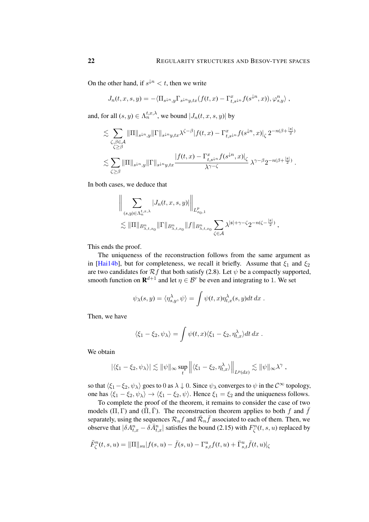On the other hand, if  $s^{\downarrow n} < t$ , then we write

$$
J_n(t, x, s, y) = -\langle \Pi_{s \downarrow n, y} \Gamma_{s \downarrow n} y, tx (f(t, x) - \Gamma_{t, s \downarrow n}^x f(s^{\downarrow n}, x)), \varphi_{s, y}^n \rangle,
$$

and, for all  $(s, y) \in \Lambda_n^{t, x, \lambda}$ , we bound  $|J_n(t, x, s, y)|$  by

$$
\lesssim \sum_{\substack{\zeta,\beta \in \mathcal{A} \\ \zeta \geq \beta}} \|\Pi\|_{s^{\downarrow n},y} \|\Gamma\|_{s^{\downarrow n}y,tx} \lambda^{\zeta-\beta} |f(t,x) - \Gamma_{t,s^{\downarrow n}}^{x} f(s^{\downarrow n},x)|_{\zeta} 2^{-n(\beta + \frac{|\mathfrak{s}|}{2})}
$$
  

$$
\lesssim \sum_{\zeta \geq \beta} \|\Pi\|_{s^{\downarrow n},y} \|\Gamma\|_{s^{\downarrow n}y,tx} \frac{|f(t,x) - \Gamma_{t,s^{\downarrow n}}^{x} f(s^{\downarrow n},x)|_{\zeta}}{\lambda^{\gamma-\zeta}} \lambda^{\gamma-\beta} 2^{-n(\beta + \frac{|\mathfrak{s}|}{2})}.
$$

In both cases, we deduce that

$$
\left\| \sum_{(s,y)\in \Lambda_n^{t,x,\lambda}} |J_n(t,x,s,y)| \right\|_{L_{x_0,1}^p} \n\lesssim \|\Pi\|_{B_{\lambda,t,x_0}^n} \|\Gamma\|_{B_{\lambda,t,x_0}^n} \|f\|_{B_{\lambda,t,x_0}^n} \sum_{\zeta \in \mathcal{A}} \lambda^{|s|+\gamma-\zeta} 2^{-n(\zeta-\frac{|s|}{2})},
$$

This ends the proof.

The uniqueness of the reconstruction follows from the same argument as in [\[Hai14b\]](#page-49-2), but for completeness, we recall it briefly. Assume that  $\xi_1$  and  $\xi_2$ are two candidates for  $\mathcal{R}f$  that both satisfy [\(2.8\)](#page-14-2). Let  $\psi$  be a compactly supported, smooth function on  $\mathbf{R}^{d+1}$  and let  $\eta \in \mathcal{B}^r$  be even and integrating to 1. We set

$$
\psi_{\lambda}(s,y) = \langle \eta_{s,y}^{\lambda}, \psi \rangle = \int \psi(t,x) \eta_{t,x}^{\lambda}(s,y) dt dx.
$$

Then, we have

$$
\langle \xi_1 - \xi_2, \psi_\lambda \rangle = \int \psi(t, x) \langle \xi_1 - \xi_2, \eta_{t, x}^\lambda \rangle dt \, dx \; .
$$

We obtain

$$
|\langle \xi_1 - \xi_2, \psi_\lambda \rangle| \lesssim \|\psi\|_\infty \sup_t \left\| \langle \xi_1 - \xi_2, \eta_{t,x}^\lambda \rangle \right\|_{L^p(dx)} \lesssim \|\psi\|_\infty \lambda^\gamma,
$$

so that  $\langle \xi_1-\xi_2, \psi_\lambda \rangle$  goes to 0 as  $\lambda \downarrow 0$ . Since  $\psi_\lambda$  converges to  $\psi$  in the  $C^\infty$  topology, one has  $\langle \xi_1 - \xi_2, \psi_\lambda \rangle \rightarrow \langle \xi_1 - \xi_2, \psi \rangle$ . Hence  $\xi_1 = \xi_2$  and the uniqueness follows.

To complete the proof of the theorem, it remains to consider the case of two models (Π, Γ) and ( $\overline{\Pi}$ , Γ). The reconstruction theorem applies to both f and  $\overline{f}$ separately, using the sequences  $\mathcal{R}_n f$  and  $\bar{\mathcal{R}}_n \bar{f}$  associated to each of them. Then, we observe that  $|\delta A_{t,x}^n - \delta \bar{A}_{t,x}^n|$  satisfies the bound [\(2.15\)](#page-18-3) with  $F_{\zeta}^n(t,s,u)$  replaced by

$$
\tilde{F}_{\zeta}^{n}(t,s,u) = ||\Pi||_{su}|f(s,u) - \bar{f}(s,u) - \Gamma_{s,t}^{u}f(t,u) + \bar{\Gamma}_{s,t}^{u}f(t,u)|_{\zeta}
$$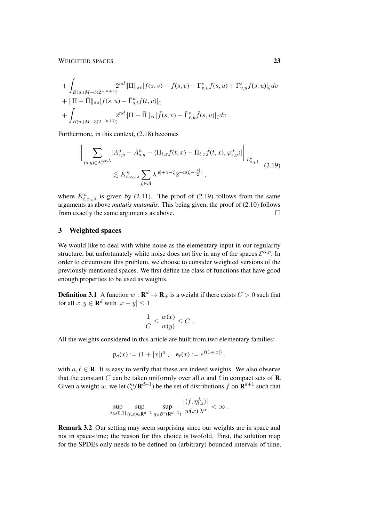### WEIGHTED SPACES 23

+ 
$$
\int_{B(u,(M+3)2^{-(n+1)})} 2^{nd} \|\Pi\|_{sv} |f(s,v) - \bar{f}(s,v) - \Gamma_{v,u}^s f(s,u) + \bar{\Gamma}_{v,u}^s \bar{f}(s,u)|_{\zeta} dv
$$
  
+  $\|\Pi - \bar{\Pi}\|_{su} |\bar{f}(s,u) - \bar{\Gamma}_{s,t}^u \bar{f}(t,u)|_{\zeta}$   
+  $\int_{B(u,(M+3)2^{-(n+1)})} 2^{nd} \|\Pi - \bar{\Pi}\|_{sv} |\bar{f}(s,v) - \bar{\Gamma}_{v,u}^s \bar{f}(s,u)|_{\zeta} dv$ .

Furthermore, in this context, [\(2.18\)](#page-18-0) becomes

<span id="page-22-1"></span>
$$
\left\| \sum_{(s,y)\in\Lambda_n^{t,x,\lambda}} |A^n_{s,y} - \bar{A}^n_{s,y} - \langle \Pi_{t,x} f(t,x) - \bar{\Pi}_{t,x} \bar{f}(t,x), \varphi^n_{s,y} \rangle| \right\|_{L^p_{x_0,1}} \leq K^n_{t,x_0,\lambda} \sum_{\zeta \in \mathcal{A}} \lambda^{|s| + \gamma - \zeta} 2^{-n(\zeta - \frac{|s|}{2})},
$$
\n(2.19)

where  $K_{t,x_0,\lambda}^n$  is given by [\(2.11\)](#page-14-3). The proof of [\(2.19\)](#page-22-1) follows from the same arguments as above *mutatis mutandis*. This being given, the proof of [\(2.10\)](#page-14-4) follows from exactly the same arguments as above.

## <span id="page-22-0"></span>3 Weighted spaces

We would like to deal with white noise as the elementary input in our regularity structure, but unfortunately white noise does not live in any of the spaces  $\mathcal{E}^{\alpha,p}$ . In order to circumvent this problem, we choose to consider weighted versions of the previously mentioned spaces. We first define the class of functions that have good enough properties to be used as weights.

**Definition 3.1** A function  $w : \mathbf{R}^d \to \mathbf{R}_+$  is a weight if there exists  $C > 0$  such that for all  $x, y \in \mathbf{R}^d$  with  $|x - y| \leq 1$ 

<span id="page-22-2"></span>
$$
\frac{1}{C} \le \frac{w(x)}{w(y)} \le C.
$$

All the weights considered in this article are built from two elementary families:

$$
p_a(x) := (1+|x|)^a , \quad e_{\ell}(x) := e^{\ell(1+|x|)} ,
$$

with  $a, \ell \in \mathbf{R}$ . It is easy to verify that these are indeed weights. We also observe that the constant C can be taken uniformly over all  $a$  and  $\ell$  in compact sets of **R**. Given a weight w, we let  $C_{w}^{\alpha}(\mathbf{R}^{d+1})$  be the set of distributions f on  $\mathbf{R}^{d+1}$  such that

$$
\sup_{\lambda\in(0,1]} \sup_{(t,x)\in\mathbf{R}^{d+1}} \sup_{\eta\in\mathcal{B}^r(\mathbf{R}^{d+1})} \frac{|\langle f,\eta_{t,x}^\lambda\rangle|}{w(x)\,\lambda^\alpha}<\infty\;.
$$

Remark 3.2 Our setting may seem surprising since our weights are in space and not in space-time; the reason for this choice is twofold. First, the solution map for the SPDEs only needs to be defined on (arbitrary) bounded intervals of time,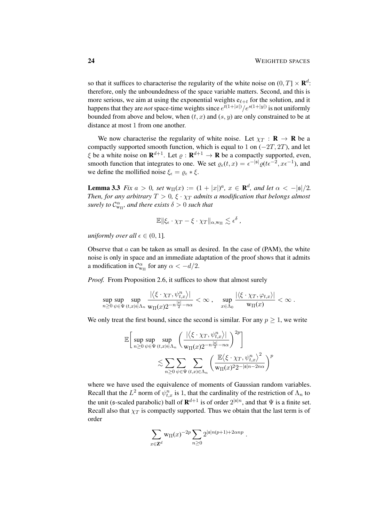so that it suffices to characterise the regularity of the white noise on  $(0, T] \times \mathbf{R}^d$ : therefore, only the unboundedness of the space variable matters. Second, and this is more serious, we aim at using the exponential weights  $e_{\ell+t}$  for the solution, and it happens that they are *not* space-time weights since  $e^{t(1+|x|)}/e^{s(1+|y|)}$  is not uniformly bounded from above and below, when  $(t, x)$  and  $(s, y)$  are only constrained to be at distance at most 1 from one another.

We now characterise the regularity of white noise. Let  $\chi_T : \mathbf{R} \to \mathbf{R}$  be a compactly supported smooth function, which is equal to 1 on  $(-2T, 2T)$ , and let  $\xi$  be a white noise on  $\mathbf{R}^{d+1}$ . Let  $\varrho : \mathbf{R}^{d+1} \to \mathbf{R}$  be a compactly supported, even, smooth function that integrates to one. We set  $\varrho_{\epsilon}(t,x) = \epsilon^{-|\mathfrak{s}|} \varrho(t \epsilon^{-2}, x \epsilon^{-1})$ , and we define the mollified noise  $\xi_{\epsilon} = \varrho_{\epsilon} * \xi$ .

<span id="page-23-0"></span>**Lemma 3.3** *Fix*  $a > 0$ *, set*  $w_{\Pi}(x) := (1 + |x|)^a$ *,*  $x \in \mathbb{R}^d$ *, and let*  $\alpha < -|s|/2$ *. Then, for any arbitrary*  $T > 0$ ,  $\xi \cdot \chi_T$  *admits a modification that belongs almost surely to*  $C_{w_{\text{II}}}^{\alpha}$ *, and there exists*  $\delta > 0$  *such that* 

$$
\mathbb{E} \|\xi_{\epsilon} \cdot \chi_T - \xi \cdot \chi_T\|_{\alpha, w_{\Pi}} \lesssim \epsilon^{\delta} ,
$$

*uniformly over all*  $\epsilon \in (0, 1]$ *.* 

Observe that  $a$  can be taken as small as desired. In the case of (PAM), the white noise is only in space and an immediate adaptation of the proof shows that it admits a modification in  $C_{w_{\Pi}}^{\alpha}$  for any  $\alpha < -d/2$ .

*Proof.* From Proposition [2.6,](#page-11-0) it suffices to show that almost surely

$$
\sup_{n\geq 0}\sup_{\psi\in\Psi}\sup_{(t,x)\in\Lambda_n}\frac{|\left\langle \xi\cdot\chi_T,\psi^n_{t,x}\right\rangle|}{\operatorname{w}_{\Pi}(x)2^{-n\frac{|s|}{2}-n\alpha}}<\infty\;,\quad\sup_{x\in\Lambda_0}\frac{|\left\langle \xi\cdot\chi_T,\varphi_{t,x}\right\rangle|}{\operatorname{w}_{\Pi}(x)}<\infty\;.
$$

We only treat the first bound, since the second is similar. For any  $p \geq 1$ , we write

$$
\mathbb{E}\bigg[\sup_{n\geq 0}\sup_{\psi\in\Psi}\sup_{(t,x)\in\Lambda_n}\bigg(\frac{|\langle \xi\cdot\chi_T,\psi^n_{t,x}\rangle|}{\mathrm{w}_{\Pi}(x)2^{-n\frac{|\mathfrak{s}|}{2}-n\alpha}}\bigg)^{2p}\bigg]\\\lesssim \sum_{n\geq 0}\sum_{\psi\in\Psi}\sum_{(t,x)\in\Lambda_n}\bigg(\frac{\mathbb{E}\langle \xi\cdot\chi_T,\psi^n_{t,x}\rangle^2}{\mathrm{w}_{\Pi}(x)^{2}2^{-|\mathfrak{s}|n-2n\alpha}}\bigg)^{p}
$$

where we have used the equivalence of moments of Gaussian random variables. Recall that the  $L^2$  norm of  $\psi_{t,x}^n$  is 1, that the cardinality of the restriction of  $\Lambda_n$  to the unit (s-scaled parabolic) ball of  $\mathbf{R}^{d+1}$  is of order  $2^{|\mathfrak{s}|n}$ , and that  $\Psi$  is a finite set. Recall also that  $\chi_T$  is compactly supported. Thus we obtain that the last term is of order

$$
\sum_{x\in\mathbf{Z}^d}\mathbf{w}_{\Pi}(x)^{-2p}\sum_{n\geq 0}2^{|{\mathfrak s}|n(p+1)+2\alpha np}.
$$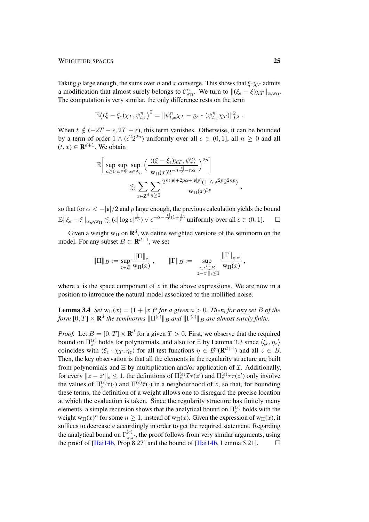### WEIGHTED SPACES 25

Taking p large enough, the sums over n and x converge. This shows that  $\xi \cdot \chi_T$  admits a modification that almost surely belongs to  $\mathcal{C}_{w_{\Pi}}^{\alpha}$ . We turn to  $\|(\xi_{\epsilon} - \xi)\chi_T\|_{\alpha, w_{\Pi}}$ . The computation is very similar, the only difference rests on the term

$$
\mathbb{E}\langle (\xi-\xi_{\epsilon})\chi_T, \psi^n_{t,x} \rangle^2 = \|\psi^n_{t,x}\chi_T - \varrho_{\epsilon} * (\psi^n_{t,x}\chi_T)\|_{L^2}^2.
$$

When  $t \notin (-2T - \epsilon, 2T + \epsilon)$ , this term vanishes. Otherwise, it can be bounded by a term of order  $1 \wedge (\epsilon^2 2^{2n})$  uniformly over all  $\epsilon \in (0,1]$ , all  $n \ge 0$  and all  $(t, x) \in \mathbf{R}^{d+1}$ . We obtain

$$
\mathbb{E}\bigg[\sup_{n\geq 0}\sup_{\psi\in\Psi}\sup_{x\in\Lambda_n}\Big(\frac{|\langle(\xi-\xi_{\epsilon})\chi_T,\psi^n_x\rangle|}{\mathrm{w}_{\Pi}(x)2^{-n\frac{|\mathfrak{s}|}{2}-n\alpha}}\Big)^{2p}\bigg]\\\lesssim \sum_{x\in\mathbf{Z}^d}\sum_{n\geq 0}\frac{2^{n(|\mathfrak{s}|+2p\alpha+|\mathfrak{s}|p)}(1\wedge \epsilon^{2p}2^{2np})}{\mathrm{w}_{\Pi}(x)^{2p}}\,,
$$

so that for  $\alpha < -|\mathfrak{s}|/2$  and p large enough, the previous calculation yields the bound  $\mathbb{E} \|\xi_{\epsilon} - \xi\|_{\alpha,p,\text{w}_{\Pi}} \lesssim (\epsilon |\log \epsilon|^{\frac{1}{2p}}) \vee \epsilon^{-\alpha - \frac{\|\mathfrak{s}\|}{2}(1 + \frac{1}{p})}$  uniformly over all  $\epsilon \in (0,1].$ 

Given a weight  $w_{\Pi}$  on  $\mathbf{R}^{d}$ , we define weighted versions of the seminorm on the model. For any subset  $B \subset \mathbf{R}^{d+1}$ , we set

$$
\|\Pi\|_B:=\sup_{z\in B}\frac{\|\Pi\|_z}{\mathrm{w}_\Pi(x)}\;,\qquad \|\Gamma\|_B:=\sup_{\substack{z,z'\in B\\ \|z-z'\|_s\le 1}}\frac{\|\Gamma\|_{z,z'}}{\mathrm{w}_\Pi(x)}\;,
$$

where  $x$  is the space component of  $z$  in the above expressions. We are now in a position to introduce the natural model associated to the mollified noise.

<span id="page-24-0"></span>**Lemma 3.4** *Set*  $w_{\Pi}(x) = (1 + |x|)^a$  *for a given*  $a > 0$ *. Then, for any set B of the* form  $[0,T]\times\mathbf{R}^d$  the seminorms  $|\!|\!|\Pi^{(\varepsilon)}|\!|\!|_B$  and  $|\!|\!|\Gamma^{(\varepsilon)}|\!|\!|_B$  are almost surely finite.

*Proof.* Let  $B = [0, T] \times \mathbf{R}^d$  for a given  $T > 0$ . First, we observe that the required bound on  $\Pi_z^{(\varepsilon)}$  holds for polynomials, and also for  $\Xi$  by Lemma [3.3](#page-23-0) since  $\langle \xi_\varepsilon, \eta_z \rangle$ coincides with  $\langle \xi_{\epsilon} \cdot \chi_T , \eta_z \rangle$  for all test functions  $\eta \in \mathcal{B}^r(\mathbf{R}^{d+1})$  and all  $z \in B$ . Then, the key observation is that all the elements in the regularity structure are built from polynomials and  $\Xi$  by multiplication and/or application of  $\mathcal I$ . Additionally, for every  $||z - z'||_{\mathfrak{s}} \leq 1$ , the definitions of  $\Pi_z^{(\varepsilon)} \mathcal{I} \tau(z')$  and  $\Pi_z^{(\varepsilon)} \tau \bar{\tau}(z')$  only involve the values of  $\Pi_z^{(\varepsilon)}\tau(\cdot)$  and  $\Pi_z^{(\varepsilon)}\bar{\tau}(\cdot)$  in a neighourhood of z, so that, for bounding these terms, the definition of a weight allows one to disregard the precise location at which the evaluation is taken. Since the regularity structure has finitely many elements, a simple recursion shows that the analytical bound on  $\Pi_z^{(\varepsilon)}$  holds with the weight  $w_{\Pi}(x)^n$  for some  $n \ge 1$ , instead of  $w_{\Pi}(x)$ . Given the expression of  $w_{\Pi}(x)$ , it suffices to decrease a accordingly in order to get the required statement. Regarding the analytical bound on  $\Gamma_{z,z'}^{(\varepsilon)}$ , the proof follows from very similar arguments, using the proof of [\[Hai14b,](#page-49-2) Prop 8.27] and the bound of [Hai14b, Lemma 5.21].  $\Box$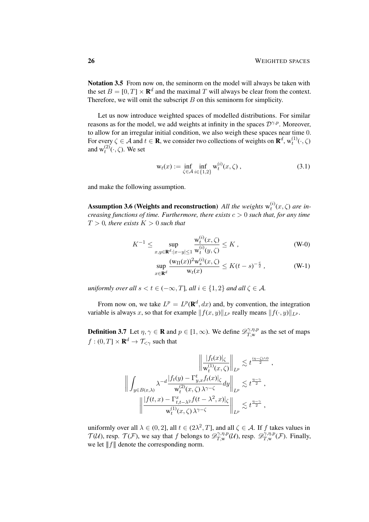Notation 3.5 From now on, the seminorm on the model will always be taken with the set  $B = [0, T] \times \mathbf{R}^d$  and the maximal T will always be clear from the context. Therefore, we will omit the subscript  $B$  on this seminorm for simplicity.

Let us now introduce weighted spaces of modelled distributions. For similar reasons as for the model, we add weights at infinity in the spaces  $\mathcal{D}^{\gamma,p}$ . Moreover, to allow for an irregular initial condition, we also weigh these spaces near time 0. For every  $\zeta \in A$  and  $t \in \mathbf{R}$ , we consider two collections of weights on  $\mathbf{R}^d$ ,  $w_t^{(1)}(\cdot,\zeta)$ and  $w_t^{(2)}(\cdot,\zeta)$ . We set

<span id="page-25-1"></span>
$$
w_t(x) := \inf_{\zeta \in A} \inf_{i \in \{1,2\}} w_t^{(i)}(x, \zeta) , \qquad (3.1)
$$

and make the following assumption.

**Assumption 3.6 (Weights and reconstruction)** All the weights  $w_t^{(i)}(x,\zeta)$  are in*creasing functions of time. Furthermore, there exists*  $c > 0$  *such that, for any time*  $T > 0$ *, there exists*  $K > 0$  *such that* 

<span id="page-25-0"></span> $\alpha$ 

$$
K^{-1} \le \sup_{x,y \in \mathbf{R}^d : |x-y| \le 1} \frac{\mathbf{w}_t^{(i)}(x,\zeta)}{\mathbf{w}_t^{(i)}(y,\zeta)} \le K , \tag{W-0}
$$

$$
\sup_{x \in \mathbf{R}^d} \frac{(\mathbf{w}_{\Pi}(x))^2 \mathbf{w}_s^{(i)}(x, \zeta)}{\mathbf{w}_t(x)} \le K(t-s)^{-\frac{c}{2}}, \quad (\mathbf{W}\text{-}1)
$$

*uniformly over all*  $s < t \in (-\infty, T]$ *, all*  $i \in \{1, 2\}$  *and all*  $\zeta \in \mathcal{A}$ *.* 

From now on, we take  $L^p = L^p(\mathbf{R}^d, dx)$  and, by convention, the integration variable is always x, so that for example  $|| f(x, y)||_{L^p}$  really means  $|| f(\cdot, y)||_{L^p}$ .

**Definition 3.7** Let  $\eta, \gamma \in \mathbf{R}$  and  $p \in [1, \infty)$ . We define  $\mathscr{D}_{T,w}^{\gamma, \eta, p}$  $T_{,w}^{\gamma,\eta,p}$  as the set of maps  $f:(0,T]\times\mathbf{R}^d\to\mathcal{T}_{\leq\gamma}$  such that

$$
\left\| \int_{y \in B(x,\lambda)} \lambda^{-d} \frac{|f_t(x)|_{\zeta}}{w_t^{(1)}(x,\zeta)} \right\|_{L^p} \lesssim t^{\frac{(\eta-\zeta)\wedge 0}{2}},
$$
  

$$
\left\| \int_{y \in B(x,\lambda)} \lambda^{-d} \frac{|f_t(y) - \Gamma_{y,x}^t f_t(x)|_{\zeta}}{w_t^{(2)}(x,\zeta)} dy \right\|_{L^p} \lesssim t^{\frac{\eta-\gamma}{2}},
$$
  

$$
\left\| \frac{|f(t,x) - \Gamma_{t,t-\lambda^2}^x f(t-\lambda^2,x)|_{\zeta}}{w_t^{(1)}(x,\zeta)\lambda^{\gamma-\zeta}} \right\|_{L^p} \lesssim t^{\frac{\eta-\gamma}{2}},
$$

uniformly over all  $\lambda \in (0, 2]$ , all  $t \in (2\lambda^2, T]$ , and all  $\zeta \in A$ . If f takes values in  $\mathcal{T}(\mathcal{U})$ , resp.  $\mathcal{T}(\mathcal{F})$ , we say that f belongs to  $\mathscr{D}_{T,w}^{\gamma,\eta,p}$  $\mathcal{D}^{\gamma,\eta,p}_{T,\mathrm{w}}(\mathcal{U})$ , resp.  $\mathscr{D}^{\gamma,\eta,p}_{T,\mathrm{w}}$  $T_{,w}^{\gamma,\eta,p}(\mathcal{F})$ . Finally, we let  $|| f ||$  denote the corresponding norm.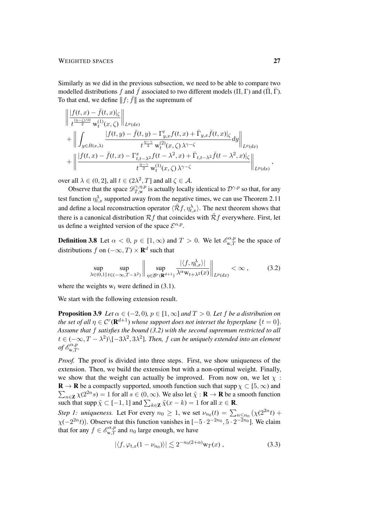### WEIGHTED SPACES 27

Similarly as we did in the previous subsection, we need to be able to compare two modelled distributions f and  $\bar{f}$  associated to two different models (Π, Γ) and ( $\bar{\Pi}$ , Γ). To that end, we define  $|| f; \bar{f} ||$  as the supremum of

$$
\begin{split}\n&\left\|\frac{|f(t,x)-\bar{f}(t,x)|_{\zeta}}{t^{\frac{(\eta-\zeta)\wedge 0}{2}}w_{t}^{(1)}(x,\zeta)}\right\|_{L^{p}(dx)} \\
&+ \left\|\int_{y\in B(x,\lambda)} \frac{|f(t,y)-\bar{f}(t,y)-\Gamma_{y,x}^{t}f(t,x)+\bar{\Gamma}_{y,x}\bar{f}(t,x)|_{\zeta}}{t^{\frac{\eta-\gamma}{2}}w_{t}^{(2)}(x,\zeta)\lambda^{\gamma-\zeta}}dy\right\|_{L^{p}(dx)} \\
&+ \left\|\frac{|f(t,x)-\bar{f}(t,x)-\Gamma_{t,t-\lambda^2}^{x}f(t-\lambda^2,x)+\bar{\Gamma}_{t,t-\lambda^2}\bar{f}(t-\lambda^2,x)|_{\zeta}}{t^{\frac{\eta-\gamma}{2}}w_{t}^{(1)}(x,\zeta)\lambda^{\gamma-\zeta}}\right\|_{L^{p}(dx)},\n\end{split}
$$

over all  $\lambda \in (0, 2]$ , all  $t \in (2\lambda^2, T]$  and all  $\zeta \in \mathcal{A}$ .

Observe that the space  $\mathscr{D}_{T,w}^{\gamma,\eta,p}$  $T_{T,w}^{\gamma,\eta,p}$  is actually locally identical to  $\mathcal{D}^{\gamma,p}$  so that, for any test function  $\eta_{t,x}^{\lambda}$  supported away from the negative times, we can use Theorem [2.11](#page-14-0) and define a local reconstruction operator  $\langle \tilde{\mathcal{R}}f, \eta_{t,x}^{\lambda} \rangle$ . The next theorem shows that there is a canonical distribution  $\mathcal{R}f$  that coincides with  $\tilde{\mathcal{R}}f$  everywhere. First, let us define a weighted version of the space  $\mathcal{E}^{\alpha,p}$ .

**Definition 3.8** Let  $\alpha < 0$ ,  $p \in [1, \infty)$  and  $T > 0$ . We let  $\mathcal{E}_{w,T}^{\alpha, p}$  be the space of distributions f on  $(-\infty, T) \times \mathbf{R}^d$  such that

<span id="page-26-2"></span><span id="page-26-1"></span><span id="page-26-0"></span>
$$
\sup_{\lambda \in (0,1]} \sup_{t \in (-\infty,T-\lambda^2)} \left\| \sup_{\eta \in \mathcal{B}^r(\mathbf{R}^{d+1})} \frac{|\langle f, \eta_{t,x}^\lambda \rangle|}{\lambda^\alpha w_{t+\lambda^2}(x)} \right\|_{L^p(dx)} < \infty ,\tag{3.2}
$$

where the weights  $w_t$  were defined in [\(3.1\)](#page-25-0).

We start with the following extension result.

**Proposition 3.9** *Let*  $\alpha \in (-2,0)$ *,*  $p \in [1,\infty]$  *and*  $T > 0$ *. Let*  $f$  *be a distribution on the set of all*  $\eta \in \mathcal{C}^r(\mathbf{R}^{d+1})$  whose support does not interset the hyperplane  $\{t = 0\}.$ *Assume that* f *satisfies the bound [\(3.2\)](#page-26-1) with the second supremum restricted to all*  $t \in (-\infty, T - \lambda^2) \setminus [-3\lambda^2, 3\lambda^2]$ . Then, f can be uniquely extended into an element  $\int d^{\alpha,p}_{w,T}$ .

*Proof.* The proof is divided into three steps. First, we show uniqueness of the extension. Then, we build the extension but with a non-optimal weight. Finally, we show that the weight can actually be improved. From now on, we let  $\chi$ :  $\mathbf{R} \to \mathbf{R}$  be a compactly supported, smooth function such that supp  $\chi \subset [5,\infty)$  and  $\sum_{n\in\mathbb{Z}} \chi(2^{2n}s) = 1$  for all  $s \in (0,\infty)$ . We also let  $\tilde{\chi}: \mathbb{R} \to \mathbb{R}$  be a smooth function such that supp  $\tilde{\chi} \subset [-1, 1]$  and  $\sum_{k \in \mathbb{Z}} \tilde{\chi}(x - k) = 1$  for all  $x \in \mathbb{R}$ .

*Step 1: uniqueness.* Let For every  $n_0 \ge 1$ , we set  $\nu_{n_0}(t) = \sum_{n \le n_0} (\chi(2^{2n} t) +$  $\chi(-2^{2n}t)$ ). Observe that this function vanishes in  $[-5 \cdot 2^{-2n_0}, 5 \cdot 2^{-\overline{2}n_0}]$ . We claim that for any  $f \in \mathscr{E}_{w,T}^{\alpha,p}$  and  $n_0$  large enough, we have

$$
|\langle f, \varphi_{t,x}(1-\nu_{n_0})\rangle| \lesssim 2^{-n_0(2+\alpha)} \mathsf{w}_T(x) , \qquad (3.3)
$$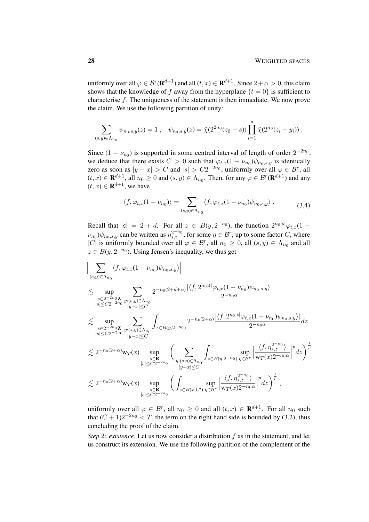uniformly over all  $\varphi \in \mathcal{B}^r(\mathbf{R}^{d+1})$  and all  $(t, x) \in \mathbf{R}^{d+1}$ . Since  $2 + \alpha > 0$ , this claim shows that the knowledge of f away from the hyperplane  $\{t = 0\}$  is sufficient to characterise f. The uniqueness of the statement is then immediate. We now prove the claim. We use the following partition of unity:

$$
\sum_{(s,y)\in\Lambda_{n_0}} \psi_{n_0,s,y}(z) = 1 \ , \quad \psi_{n_0,s,y}(z) = \tilde{\chi}(2^{2n_0}(z_0-s)) \prod_{i=1}^d \tilde{\chi}(2^{n_0}(z_i - y_i)) \ .
$$

Since  $(1 - \nu_{n_0})$  is supported in some centred interval of length of order  $2^{-2n_0}$ , we deduce that there exists  $C > 0$  such that  $\varphi_{t,x}(1 - \nu_{n_0})\psi_{n_0,s,y}$  is identically zero as soon as  $|y - x| > C$  and  $|s| > C2^{-2n_0}$ , uniformly over all  $\varphi \in \mathcal{B}^r$ , all  $(t, x) \in \mathbf{R}^{d+1}$ , all  $n_0 \ge 0$  and  $(s, y) \in \Lambda_{n_0}$ . Then, for any  $\varphi \in \mathcal{B}^r(\mathbf{R}^{d+1})$  and any  $(t, x) \in \mathbf{R}^{d+1}$ , we have

$$
\langle f, \varphi_{t,x}(1-\nu_{n_0}) \rangle = \sum_{(s,y)\in\Lambda_{n_0}} \langle f, \varphi_{t,x}(1-\nu_{n_0})\psi_{n_0,s,y} \rangle . \tag{3.4}
$$

Recall that  $|\mathfrak{s}| = 2 + d$ . For all  $z \in B(y, 2^{-n_0})$ , the function  $2^{n_0 |\mathfrak{s}|} \varphi_{t,x} (1 (\nu_{n_0})\psi_{n_0,s,y}$  can be written as  $\eta_{s,z}^{2^{-n_0}}$ , for some  $\eta \in \mathcal{B}^r$ , up to some factor C, where |C| is uniformly bounded over all  $\varphi \in \mathcal{B}^r$ , all  $n_0 \geq 0$ , all  $(s, y) \in \Lambda_{n_0}$  and all  $z \in B(y, 2^{-n_0})$ . Using Jensen's inequality, we thus get

$$
\Big|\sum_{(s,y)\in\Lambda_{n_0}}\langle f, \varphi_{t,x}(1-\nu_{n_0})\psi_{n_0,s,y}\rangle\Big|
$$
  
\n
$$
\lesssim \sup_{\substack{s\in 2^{-2n_0}\mathbf{Z}\\|s|\le C2^{-2n_0}\\|s|\le C2^{-2n_0}}}\sum_{y:(s,y)\in\Lambda_{n_0}}2^{-n_0(2+d+\alpha)}\frac{|\langle f, 2^{n_0|s}|\varphi_{t,x}(1-\nu_{n_0})\psi_{n_0,s,y}\rangle|}{2^{-n_0\alpha}}\\ \lesssim \sup_{\substack{s\in 2^{-2n_0}\mathbf{Z}\\|s|\le C2^{-2n_0}}}\sum_{\substack{y:(s,y)\in\Lambda_{n_0}\\|y-x|\le C\\|y-x|\le C}}\int_{z\in B(y,2^{-n_0})}2^{-n_0(2+\alpha)}\frac{|\langle f, 2^{n_0|s}|\varphi_{t,x}(1-\nu_{n_0})\psi_{n_0,s,y}\rangle|}{2^{-n_0\alpha}}dz\\ \lesssim 2^{-n_0(2+\alpha)}\mathrm{w}_T(x)\sup_{\substack{s\in \mathbf{R}\\|s|\le C2^{-2n_0}}}\left(\sum_{\substack{y:(s,y)\in\Lambda_{n_0}\\|y-x|\le C\\|y-x|\le C}}\int_{z\in B(y,2^{-n_0})}\sup_{\eta\in \mathcal{B}^r}\left|\frac{\langle f, \eta_{s,z}^{2^{-n_0}}\rangle}{\mathrm{w}_T(x)2^{-n_0\alpha}}\right|^p dz\right)^{\frac{1}{p}}\\ \lesssim 2^{-n_0(2+\alpha)}\mathrm{w}_T(x)\sup_{\substack{s\in \mathbf{R}\\|s|\le C2^{-2n_0}}}\left(\int_{z\in B(x,C')}\sup_{\eta\in \mathcal{B}^r}\left|\frac{\langle f, \eta_{s,z}^{2^{-n_0}}\rangle}{\mathrm{w}_T(x)2^{-n_0\alpha}}\right|^p dz\right)^{\frac{1}{p}},
$$

uniformly over all  $\varphi \in \mathcal{B}^r$ , all  $n_0 \geq 0$  and all  $(t, x) \in \mathbf{R}^{d+1}$ . For all  $n_0$  such that  $(C + 1)2^{-2n_0} < T$ , the term on the right hand side is bounded by [\(3.2\)](#page-26-1), thus concluding the proof of the claim.

*Step 2: existence.* Let us now consider a distribution  $f$  as in the statement, and let us construct its extension. We use the following partition of the complement of the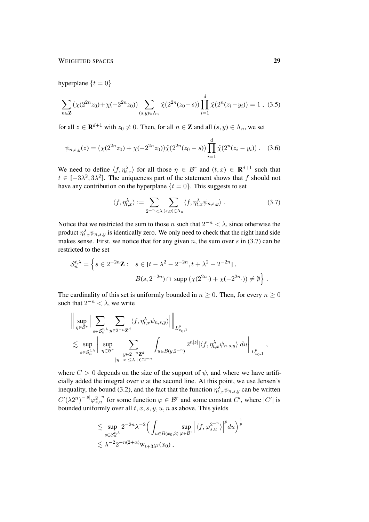### WEIGHTED SPACES 29

hyperplane  $\{t = 0\}$ 

 $\mathbf{r}$ 

$$
\sum_{n \in \mathbf{Z}} \left( \chi(2^{2n} z_0) + \chi(-2^{2n} z_0) \right) \sum_{(s,y) \in \Lambda_n} \tilde{\chi}(2^{2n} (z_0 - s)) \prod_{i=1}^d \tilde{\chi}(2^n (z_i - y_i)) = 1 , (3.5)
$$

for all  $z \in \mathbf{R}^{d+1}$  with  $z_0 \neq 0$ . Then, for all  $n \in \mathbf{Z}$  and all  $(s, y) \in \Lambda_n$ , we set

$$
\psi_{n,s,y}(z) = (\chi(2^{2n}z_0) + \chi(-2^{2n}z_0))\tilde{\chi}(2^{2n}(z_0 - s))\prod_{i=1}^d \tilde{\chi}(2^n(z_i - y_i)).
$$
 (3.6)

We need to define  $\langle f, \eta_{t,x}^{\lambda} \rangle$  for all those  $\eta \in \mathcal{B}^r$  and  $(t, x) \in \mathbb{R}^{d+1}$  such that  $t \in [-3\lambda^2, 3\lambda^2]$ . The uniqueness part of the statement shows that f should not have any contribution on the hyperplane  $\{t = 0\}$ . This suggests to set

$$
\langle f, \eta_{t,x}^{\lambda} \rangle := \sum_{2^{-n} < \lambda} \sum_{(s,y) \in \Lambda_n} \langle f, \eta_{t,x}^{\lambda} \psi_{n,s,y} \rangle . \tag{3.7}
$$

<span id="page-28-1"></span><span id="page-28-0"></span>d

Notice that we restricted the sum to those n such that  $2^{-n} < \lambda$ , since otherwise the product  $\eta_{t,x}^{\lambda}\psi_{n,s,y}$  is identically zero. We only need to check that the right hand side makes sense. First, we notice that for any given n, the sum over s in  $(3.7)$  can be restricted to the set

$$
\mathcal{S}_n^{t,\lambda} = \left\{ s \in 2^{-2n} \mathbf{Z} : s \in [t - \lambda^2 - 2^{-2n}, t + \lambda^2 + 2^{-2n}], \right\}
$$

$$
B(s, 2^{-2n}) \cap \text{ supp } (\chi(2^{2n} \cdot) + \chi(-2^{2n} \cdot)) \neq \emptyset \right\}.
$$

The cardinality of this set is uniformly bounded in  $n \geq 0$ . Then, for every  $n \geq 0$ such that  $2^{-n} < \lambda$ , we write

$$
\begin{aligned} & \left\| \sup_{\eta \in \mathcal{B}^r} \Big| \sum_{s \in \mathcal{S}_n^{t,\lambda}} \sum_{y \in 2^{-n} \mathbf{Z}^d} \langle f, \eta_{t,x}^\lambda \psi_{n,s,y} \rangle \Big| \right\|_{L^p_{x_0,1}} \\ & \lesssim \sup_{s \in \mathcal{S}_n^{t,\lambda}} \left\| \sup_{\eta \in \mathcal{B}^r} \sum_{\substack{y \in 2^{-n} \mathbf{Z}^d \\ |y - x| \leq \lambda + C2^{-n}}} \int_{u \in B(y,2^{-n})} 2^{n|\mathfrak{s}|} |\langle f, \eta_{t,x}^\lambda \psi_{n,s,y} \rangle| du \right\|_{L^p_{x_0,1}}, \end{aligned}
$$

where  $C > 0$  depends on the size of the support of  $\psi$ , and where we have artificially added the integral over  $u$  at the second line. At this point, we use Jensen's inequality, the bound [\(3.2\)](#page-26-1), and the fact that the function  $\eta_{t,x}^{\lambda}\psi_{n,s,y}$  can be written  $C'(\lambda 2^n)^{-|\mathfrak{s}|}\varphi_{s,u}^{2^{-n}}$  for some function  $\varphi \in \mathcal{B}^r$  and some constant  $C'$ , where  $|C'|$  is bounded uniformly over all  $t, x, s, y, u, n$  as above. This yields

$$
\lesssim \sup_{s \in \mathcal{S}_n^{t,\lambda}} 2^{-2n} \lambda^{-2} \Big( \int_{u \in B(x_0,3)} \sup_{\varphi \in \mathcal{B}^r} \Big| \langle f, \varphi_{s,u}^{2^{-n}} \rangle \Big|^p du \Big)^{\frac{1}{p}}
$$
  

$$
\lesssim \lambda^{-2} 2^{-n(2+\alpha)} \mathbf{w}_{t+3\lambda^2}(x_0) ,
$$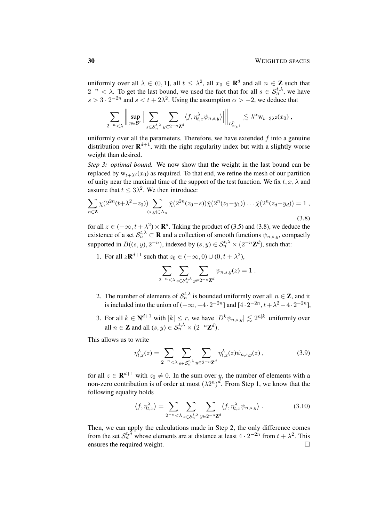uniformly over all  $\lambda \in (0,1]$ , all  $t \leq \lambda^2$ , all  $x_0 \in \mathbf{R}^d$  and all  $n \in \mathbf{Z}$  such that  $2^{-n} < \lambda$ . To get the last bound, we used the fact that for all  $s \in S_n^{t,\lambda}$ , we have  $s > 3 \cdot 2^{-2n}$  and  $s < t + 2\lambda^2$ . Using the assumption  $\alpha > -2$ , we deduce that

$$
\sum_{2^{-n}\leq \lambda} \left\| \sup_{\eta \in \mathcal{B}^r} \Big| \sum_{s \in \mathcal{S}_n^{t,\lambda}} \sum_{y \in 2^{-n} \mathbf{Z}^d} \langle f, \eta_{t,x}^\lambda \psi_{n,s,y} \rangle \Big| \right\|_{L^p_{x_0,1}} \lesssim \lambda^\alpha w_{t+3\lambda^2}(x_0) ,
$$

uniformly over all the parameters. Therefore, we have extended  $f$  into a genuine distribution over  $\mathbf{R}^{d+1}$ , with the right regularity index but with a slightly worse weight than desired.

*Step 3: optimal bound.* We now show that the weight in the last bound can be replaced by  $w_{t+\lambda^2}(x_0)$  as required. To that end, we refine the mesh of our partition of unity near the maximal time of the support of the test function. We fix  $t, x, \lambda$  and assume that  $t \leq 3\lambda^2$ . We then introduce:

$$
\sum_{n\in\mathbf{Z}} \chi(2^{2n}(t+\lambda^2-z_0)) \sum_{(s,y)\in\Lambda_n} \tilde{\chi}(2^{2n}(z_0-s)) \tilde{\chi}(2^n(z_1-y_1)) \dots \tilde{\chi}(2^n(z_d-y_d)) = 1,
$$
\n(3.8)

for all  $z \in (-\infty, t + \lambda^2) \times \mathbf{R}^d$ . Taking the product of [\(3.5\)](#page-28-1) and [\(3.8\)](#page-29-0), we deduce the existence of a set  $\mathcal{S}_n^{t,\lambda} \subset \mathbf{R}$  and a collection of smooth functions  $\psi_{n,s,y}$ , compactly supported in  $B((s, y), 2^{-n})$ , indexed by  $(s, y) \in S_n^{t, \lambda} \times (2^{-n} \mathbb{Z}^d)$ , such that:

1. For all  $z\mathbf{R}^{d+1}$  such that  $z_0 \in (-\infty, 0) \cup (0, t + \lambda^2)$ ,

<span id="page-29-0"></span>
$$
\sum_{2^{-n}\langle\lambda\atop{2^{n}}\langle\lambda,\delta\in\mathcal{S}_{n}^{t,\lambda}}\sum_{y\in 2^{-n}\mathbf{Z}^{d}}\psi_{n,s,y}(z)=1.
$$

- 2. The number of elements of  $S_n^{t,\lambda}$  is bounded uniformly over all  $n \in \mathbb{Z}$ , and it is included into the union of  $(-\infty, -4 \cdot 2^{-2n}]$  and  $[4 \cdot 2^{-2n}, t + \lambda^2 - 4 \cdot 2^{-2n}]$ ,
- 3. For all  $k \in \mathbb{N}^{d+1}$  with  $|k| \leq r$ , we have  $|D^k \psi_{n,s,y}| \lesssim 2^{n|k|}$  uniformly over all  $n \in \mathbb{Z}$  and all  $(s, y) \in \mathcal{S}_n^{t, \lambda} \times (2^{-n} \mathbb{Z}^d)$ .

This allows us to write

$$
\eta_{t,x}^{\lambda}(z) = \sum_{2^{-n} < \lambda} \sum_{s \in \mathcal{S}_n^{t,\lambda}} \sum_{y \in 2^{-n} \mathbb{Z}^d} \eta_{t,x}^{\lambda}(z) \psi_{n,s,y}(z) , \qquad (3.9)
$$

for all  $z \in \mathbf{R}^{d+1}$  with  $z_0 \neq 0$ . In the sum over y, the number of elements with a non-zero contribution is of order at most  $(\lambda 2^n)^d$ . From Step 1, we know that the following equality holds

$$
\langle f, \eta_{t,x}^{\lambda} \rangle = \sum_{2^{-n} < \lambda} \sum_{s \in S_n^{t,\lambda}} \sum_{y \in 2^{-n} \mathbb{Z}^d} \langle f, \eta_{t,x}^{\lambda} \psi_{n,s,y} \rangle . \tag{3.10}
$$

Then, we can apply the calculations made in Step 2, the only difference comes from the set  $S_n^{t,\lambda}$  whose elements are at distance at least  $4 \cdot 2^{-2n}$  from  $t + \lambda^2$ . This ensures the required weight.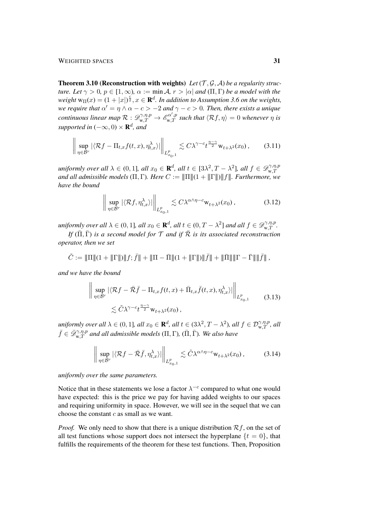WEIGHTED SPACES 31

<span id="page-30-0"></span>**Theorem 3.10 (Reconstruction with weights)** Let  $(T, \mathcal{G}, \mathcal{A})$  be a regularity struc*ture. Let*  $\gamma > 0$ *,*  $p \in [1, \infty)$ *,*  $\alpha := \min A$ *,*  $r > |\alpha|$  *and*  $(\Pi, \Gamma)$  *be a model with the*  $weight w_{\Pi}(x) = (1 + |x|)^{\frac{c}{2}}, x \in \mathbf{R}^{d}$ . In addition to Assumption [3.6](#page-25-1) on the weights, *we require that*  $\alpha' = \eta \wedge \alpha - c > -2$  *and*  $\gamma - c > 0$ *. Then, there exists a unique continuous linear map*  $R: \mathscr{D}_{w,T}^{\gamma,\eta,p} \to \mathscr{E}_{w,T}^{\alpha',p}$  such that  $\langle Rf,\eta \rangle = 0$  whenever  $\eta$  is *supported in*  $(-\infty, 0) \times \mathbf{R}^d$ *, and* 

$$
\left\| \sup_{\eta \in \mathcal{B}^r} |\langle \mathcal{R}f - \Pi_{t,x}f(t,x), \eta_{t,x}^\lambda \rangle| \right\|_{L^p_{x_0,1}} \lesssim C\lambda^{\gamma - c} t^{\frac{\eta - \gamma}{2}} w_{t+\lambda^2}(x_0), \tag{3.11}
$$

*uniformly over all*  $\lambda \in (0,1]$ *, all*  $x_0 \in \mathbf{R}^d$ *, all*  $t \in [3\lambda^2, T - \lambda^2]$ *, all*  $f \in \mathscr{D}_{w,T}^{\gamma,\eta,p}$ and all admissible models  $(\Pi, \Gamma)$ *. Here*  $C := \|\Pi\|(1 + \|\Gamma\|) \|f\|$ *. Furthermore, we*<br>and all admissible models  $(\Pi, \Gamma)$ *. Here*  $C := \|\Pi\|(1 + \|\Gamma\|) \|f\|$ *. Furthermore, we have the bound*

<span id="page-30-2"></span><span id="page-30-1"></span>
$$
\left\| \sup_{\eta \in \mathcal{B}^r} |\langle \mathcal{R}f, \eta_{t,x}^\lambda \rangle| \right\|_{L^p_{x_0,1}} \lesssim C\lambda^{\alpha \wedge \eta - c} \mathsf{w}_{t+\lambda^2}(x_0) ,\tag{3.12}
$$

*uniformly over all*  $\lambda \in (0, 1]$ *, all*  $x_0 \in \mathbf{R}^d$ *, all*  $t \in (0, T - \lambda^2]$  *and all*  $f \in \mathscr{D}^{\gamma, \eta, p}_{w, T}$ *.* 

*If*  $(\overline{\Pi}, \overline{\Gamma})$  *is a second model for*  $\mathcal{T}$  *and if*  $\overline{\mathcal{R}}$  *is its associated reconstruction operator, then we set*

$$
\tilde{C}:=\|\Pi\|(1+\|\Gamma\|)\|f;\bar{f}\|+\|\Pi-\bar{\Pi}\|(1+\|\Gamma\|)\|\bar{f}\|+\|\bar{\Pi}\|\|\Gamma-\bar{\Gamma}\|\|\bar{f}\|\;,
$$

*and we have the bound*

$$
\left\| \sup_{\eta \in \mathcal{B}^r} |\langle \mathcal{R}f - \bar{\mathcal{R}}\bar{f} - \Pi_{t,x}f(t,x) + \bar{\Pi}_{t,x}\bar{f}(t,x), \eta_{t,x}^{\lambda} \rangle| \right\|_{L^p_{x_0,1}} \tag{3.13}
$$

$$
\lesssim \tilde{C} \lambda^{\gamma - c} t^{\frac{\eta - \gamma}{2}} \mathbf{w}_{t+\lambda^2}(x_0),
$$

 $uniformly over all  $\lambda \in (0, 1]$ , all  $x_0 \in \mathbf{R}^d$ , all  $t \in (3\lambda^2, T - \lambda^2)$ , all  $f \in \mathcal{D}^{\gamma, \eta, p}_{w, T}$ , all$  $\bar{f}\in\bar{\mathscr{D}}_{w,T}^{\gamma,\eta,p}$  and all admissible models  $(\Pi,\Gamma)$ ,  $(\bar{\Pi},\bar{\Gamma})$ *. We also have* 

<span id="page-30-3"></span>
$$
\left\| \sup_{\eta \in \mathcal{B}^r} |\langle \mathcal{R}f - \bar{\mathcal{R}}\bar{f}, \eta_{t,x}^{\lambda} \rangle| \right\|_{L_{x_0,1}^p} \lesssim \tilde{C} \lambda^{\alpha \wedge \eta - c} \mathbf{w}_{t + \lambda^2}(x_0), \tag{3.14}
$$

*uniformly over the same parameters.*

Notice that in these statements we lose a factor  $\lambda^{-c}$  compared to what one would have expected: this is the price we pay for having added weights to our spaces and requiring uniformity in space. However, we will see in the sequel that we can choose the constant  $c$  as small as we want.

*Proof.* We only need to show that there is a unique distribution  $\mathcal{R}_f$ , on the set of all test functions whose support does not intersect the hyperplane  $\{t = 0\}$ , that fulfills the requirements of the theorem for these test functions. Then, Proposition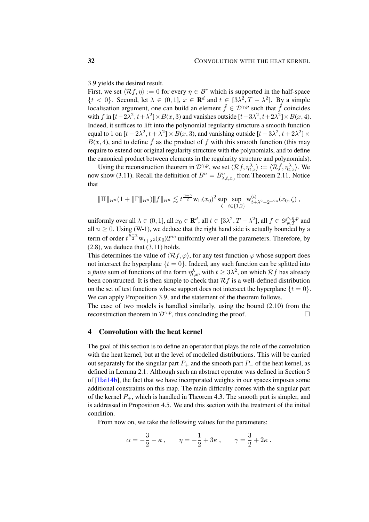[3.9](#page-26-2) yields the desired result.

First, we set  $\langle Rf, \eta \rangle := 0$  for every  $\eta \in \mathcal{B}^r$  which is supported in the half-space  $\{t < 0\}$ . Second, let  $\lambda \in (0, 1]$ ,  $x \in \mathbf{R}^d$  and  $t \in [3\lambda^2, T - \lambda^2]$ . By a simple localisation argument, one can build an element  $\tilde{f} \in \mathcal{D}^{\gamma,p}$  such that  $\tilde{f}$  coincides with f in  $[t-2\lambda^2, t+\lambda^2] \times B(x, 3)$  and vanishes outside  $[t-3\lambda^2, t+2\lambda^2] \times B(x, 4)$ . Indeed, it suffices to lift into the polynomial regularity structure a smooth function equal to 1 on  $[t - 2\lambda^2, t + \lambda^2] \times B(x, 3)$ , and vanishing outside  $[t - 3\lambda^2, t + 2\lambda^2] \times$  $B(x, 4)$ , and to define  $\tilde{f}$  as the product of f with this smooth function (this may require to extend our original regularity structure with the polynomials, and to define the canonical product between elements in the regularity structure and polynomials).

Using the reconstruction theorem in  $\mathcal{D}^{\gamma,p}$ , we set  $\langle \mathcal{R}f, \eta_{t,x}^{\lambda}\rangle := \langle \mathcal{R}\tilde{f}, \eta_{t,x}^{\lambda}\rangle$ . We now show [\(3.11\)](#page-30-1). Recall the definition of  $B^n = B^n_{\lambda, t, x_0}$  from Theorem [2.11.](#page-14-0) Notice that

$$
\|\Pi\|_{B^n}(1+\|\Gamma\|_{B^n})\|f\|_{B^n}\lesssim t^{\frac{\eta-\gamma}{2}}\mathrm{w}_{\Pi}(x_0)^2\sup_{\zeta}\sup_{i\in\{1,2\}}\mathrm{w}_{t+\lambda^2-2^{-2n}}(x_0,\zeta)\,,
$$

uniformly over all  $\lambda \in (0, 1]$ , all  $x_0 \in \mathbf{R}^d$ , all  $t \in [3\lambda^2, T - \lambda^2]$ , all  $f \in \mathscr{D}_{w,T}^{\gamma, \eta, p}$  and all  $n \ge 0$ . Using [\(W-1\)](#page-25-1), we deduce that the right hand side is actually bounded by a term of order  $t^{\frac{n-\gamma}{2}} w_{t+\lambda^2}(x_0) 2^{nc}$  uniformly over all the parameters. Therefore, by  $(2.8)$ , we deduce that  $(3.11)$  holds.

This determines the value of  $\langle Rf, \varphi \rangle$ , for any test function  $\varphi$  whose support does not intersect the hyperplane  $\{t = 0\}$ . Indeed, any such function can be splitted into a *finite* sum of functions of the form  $\eta_{t,x}^{\lambda}$ , with  $t \ge 3\lambda^2$ , on which  $\mathcal{R}f$  has already been constructed. It is then simple to check that  $\mathcal{R}f$  is a well-defined distribution on the set of test functions whose support does not intersect the hyperplane  $\{t = 0\}$ . We can apply Proposition [3.9,](#page-26-2) and the statement of the theorem follows.

The case of two models is handled similarly, using the bound [\(2.10\)](#page-14-4) from the reconstruction theorem in  $\mathcal{D}^{\gamma,p}$ , thus concluding the proof.

### <span id="page-31-0"></span>4 Convolution with the heat kernel

The goal of this section is to define an operator that plays the role of the convolution with the heat kernel, but at the level of modelled distributions. This will be carried out separately for the singular part  $P_+$  and the smooth part  $P_-$  of the heat kernel, as defined in Lemma [2.1.](#page-8-1) Although such an abstract operator was defined in Section 5 of [\[Hai14b\]](#page-49-2), the fact that we have incorporated weights in our spaces imposes some additional constraints on this map. The main difficulty comes with the singular part of the kernel  $P_+$ , which is handled in Theorem [4.3.](#page-33-0) The smooth part is simpler, and is addressed in Proposition [4.5.](#page-42-0) We end this section with the treatment of the initial condition.

From now on, we take the following values for the parameters:

$$
\alpha = -\frac{3}{2} - \kappa
$$
,  $\eta = -\frac{1}{2} + 3\kappa$ ,  $\gamma = \frac{3}{2} + 2\kappa$ .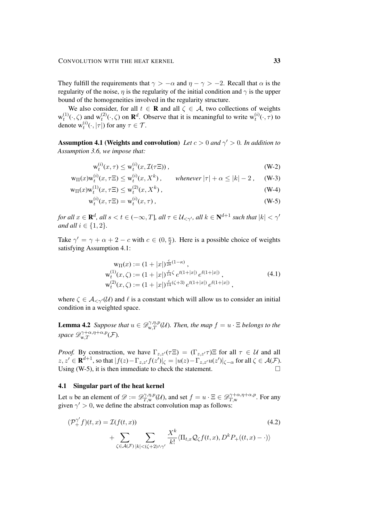They fulfill the requirements that  $\gamma > -\alpha$  and  $\eta - \gamma > -2$ . Recall that  $\alpha$  is the regularity of the noise,  $\eta$  is the regularity of the initial condition and  $\gamma$  is the upper bound of the homogeneities involved in the regularity structure.

We also consider, for all  $t \in \mathbf{R}$  and all  $\zeta \in \mathcal{A}$ , two collections of weights  $w_t^{(1)}(\cdot,\zeta)$  and  $w_t^{(2)}(\cdot,\zeta)$  on  $\mathbf{R}^d$ . Observe that it is meaningful to write  $w_t^{(i)}(\cdot,\tau)$  to denote  $w_t^{(i)}(\cdot, |\tau|)$  for any  $\tau \in \mathcal{T}$ .

<span id="page-32-0"></span>**Assumption 4.1 (Weights and convolution)** *Let*  $c > 0$  *and*  $\gamma' > 0$ *. In addition to Assumption [3.6,](#page-25-1) we impose that:*

$$
\mathbf{w}_t^{(i)}(x,\tau) \le \mathbf{w}_t^{(i)}(x,\mathcal{I}(\tau \Xi)),\tag{W-2}
$$

$$
\mathrm{w}_{\Pi}(x)\mathrm{w}_t^{(i)}(x,\tau\Xi) \le \mathrm{w}_t^{(i)}(x,X^k) , \qquad \text{whenever } |\tau| + \alpha \le |k| - 2 , \quad \text{(W-3)}
$$

$$
w_{\Pi}(x)w_t^{(1)}(x,\tau\Xi) \le w_t^{(2)}(x,X^k) , \qquad (W-4)
$$

$$
w_t^{(i)}(x, \tau \Xi) = w_t^{(i)}(x, \tau) , \qquad (W-5)
$$

for all  $x\in{\bf R}^d,$  all  $s< t\in (-\infty,T]$ , all  $\tau\in{\cal U}_{<\gamma'},$  all  $k\in{\bf N}^{d+1}$  such that  $|k|<\gamma'$ *and all*  $i \in \{1, 2\}$ *.* 

Take  $\gamma' = \gamma + \alpha + 2 - c$  with  $c \in (0, \frac{\kappa}{2})$  $\frac{\kappa}{2}$ ). Here is a possible choice of weights satisfying Assumption [4.1:](#page-32-0)

<span id="page-32-2"></span>
$$
\begin{aligned}\n\mathbf{w}_{\Pi}(x) &:= (1+|x|)^{\frac{c}{28}(1-\kappa)}, \\
\mathbf{w}_{t}^{(1)}(x,\zeta) &:= (1+|x|)^{\frac{c}{14}\zeta} e^{t(1+|x|)} e^{\ell(1+|x|)}, \\
\mathbf{w}_{t}^{(2)}(x,\zeta) &:= (1+|x|)^{\frac{c}{14}(\zeta+3)} e^{t(1+|x|)} e^{\ell(1+|x|)},\n\end{aligned} \tag{4.1}
$$

where  $\zeta \in \mathcal{A}_{\leq \gamma'}(\mathcal{U})$  and  $\ell$  is a constant which will allow us to consider an initial condition in a weighted space.

**Lemma 4.2** *Suppose that*  $u \in \mathscr{D}_{w,T}^{\gamma,\eta,p}(\mathcal{U})$ *. Then, the map*  $f = u \cdot \Xi$  *belongs to the* space  $\mathscr{D}^{\gamma+\alpha,\eta+\alpha,p}_{\textrm{w},T}(\mathcal{F})$ .

*Proof.* By construction, we have  $\Gamma_{z,z'}(\tau \Xi) = (\Gamma_{z,z'} \tau) \Xi$  for all  $\tau \in \mathcal{U}$  and all  $z, z' \in \mathbf{R}^{d+1}$ , so that  $|f(z) - \Gamma_{z,z'}f(z')|_{\zeta} = |u(z) - \Gamma_{z,z'}u(z')|_{\zeta-\alpha}$  for all  $\zeta \in \mathcal{A}(\mathcal{F})$ . Using [\(W-5\)](#page-32-0), it is then immediate to check the statement.  $\Box$ 

### 4.1 Singular part of the heat kernel

Let u be an element of  $\mathscr{D} := \mathscr{D}^{\gamma,\eta,p}_{T,\mathbf{w}}$  $T_{T,\text{w}}^{\gamma,\eta,p}(\mathcal{U})$ , and set  $f = u \cdot \Xi \in \mathscr{D}^{\gamma+\alpha,\eta+\alpha,p}_{T,\text{w}}$  $T_{,w}^{\gamma+\alpha,\eta+\alpha,p}$ . For any given  $\gamma' > 0$ , we define the abstract convolution map as follows:

<span id="page-32-1"></span>
$$
(\mathcal{P}_+^{\gamma'}f)(t,x) = \mathcal{I}(f(t,x))
$$
  
+ 
$$
\sum_{\zeta \in \mathcal{A}(\mathcal{F})} \sum_{|k| < (\zeta+2)\wedge \gamma'} \frac{X^k}{k!} \langle \Pi_{t,x} \mathcal{Q}_{\zeta} f(t,x), D^k P_+(t,x) - \cdot \rangle \rangle
$$
(4.2)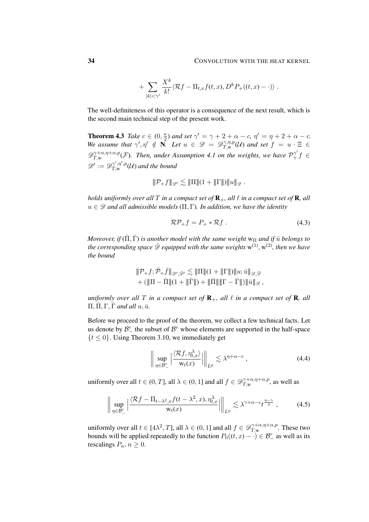$$
+\sum_{|k|<\gamma'}\frac{X^k}{k!}\langle \mathcal{R}f-\Pi_{t,x}f(t,x),D^kP_+(t,x)-\cdot)\rangle.
$$

The well-definiteness of this operator is a consequence of the next result, which is the second main technical step of the present work.

<span id="page-33-0"></span>**Theorem 4.3** Take  $c \in (0, \frac{\kappa}{2})$  $\frac{\kappa}{2}$ ) and set  $\gamma' = \gamma + 2 + \alpha - c$ ,  $\eta' = \eta + 2 + \alpha - c$ . We assume that  $\gamma', \eta' \notin \overline{N}$ . Let  $u \in \mathscr{D} = \mathscr{D}^{\gamma, \eta, p}_{T, w}$  $T^{\gamma,\eta,p}_{T,\mathsf w}(\mathcal U)$  and set  $f = u \cdot \Xi \in$  $\mathscr{D}^{\gamma+\alpha,\eta+\alpha,p}_{T,\mathbf{w}}$  $T^{\gamma+\alpha,\eta+\alpha,p}_{T,\mathsf{w}}(\mathcal{F})$ . Then, under Assumption [4.1](#page-32-0) on the weights, we have  $\mathcal{P}_+^{\gamma'}f \in$  $\mathscr{D}' := \mathscr{D}^{\gamma',\eta',p}_{T,\mathbf{w}}$  $T, w^{ \gamma^{\gamma} , \eta^{\prime} , p} (\mathcal{U})$  and the bound

$$
\|\mathcal{P}_+ f\|_{\mathscr{D}'} \lesssim \|\Pi\|(1+\|\Gamma\|)\|u\|_{\mathscr{D}}.
$$

*holds uniformly over all* T *in a compact set of*  $\mathbf{R}_+$ *, all*  $\ell$  *in a compact set of*  $\mathbf{R}$ *, all*  $u \in \mathscr{D}$  *and all admissible models*  $(\Pi, \Gamma)$ *. In addition, we have the identity* 

<span id="page-33-3"></span>
$$
\mathcal{RP}_+ f = P_+ * \mathcal{R} f \ . \tag{4.3}
$$

*Moreover, if*  $(\overline{\Pi}, \overline{\Gamma})$  *is another model with the same weight*  $w_{\Pi}$  *and if*  $\overline{u}$  *belongs to* the corresponding space  $\bar{\mathscr{D}}$  equipped with the same weights  $w^{(1)}, w^{(2)}$ , then we have *the bound*

$$
\begin{aligned}&\|\mathcal{P}_+ f; \bar{\mathcal{P}}_+ \bar{f}\|_{\mathscr{D}', \bar{\mathscr{D}}'} \lesssim \|\Pi\|(1+\|\Gamma\|)\|u; \bar{u}\|_{\mathscr{D}, \bar{\mathscr{D}}} \\&+ (\|\Pi - \bar{\Pi}\|(1+\|\bar{\Gamma}\|) + \|\bar{\Pi}\| \|\Gamma - \bar{\Gamma}\|) \|\bar{u}\|_{\mathscr{D}}\,, \end{aligned}
$$

*uniformly over all*  $T$  *in a compact set of*  $\mathbf{R}_+$ *, all*  $\ell$  *in a compact set of*  $\mathbf{R}$ *, all*  $\Pi, \overline{\Pi}, \Gamma, \overline{\Gamma}$  *and all*  $u, \overline{u}$ *.* 

Before we proceed to the proof of the theorem, we collect a few technical facts. Let us denote by  $\mathcal{B}_{-}^{r}$  the subset of  $\mathcal{B}^{r}$  whose elements are supported in the half-space  $\{t \leq 0\}$ . Using Theorem [3.10,](#page-30-0) we immediately get

<span id="page-33-2"></span><span id="page-33-1"></span>
$$
\left\| \sup_{\eta \in \mathcal{B}_-^r} \left| \frac{\langle \mathcal{R}f, \eta_{t,x}^\lambda \rangle}{\mathbf{w}_t(x)} \right| \right\|_{L^p} \lesssim \lambda^{\eta + \alpha - c}, \tag{4.4}
$$

uniformly over all  $t \in (0, T]$ , all  $\lambda \in (0, 1]$  and all  $f \in \mathscr{D}^{\gamma + \alpha, \eta + \alpha, p}_{T,w}$  $T_{,w}^{\gamma+\alpha,\eta+\alpha,p}$ , as well as

$$
\left\| \sup_{\eta \in \mathcal{B}_-^r} \left| \frac{\langle \mathcal{R}f - \Pi_{t-\lambda^2, x} f(t-\lambda^2, x), \eta_{t,x}^{\lambda} \rangle}{\mathbf{w}_t(x)} \right| \right\|_{L^p} \lesssim \lambda^{\gamma + \alpha - c} t^{\frac{\eta - \gamma}{2}}, \tag{4.5}
$$

uniformly over all  $t \in [4\lambda^2, T]$ , all  $\lambda \in (0, 1]$  and all  $f \in \mathscr{D}^{\gamma + \alpha, \eta + \alpha, p}_{T,w}$  $T_{,w}^{\gamma+\alpha,\eta+\alpha,p}$ . These two bounds will be applied repeatedly to the function  $P_0((t, x) - \cdot) \in \mathcal{B}_-^r$  as well as its rescalings  $P_n, n \geq 0$ .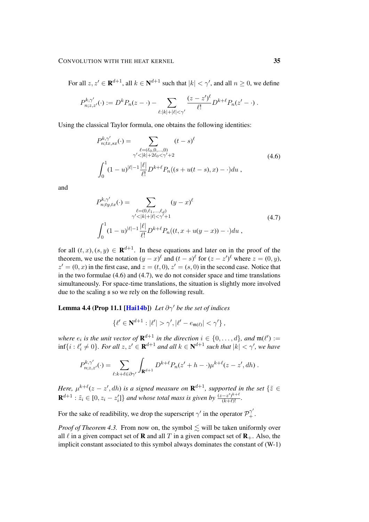For all  $z, z' \in \mathbf{R}^{d+1}$ , all  $k \in \mathbf{N}^{d+1}$  such that  $|k| < \gamma'$ , and all  $n \ge 0$ , we define

$$
P_{n;z,z'}^{k,\gamma'}(\cdot) := D^k P_n(z - \cdot) - \sum_{\ell:|k|+|\ell|<\gamma'} \frac{(z-z')^{\ell}}{\ell!} D^{k+\ell} P_n(z'-\cdot) .
$$

Using the classical Taylor formula, one obtains the following identities:

<span id="page-34-0"></span>
$$
P_{n;tx,sx}^{k,\gamma'}(\cdot) = \sum_{\substack{\ell = (\ell_0,0,\dots,0) \\ \gamma' < |k| + 2\ell_0 < \gamma' + 2}} (t-s)^{\ell} \tag{4.6}
$$
\n
$$
\int_0^1 (1-u)^{|\ell|-1} \frac{|\ell|}{\ell!} D^{k+\ell} P_n((s+u(t-s),x) - \cdot) du \,,
$$

and

<span id="page-34-1"></span>
$$
P_{n;ty,tx}^{k,\gamma'}(\cdot) = \sum_{\substack{\ell = (0,\ell_1,\ldots,\ell_d) \\ \gamma' < |k| + |\ell| < \gamma' + 1}} (y - x)^{\ell} \\ \int_0^1 (1 - u)^{|\ell|-1} \frac{|\ell|}{\ell!} D^{k+\ell} P_n((t, x + u(y - x)) - \cdot) du \tag{4.7}
$$

for all  $(t, x), (s, y) \in \mathbf{R}^{d+1}$ . In these equations and later on in the proof of the theorem, we use the notation  $(y - x)^\ell$  and  $(t - s)^\ell$  for  $(z - z')^\ell$  where  $z = (0, y)$ ,  $z' = (0, x)$  in the first case, and  $z = (t, 0), z' = (s, 0)$  in the second case. Notice that in the two formulae [\(4.6\)](#page-34-0) and [\(4.7\)](#page-34-1), we do not consider space and time translations simultaneously. For space-time translations, the situation is slightly more involved due to the scaling s so we rely on the following result.

**Lemma 4.4 (Prop 11.1 [\[Hai14b\]](#page-49-2))** *Let*  $\partial \gamma'$  *be the set of indices* 

<span id="page-34-2"></span>
$$
\{\ell' \in \mathbf{N}^{d+1} : |\ell'| > \gamma', |\ell' - e_{\mathfrak{m}(\ell)}| < \gamma'\}\,
$$

where  $e_i$  is the unit vector of  $\mathbf{R}^{d+1}$  in the direction  $i \in \{0, \ldots, d\}$ , and  $\mathfrak{m}(\ell') :=$  $\inf\{i : \ell'_i \neq 0\}$ . For all  $z, z' \in \mathbf{R}^{d+1}$  and all  $k \in \mathbf{N}^{d+1}$  such that  $|k| < \gamma'$ , we have

$$
P_{n;z,z'}^{k,\gamma'}(\cdot) = \sum_{\ell:k+\ell \in \partial \gamma'} \int_{\mathbf{R}^{d+1}} D^{k+\ell} P_n(z'+h-\cdot)\mu^{k+\ell}(z-z',dh) .
$$

Here,  $\mu^{k+\ell}(z-z',dh)$  is a signed measure on  $\mathbf{R}^{d+1}$ , supported in the set  $\{\tilde{z} \in$  $\mathbf{R}^{d+1} : \tilde{z}_i \in [0, z_i - z'_i] \}$  and whose total mass is given by  $\frac{(z - z')^{k+\ell}}{(k+\ell)!}$  $\frac{-z^{\prime})^{n+\infty}}{(k+\ell)!}$ .

For the sake of readibility, we drop the superscript  $\gamma'$  in the operator  $\mathcal{P}_+^{\gamma'}$ .

*Proof of Theorem [4.3.](#page-33-0)* From now on, the symbol  $\leq$  will be taken uniformly over all  $\ell$  in a given compact set of **R** and all T in a given compact set of **R**<sub>+</sub>. Also, the implicit constant associated to this symbol always dominates the constant of [\(W-1\)](#page-25-1)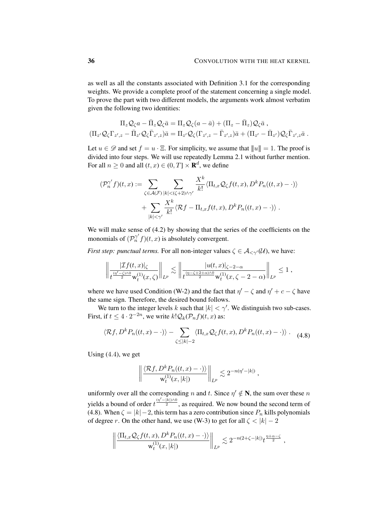as well as all the constants associated with Definition [3.1](#page-22-2) for the corresponding weights. We provide a complete proof of the statement concerning a single model. To prove the part with two different models, the arguments work almost verbatim given the following two identities:

$$
\Pi_z \mathcal{Q}_\zeta a - \bar{\Pi}_z \mathcal{Q}_\zeta \bar{a} = \Pi_z \mathcal{Q}_\zeta (a - \bar{a}) + (\Pi_z - \bar{\Pi}_z) \mathcal{Q}_\zeta \bar{a} ,
$$
\n
$$
(\Pi_{z'} \mathcal{Q}_\zeta \Gamma_{z',z} - \bar{\Pi}_{z'} \mathcal{Q}_\zeta \bar{\Gamma}_{z',z}) \bar{a} = \Pi_{z'} \mathcal{Q}_\zeta (\Gamma_{z',z} - \bar{\Gamma}_{z',z}) \bar{a} + (\Pi_{z'} - \bar{\Pi}_{z'}) \mathcal{Q}_\zeta \bar{\Gamma}_{z',z} \bar{a} .
$$

Let  $u \in \mathscr{D}$  and set  $f = u \cdot \Xi$ . For simplicity, we assume that  $||u|| = 1$ . The proof is divided into four steps. We will use repeatedly Lemma [2.1](#page-8-1) without further mention. For all  $n \geq 0$  and all  $(t, x) \in (0, T] \times \mathbf{R}^d$ , we define

$$
(\mathcal{P}_n^{\gamma'}f)(t,x) := \sum_{\zeta \in \mathcal{A}(\mathcal{F})} \sum_{|k| < (\zeta+2) \land \gamma'} \frac{X^k}{k!} \langle \Pi_{t,x} \mathcal{Q}_{\zeta} f(t,x), D^k P_n((t,x) - \cdot) \rangle
$$

$$
+ \sum_{|k| < \gamma'} \frac{X^k}{k!} \langle \mathcal{R}f - \Pi_{t,x} f(t,x), D^k P_n((t,x) - \cdot) \rangle \, .
$$

We will make sense of  $(4.2)$  by showing that the series of the coefficients on the monomials of  $(\mathcal{P}_n^{\gamma'}f)(t, x)$  is absolutely convergent.

*First step: punctual terms.* For all non-integer values  $\zeta \in \mathcal{A}_{\leq \gamma'}(\mathcal{U})$ , we have:

$$
\left\|\frac{|\mathcal{I}f(t,x)|_{\zeta}}{t^{\frac{(n'-\zeta)\wedge 0}{2}}\mathsf{w}_t^{(1)}(x,\zeta)}\right\|_{L^p}\lesssim \left\|\frac{|u(t,x)|_{\zeta-2-\alpha}}{t^{\frac{(n-\zeta+2+\alpha)\wedge 0}{2}}\mathsf{w}_t^{(1)}(x,\zeta-2-\alpha)}\right\|_{L^p}\leq 1,
$$

where we have used Condition [\(W-2\)](#page-32-0) and the fact that  $\eta' - \zeta$  and  $\eta' + c - \zeta$  have the same sign. Therefore, the desired bound follows.

We turn to the integer levels k such that  $|k| < \gamma'$ . We distinguish two sub-cases. First, if  $t \leq 4 \cdot 2^{-2n}$ , we write  $k! \mathcal{Q}_k(\mathcal{P}_n f)(t, x)$  as:

$$
\langle \mathcal{R}f, D^k P_n((t,x)-\cdot) \rangle - \sum_{\zeta \le |k|-2} \langle \Pi_{t,x} \mathcal{Q}_{\zeta} f(t,x), D^k P_n((t,x)-\cdot) \rangle . \tag{4.8}
$$

Using  $(4.4)$  $(4.4)$  $(4.4)$ , we get

<span id="page-35-0"></span>
$$
\left\| \frac{\langle \mathcal{R}f, D^k P_n((t,x)-\cdot)\rangle}{\mathsf{w}_t^{(1)}(x,|k|)}\right\|_{L^p} \lesssim 2^{-n(\eta'-|k|)},
$$

uniformly over all the corresponding n and t. Since  $\eta' \notin N$ , the sum over these n yields a bound of order  $t^{\frac{(\eta' - \bar{k})\wedge 0}{2}}$ , as required. We now bound the second term of [\(4.8\)](#page-35-0). When  $\zeta = |k| - 2$ , this term has a zero contribution since  $P_n$  kills polynomials of degree r. On the other hand, we use [\(W-3\)](#page-32-0) to get for all  $\zeta$  <  $|k|$  – 2

$$
\left\| \frac{\langle \Pi_{t,x} \mathcal{Q}_{\zeta} f(t,x), D^k P_n((t,x)-\cdot) \rangle}{w_t^{(1)}(x,|k|)} \right\|_{L^p} \lesssim 2^{-n(2+\zeta-|k|)} t^{\frac{\eta+\alpha-\zeta}{2}},
$$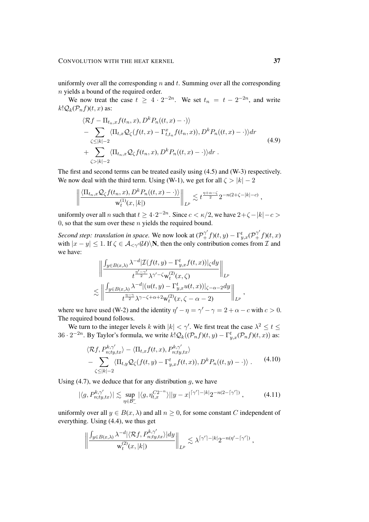uniformly over all the corresponding  $n$  and  $t$ . Summing over all the corresponding n yields a bound of the required order.

We now treat the case  $t \geq 4 \cdot 2^{-2n}$ . We set  $t_n = t - 2^{-2n}$ , and write  $k!Q_k(\mathcal{P}_n f)(t, x)$  as:

$$
\langle \mathcal{R}f - \Pi_{t_n,x}f(t_n,x), D^k P_n((t,x) - \cdot) \rangle
$$
  
\n
$$
- \sum_{\zeta \le |k|-2} \langle \Pi_{t,x} \mathcal{Q}_{\zeta}(f(t,x) - \Gamma_{t,t_n}^x f(t_n,x)), D^k P_n((t,x) - \cdot) \rangle dr
$$
  
\n
$$
+ \sum_{\zeta > |k|-2} \langle \Pi_{t_n,x} \mathcal{Q}_{\zeta}f(t_n,x), D^k P_n((t,x) - \cdot) \rangle dr .
$$
\n(4.9)

The first and second terms can be treated easily using [\(4.5\)](#page-33-2) and [\(W-3\)](#page-32-0) respectively. We now deal with the third term. Using [\(W-1\)](#page-25-1), we get for all  $\zeta > |k| - 2$ 

$$
\left\| \frac{\langle \Pi_{t_n,x} \mathcal{Q}_\zeta f(t_n,x), D^k P_n((t,x)-\cdot)\rangle}{w_t^{(1)}(x,|k|)}\right\|_{L^p} \lesssim t^{\frac{\eta+\alpha-\zeta}{2}} 2^{-n(2+\zeta-|k|-c)},
$$

uniformly over all n such that  $t \geq 4 \cdot 2^{-2n}$ . Since  $c < \kappa/2$ , we have  $2+\zeta - |k| - c >$ 0, so that the sum over these  $n$  yields the required bound.

*Second step: translation in space.* We now look at  $(\mathcal{P}_+^{\gamma'}f)(t,y) - \Gamma_{y,x}^t(\mathcal{P}_+^{\gamma'}f)(t,x)$ with  $|x - y| \le 1$ . If  $\zeta \in \mathcal{A}_{\le \gamma'}(\mathcal{U})\backslash \mathbf{N}$ , then the only contribution comes from  $\mathcal{I}$  and we have:

$$
\begin{aligned}\n&\left\|\frac{\int_{y\in B(x,\lambda)}\lambda^{-d}\left|\mathcal{I}(f(t,y)-\Gamma^t_{y,x}f(t,x))\right|_{\zeta}dy}{t^{\frac{\eta'-\gamma'}{2}}\lambda^{\gamma'-\zeta}\mathbf{w}^{(2)}_t(x,\zeta)}\right\|_{L^p} \\
&\lesssim \left\|\frac{\int_{y\in B(x,\lambda)}\lambda^{-d}\left|(u(t,y)-\Gamma^t_{y,x}u(t,x))\right|_{\zeta-\alpha-2}dy}{t^{\frac{\eta-\gamma}{2}}\lambda^{\gamma-\zeta+\alpha+2}\mathbf{w}^{(2)}_t(x,\zeta-\alpha-2)}\right\|_{L^p},\n\end{aligned}
$$

where we have used [\(W-2\)](#page-32-0) and the identity  $\eta' - \eta = \gamma' - \gamma = 2 + \alpha - c$  with  $c > 0$ . The required bound follows.

We turn to the integer levels k with  $|k| < \gamma'$ . We first treat the case  $\lambda^2 \le t \le$ 36 ·  $2^{-2n}$ . By Taylor's formula, we write  $k!Q_k((\mathcal{P}_n f)(t, y) - \Gamma_{y,x}^t(\mathcal{P}_n f)(t, x))$  as:

<span id="page-36-1"></span><span id="page-36-0"></span>
$$
\langle \mathcal{R}f, P_{n;ty,tx}^{k,\gamma'} \rangle - \langle \Pi_{t,x}f(t,x), P_{n;ty,tx}^{k,\gamma'} \rangle - \sum_{\zeta \le |k|-2} \langle \Pi_{t,y} \mathcal{Q}_{\zeta}(f(t,y) - \Gamma_{y,x}^t f(t,x)), D^k P_n((t,y) - \cdot) \rangle .
$$
 (4.10)

Using  $(4.7)$ , we deduce that for any distribution g, we have

$$
|\langle g, P_{n;ty,tx}^{k,\gamma'}\rangle| \lesssim \sup_{\eta \in \mathcal{B}_-^r} |\langle g, \eta_{t,x}^{C2^{-n}}\rangle||y-x|^{\lceil \gamma' \rceil - |k|} 2^{-n(2-\lceil \gamma' \rceil)}, \tag{4.11}
$$

uniformly over all  $y \in B(x, \lambda)$  and all  $n \geq 0$ , for some constant C independent of everything. Using [\(4.4\)](#page-33-1), we thus get

$$
\left\|\frac{\int_{y\in B(x,\lambda)}\lambda^{-d}|\langle \mathcal{R}f,P_{n;ty,tx}^{k,\gamma'}\rangle|dy}{\mathrm{w}_t^{(2)}(x,|k|)}\right\|_{L^p}\lesssim \lambda^{\lceil \gamma'\rceil-|k|}2^{-n(\eta'-\lceil \gamma'\rceil)}\,,
$$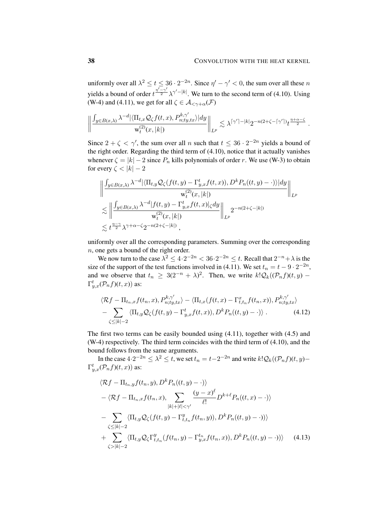uniformly over all  $\lambda^2 \le t \le 36 \cdot 2^{-2n}$ . Since  $\eta' - \gamma' < 0$ , the sum over all these n yields a bound of order  $t^{\frac{\eta' - \gamma'}{2}} \lambda^{\gamma' - |k|}$ . We turn to the second term of [\(4.10\)](#page-36-0). Using [\(W-4\)](#page-32-0) and [\(4.11\)](#page-36-1), we get for all  $\zeta \in \mathcal{A}_{\leq \gamma + \alpha}(\mathcal{F})$ 

$$
\left\|\frac{\int_{y\in B(x,\lambda)}\lambda^{-d}|\langle \Pi_{t,x}\mathcal{Q}_{\zeta}f(t,x),P_{n;ty,tx}^{k,\gamma'}\rangle|dy}{w_t^{(2)}(x,|k|)}\right\|_{L^p}\lesssim \lambda^{\lceil \gamma'\rceil-|k|}2^{-n(2+\zeta-\lceil \gamma'\rceil)}t^{\frac{\eta+\alpha-\zeta}{2}}\;.
$$

Since  $2 + \zeta < \gamma'$ , the sum over all n such that  $t \leq 36 \cdot 2^{-2n}$  yields a bound of the right order. Regarding the third term of [\(4.10\)](#page-36-0), notice that it actually vanishes whenever  $\zeta = |k| - 2$  since  $P_n$  kills polynomials of order r. We use [\(W-3\)](#page-32-0) to obtain for every  $\zeta < |k| - 2$ 

$$
\left\| \frac{\int_{y \in B(x,\lambda)} \lambda^{-d} |\langle \Pi_{t,y} \mathcal{Q}_{\zeta}(f(t,y) - \Gamma_{y,x}^t f(t,x)), D^k P_n((t,y) - \cdot) \rangle| dy}{w_t^{(2)}(x,|k|)} \right\|_{L^p}
$$
  

$$
\lesssim \left\| \frac{\int_{y \in B(x,\lambda)} \lambda^{-d} |f(t,y) - \Gamma_{y,x}^t f(t,x)|_{\zeta} dy}{w_t^{(2)}(x,|k|)} \right\|_{L^p} 2^{-n(2+\zeta-|k|)}
$$
  

$$
\lesssim t^{\frac{\eta - \gamma}{2}} \lambda^{\gamma + \alpha - \zeta} 2^{-n(2+\zeta-|k|)},
$$

uniformly over all the corresponding parameters. Summing over the corresponding n, one gets a bound of the right order.

We now turn to the case  $\lambda^2 \leq 4 \cdot 2^{-2n} < 36 \cdot 2^{-2n} \leq t$ . Recall that  $2^{-n} + \lambda$  is the size of the support of the test functions involved in [\(4.11\)](#page-36-1). We set  $t_n = t - 9 \cdot 2^{-2n}$ , and we observe that  $t_n \geq 3(2^{-n} + \lambda)^2$ . Then, we write  $k! \mathcal{Q}_k((\mathcal{P}_n f)(t, y) \Gamma_{y,x}^t(\mathcal{P}_n f)(t,x)$  as:

<span id="page-37-1"></span>
$$
\langle \mathcal{R}f - \Pi_{t_n,x}f(t_n,x), P_{n;ty,tx}^{k,\gamma'} \rangle - \langle \Pi_{t,x}(f(t,x) - \Gamma_{t,t_n}^x f(t_n,x)), P_{n;ty,tx}^{k,\gamma'} \rangle
$$
  
- 
$$
\sum_{\zeta \le |k|-2} \langle \Pi_{t,y} \mathcal{Q}_{\zeta}(f(t,y) - \Gamma_{y,x}^t f(t,x)), D^k P_n((t,y) - \cdot) \rangle . \tag{4.12}
$$

The first two terms can be easily bounded using  $(4.11)$ , together with  $(4.5)$  and [\(W-4\)](#page-32-0) respectively. The third term coincides with the third term of [\(4.10\)](#page-36-0), and the bound follows from the same arguments.

In the case  $4 \cdot 2^{-2n} \leq \lambda^2 \leq t$ , we set  $t_n = t - 2^{-2n}$  and write  $k! \mathcal{Q}_k((\mathcal{P}_n f)(t, y) \Gamma_{y,x}^t(\mathcal{P}_n f)(t,x)$  as:

<span id="page-37-0"></span>
$$
\langle \mathcal{R}f - \Pi_{t_n,y}f(t_n,y), D^k P_n((t,y) - \cdot) \rangle
$$
  
\n
$$
- \langle \mathcal{R}f - \Pi_{t_n,x}f(t_n,x), \sum_{|k|+|\ell| < \gamma'} \frac{(y-x)^{\ell}}{\ell!} D^{k+\ell} P_n((t,x) - \cdot) \rangle
$$
  
\n
$$
- \sum_{\zeta \le |k|-2} \langle \Pi_{t,y} \mathcal{Q}_{\zeta}(f(t,y) - \Gamma_{t,t_n}^y f(t_n,y)), D^k P_n((t,y) - \cdot) \rangle \rangle
$$
  
\n
$$
+ \sum_{\zeta > |k|-2} \langle \Pi_{t,y} \mathcal{Q}_{\zeta} \Gamma_{t,t_n}^y (f(t_n,y) - \Gamma_{y,x}^{t_n} f(t_n,x)), D^k P_n((t,y) - \cdot) \rangle \rangle \qquad (4.13)
$$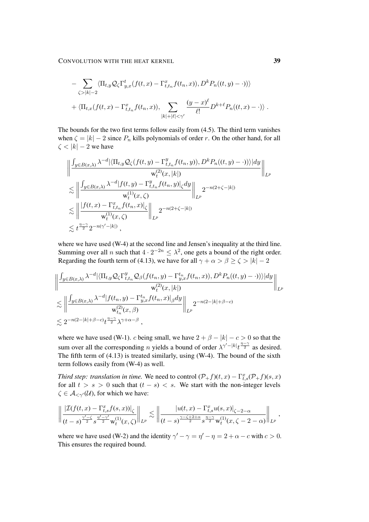CONVOLUTION WITH THE HEAT KERNEL 39

$$
- \sum_{\zeta > |k| - 2} \langle \Pi_{t,y} \mathcal{Q}_{\zeta} \Gamma_{y,x}^t (f(t,x) - \Gamma_{t,t_n}^x f(t_n,x)), D^k P_n((t,y) - \cdot)) \rangle + \langle \Pi_{t,x} (f(t,x) - \Gamma_{t,t_n}^x f(t_n,x)), \sum_{|k| + |\ell| < \gamma'} \frac{(y - x)^{\ell}}{\ell!} D^{k + \ell} P_n((t,x) - \cdot) \rangle.
$$

The bounds for the two first terms follow easily from [\(4.5\)](#page-33-2). The third term vanishes when  $\zeta = |k| - 2$  since  $P_n$  kills polynomials of order r. On the other hand, for all  $\zeta$  <  $|k|$  – 2 we have

$$
\begin{split}\n&\left\|\frac{\int_{y\in B(x,\lambda)}\lambda^{-d}\big|\langle\Pi_{t,y}\mathcal{Q}_{\zeta}(f(t,y)-\Gamma_{t,t_n}^y f(t_n,y)),D^kP_n((t,y)-\cdot)\rangle\rangle|dy}{w_t^{(2)}(x,|k|)}\right\|_{L^p} \\
&\lesssim \left\|\frac{\int_{y\in B(x,\lambda)}\lambda^{-d}|f(t,y)-\Gamma_{t,t_n}^y f(t_n,y)|_{\zeta}dy}{w_t^{(1)}(x,\zeta)}\right\|_{L^p} 2^{-n(2+\zeta-|k|)} \\
&\lesssim \left\|\frac{|f(t,x)-\Gamma_{t,t_n}^xf(t_n,x)|_{\zeta}}{w_t^{(1)}(x,\zeta)}\right\|_{L^p} 2^{-n(2+\zeta-|k|)} \\
&\lesssim t^{\frac{\eta-\gamma}{2}}2^{-n(\gamma'-|k|)},\n\end{split}
$$

where we have used [\(W-4\)](#page-32-0) at the second line and Jensen's inequality at the third line. Summing over all n such that  $4 \cdot 2^{-2n} \leq \lambda^2$ , one gets a bound of the right order. Regarding the fourth term of [\(4.13\)](#page-37-0), we have for all  $\gamma + \alpha > \beta \ge \zeta > |k| - 2$ 

$$
\left\| \frac{\int_{y \in B(x,\lambda)} \lambda^{-d} |\langle \Pi_{t,y} \mathcal{Q}_{\zeta} \Gamma_{t,t_n}^y \mathcal{Q}_{\beta}(f(t_n, y) - \Gamma_{y,x}^{t_n} f(t_n, x)), D^k P_n((t, y) - \cdot)) \rangle |dy}{w_t^{(2)}(x, |k|)} \right\|_{L^p}
$$
  

$$
\lesssim \left\| \frac{\int_{y \in B(x,\lambda)} \lambda^{-d} |f(t_n, y) - \Gamma_{y,x}^{t_n} f(t_n, x)|_{\beta} dy}{w_{t_n}^{(2)}(x, \beta)} \right\|_{L^p} 2^{-n(2 - |k| + \beta - c)}
$$
  

$$
\lesssim 2^{-n(2 - |k| + \beta - c)} t^{\frac{\eta - \gamma}{2}} \lambda^{\gamma + \alpha - \beta},
$$

where we have used [\(W-1\)](#page-25-1). c being small, we have  $2 + \beta - |k| - c > 0$  so that the sum over all the corresponding *n* yields a bound of order  $\lambda^{\gamma-|k|} t^{\frac{\eta-\gamma}{2}}$  as desired. The fifth term of  $(4.13)$  is treated similarly, using  $(W-4)$ . The bound of the sixth term follows easily from [\(W-4\)](#page-32-0) as well.

*Third step: translation in time.* We need to control  $(\mathcal{P}_+ f)(t, x) - \Gamma_{t,s}^x(\mathcal{P}_+ f)(s, x)$ for all  $t > s > 0$  such that  $(t - s) < s$ . We start with the non-integer levels  $\zeta \in \mathcal{A}_{\leq \gamma'}(\mathcal{U})$ , for which we have:

$$
\left\| \frac{|\mathcal{I}(f(t,x) - \Gamma_{t,s}^x f(s,x))|_{\zeta}}{(t-s)^{\frac{\gamma'-\zeta}{2}} s^{\frac{\eta'-\gamma'}{2}} w_t^{(1)}(x,\zeta)} \right\|_{L^p} \lesssim \left\| \frac{|u(t,x) - \Gamma_{t,s}^x u(s,x)|_{\zeta-2-\alpha}}{(t-s)^{\frac{\gamma-\zeta+2+\alpha}{2}} s^{\frac{\eta-\gamma}{2}} w_t^{(1)}(x,\zeta-2-\alpha)} \right\|_{L^p},
$$

where we have used [\(W-2\)](#page-32-0) and the identity  $\gamma' - \gamma = \eta' - \eta = 2 + \alpha - c$  with  $c > 0$ . This ensures the required bound.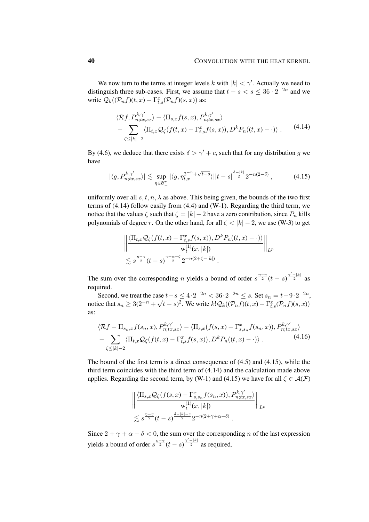We now turn to the terms at integer levels k with  $|k| < \gamma'$ . Actually we need to distinguish three sub-cases. First, we assume that  $t - s < s \leq 36 \cdot 2^{-2n}$  and we write  $Q_k((\mathcal{P}_n f)(t, x) - \Gamma_{t,s}^x(\mathcal{P}_n f)(s, x))$  as:

<span id="page-39-0"></span>
$$
\langle \mathcal{R}f, P_{n;tx,sx}^{k,\gamma'} \rangle - \langle \Pi_{s,x}f(s,x), P_{n;tx,sx}^{k,\gamma'} \rangle - \sum_{\zeta \le |k|-2} \langle \Pi_{t,x} \mathcal{Q}_{\zeta}(f(t,x) - \Gamma_{t,s}^x f(s,x)), D^k P_n((t,x) - \cdot) \rangle.
$$
 (4.14)

By [\(4.6\)](#page-34-0), we deduce that there exists  $\delta > \gamma' + c$ , such that for any distribution g we have

$$
|\langle g, P_{n;tx,sx}^{k,\gamma'}\rangle| \lesssim \sup_{\eta \in \mathcal{B}_-^r} |\langle g, \eta_{t,x}^{2^{-n} + \sqrt{t-s}}\rangle| |t-s|^{\frac{\delta - |k|}{2}} 2^{-n(2-\delta)}, \tag{4.15}
$$

uniformly over all s, t, n,  $\lambda$  as above. This being given, the bounds of the two first terms of [\(4.14\)](#page-39-0) follow easily from [\(4.4\)](#page-33-1) and [\(W-1\)](#page-25-1). Regarding the third term, we notice that the values  $\zeta$  such that  $\zeta = |k| - 2$  have a zero contribution, since  $P_n$  kills polynomials of degree r. On the other hand, for all  $\zeta < |k| - 2$ , we use [\(W-3\)](#page-32-0) to get

<span id="page-39-1"></span>
$$
\left\| \frac{\langle \Pi_{t,x} \mathcal{Q}_{\zeta}(f(t,x) - \Gamma_{t,s}^x f(s,x)), D^k P_n((t,x) - \cdot) \rangle}{w_t^{(1)}(x, |k|)} \right\|_{L^p}
$$
  
\$\lesssim s^{\frac{\eta - \gamma}{2}}(t-s)^{\frac{\gamma + \alpha - \zeta}{2}} 2^{-n(2+\zeta - |k|)}.

The sum over the corresponding *n* yields a bound of order  $s^{\frac{\eta-\gamma}{2}}(t-s)^{\frac{\gamma'-|k|}{2}}$  as required.

Second, we treat the case  $t-s \le 4 \cdot 2^{-2n} < 36 \cdot 2^{-2n} \le s$ . Set  $s_n = t-9 \cdot 2^{-2n}$ , notice that  $s_n \geq 3(2^{-n} + \sqrt{t-s})^2$ . We write  $k!Q_k((\mathcal{P}_n f)(t,x) - \Gamma_{t,s}^x(\mathcal{P}_n f)(s,x))$ as:

$$
\langle \mathcal{R}f - \Pi_{s_n,x}f(s_n,x), P_{n;tx,sx}^{k,\gamma'} \rangle - \langle \Pi_{s,x}(f(s,x) - \Gamma_{s,s_n}^x f(s_n,x)), P_{n;tx,sx}^{k,\gamma'} \rangle - \sum_{\zeta \le |k|-2} \langle \Pi_{t,x} \mathcal{Q}_{\zeta}(f(t,x) - \Gamma_{t,s}^x f(s,x)), D^k P_n((t,x) - \cdot) \rangle .
$$
\n(4.16)

The bound of the first term is a direct consequence of [\(4.5\)](#page-33-2) and [\(4.15\)](#page-39-1), while the third term coincides with the third term of [\(4.14\)](#page-39-0) and the calculation made above applies. Regarding the second term, by [\(W-1\)](#page-25-1) and [\(4.15\)](#page-39-1) we have for all  $\zeta \in \mathcal{A}(\mathcal{F})$ 

$$
\left\| \frac{\langle \Pi_{s,x} \mathcal{Q}_{\zeta}(f(s,x) - \Gamma_{s,s_n}^x f(s_n,x)), P_{n;tx,sx}^{k,\gamma'}}{\mathsf{w}_{t}^{(1)}(x,|k|)} \right\|_{L^{p}} \leq s^{\frac{\eta-\gamma}{2}}(t-s)^{\frac{\delta-|k|-c}{2}} 2^{-n(2+\gamma+\alpha-\delta)}.
$$

Since  $2 + \gamma + \alpha - \delta < 0$ , the sum over the corresponding n of the last expression yields a bound of order  $s^{\frac{\eta-\gamma}{2}}(t-s)^{\frac{\gamma'-|k|}{2}}$  as required.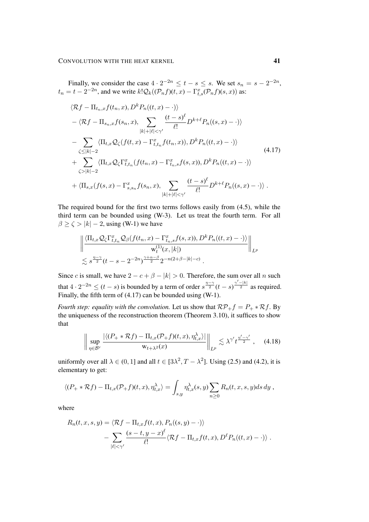Finally, we consider the case  $4 \cdot 2^{-2n} \le t - s \le s$ . We set  $s_n = s - 2^{-2n}$ ,  $t_n = t - 2^{-2n}$ , and we write  $k! \mathcal{Q}_k((\mathcal{P}_n f)(t, x) - \Gamma_{t,s}^x(\mathcal{P}_n f)(s, x))$  as:

<span id="page-40-0"></span>
$$
\langle \mathcal{R}f - \Pi_{t_n,x}f(t_n, x), D^k P_n((t, x) - \cdot) \rangle
$$
  
\n
$$
- \langle \mathcal{R}f - \Pi_{s_n,x}f(s_n, x), \sum_{|k|+|\ell| < \gamma'} \frac{(t-s)^{\ell}}{\ell!} D^{k+\ell} P_n((s, x) - \cdot) \rangle
$$
  
\n
$$
- \sum_{\zeta \le |k|-2} \langle \Pi_{t,x} \mathcal{Q}_{\zeta}(f(t, x) - \Gamma_{t,t_n}^x f(t_n, x)), D^k P_n((t, x) - \cdot) \rangle
$$
  
\n
$$
+ \sum_{\zeta > |k|-2} \langle \Pi_{t,x} \mathcal{Q}_{\zeta} \Gamma_{t,t_n}^x (f(t_n, x) - \Gamma_{t_n,s}^x f(s, x)), D^k P_n((t, x) - \cdot) \rangle
$$
  
\n
$$
+ \langle \Pi_{s,x}(f(s, x) - \Gamma_{s,s_n}^x f(s_n, x), \sum_{|k|+|\ell| < \gamma'} \frac{(t-s)^{\ell}}{\ell!} D^{k+\ell} P_n((s, x) - \cdot) \rangle.
$$

The required bound for the first two terms follows easily from [\(4.5\)](#page-33-2), while the third term can be bounded using [\(W-3\)](#page-32-0). Let us treat the fourth term. For all  $\beta \ge \zeta > |k| - 2$ , using [\(W-1\)](#page-25-1) we have

$$
\frac{\left\|\frac{\langle \Pi_{t,x}\mathcal{Q}_{\zeta}\Gamma^x_{t,t_n}\mathcal{Q}_{\beta}(f(t_n,x)-\Gamma^x_{t_n,s}f(s,x)),D^kP_n((t,x)-\cdot)\rangle}{w_t^{(1)}(x,|k|)}\right\|_{L^p}}{\lesssim s^{\frac{\eta-\gamma}{2}}(t-s-2^{-2n})^{\frac{\gamma+\alpha-\beta}{2}}2^{-n(2+\beta-|k|-c)}}.
$$

Since c is small, we have  $2 - c + \beta - |k| > 0$ . Therefore, the sum over all n such that  $4 \cdot 2^{-2n} \le (t-s)$  is bounded by a term of order  $s^{\frac{n-\gamma}{2}}(t-s)^{\frac{\gamma'-|k|}{2}}$  as required. Finally, the fifth term of [\(4.17\)](#page-40-0) can be bounded using [\(W-1\)](#page-25-1).

*Fourth step: equality with the convolution.* Let us show that  $\mathcal{RP}_+f = P_+ * \mathcal{R}f$ . By the uniqueness of the reconstruction theorem (Theorem [3.10\)](#page-30-0), it suffices to show that

$$
\left\| \sup_{\eta \in \mathcal{B}^r} \frac{|\langle (P_+ * \mathcal{R}f) - \Pi_{t,x}(\mathcal{P}_+ f)(t,x), \eta_{t,x}^\lambda \rangle|}{w_{t+\lambda^2}(x)} \right\|_{L^p} \lesssim \lambda^{\gamma'} t^{\frac{\eta' - \gamma'}{2}}, \quad (4.18)
$$

uniformly over all  $\lambda \in (0, 1]$  and all  $t \in [3\lambda^2, T - \lambda^2]$ . Using [\(2.5\)](#page-9-1) and [\(4.2\)](#page-32-1), it is elementary to get:

$$
\langle (P_+ * \mathcal{R}f) - \Pi_{t,x}(P_+ f)(t,x), \eta_{t,x}^{\lambda} \rangle = \int_{s,y} \eta_{t,x}^{\lambda}(s,y) \sum_{n \ge 0} R_n(t,x,s,y) ds dy,
$$

where

$$
R_n(t, x, s, y) = \langle \mathcal{R}f - \Pi_{t,x}f(t, x), P_n((s, y) - \cdot) \rangle
$$
  
- 
$$
\sum_{|\ell| < \gamma'} \frac{(s - t, y - x)^{\ell}}{\ell!} \langle \mathcal{R}f - \Pi_{t,x}f(t, x), D^{\ell}P_n((t, x) - \cdot) \rangle.
$$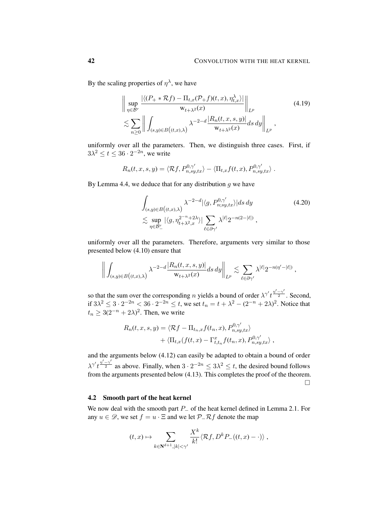By the scaling properties of  $\eta^{\lambda}$ , we have

$$
\left\| \sup_{\eta \in \mathcal{B}^r} \frac{|\langle (P_+ * \mathcal{R}f) - \Pi_{t,x}(P_+ f)(t,x), \eta_{t,x}^\lambda \rangle|}{w_{t+\lambda^2}(x)} \right\|_{L^p}
$$
\n
$$
\lesssim \sum_{n \ge 0} \left\| \int_{(s,y) \in B((t,x),\lambda)} \lambda^{-2-d} \frac{|R_n(t,x,s,y)|}{w_{t+\lambda^2}(x)} ds dy \right\|_{L^p},
$$
\n(4.19)

uniformly over all the parameters. Then, we distinguish three cases. First, if  $3\lambda^2 \le t \le 36 \cdot 2^{-2n}$ , we write

$$
R_n(t, x, s, y) = \langle \mathcal{R}f, P_{n, sy, tx}^{0, \gamma'} \rangle - \langle \Pi_{t, x}f(t, x), P_{n, sy, tx}^{0, \gamma'} \rangle.
$$

By Lemma [4.4,](#page-34-2) we deduce that for any distribution  $q$  we have

$$
\int_{(s,y)\in B((t,x),\lambda)} \lambda^{-2-d} |\langle g, P_{n;sy,tx}^{0,\gamma'} \rangle| ds dy
$$
\n
$$
\lesssim \sup_{\eta \in \mathcal{B}_-^r} |\langle g, \eta_{t+\lambda^2,x}^{2-n+2\lambda} \rangle| \sum_{\ell \in \partial \gamma'} \lambda^{|\ell|} 2^{-n(2-|\ell|)},
$$
\n(4.20)

uniformly over all the parameters. Therefore, arguments very similar to those presented below [\(4.10\)](#page-36-0) ensure that

$$
\bigg\|\int_{(s,y)\in B\big((t,x),\lambda\big)} \lambda^{-2-d} \frac{|R_n(t,x,s,y)|}{\mathrm{w}_{t+\lambda^2}(x)} ds\,dy\bigg\|_{L^p} \lesssim \sum_{\ell\in\partial\gamma'} \lambda^{|\ell|} 2^{-n(\eta'-|\ell|)}\;,
$$

so that the sum over the corresponding *n* yields a bound of order  $\lambda^{\gamma'} t^{\frac{\eta' - \gamma'}{2}}$ . Second, if  $3\lambda^2 \leq 3 \cdot 2^{-2n} < 36 \cdot 2^{-2n} \leq t$ , we set  $t_n = t + \lambda^2 - (2^{-n} + 2\lambda)^2$ . Notice that  $t_n \geq 3(2^{-n} + 2\lambda)^2$ . Then, we write

$$
R_n(t, x, s, y) = \langle \mathcal{R}f - \Pi_{t_n, x}f(t_n, x), P_{n, sy, tx}^{0, \gamma'} \rangle + \langle \Pi_{t, x}(f(t, x) - \Gamma_{t, t_n}^x f(t_n, x), P_{n, sy, tx}^{0, \gamma'} \rangle,
$$

and the arguments below [\(4.12\)](#page-37-1) can easily be adapted to obtain a bound of order  $\lambda^{\gamma'} t^{\frac{\eta' - \gamma'}{2}}$  as above. Finally, when  $3 \cdot 2^{-2n} \leq 3\lambda^2 \leq t$ , the desired bound follows from the arguments presented below [\(4.13\)](#page-37-0). This completes the proof of the theorem.  $\Box$ 

### 4.2 Smooth part of the heat kernel

We now deal with the smooth part  $P_$  of the heat kernel defined in Lemma [2.1.](#page-8-1) For any  $u \in \mathscr{D}$ , we set  $f = u \cdot \Xi$  and we let  $\mathcal{P}\_R f$  denote the map

$$
(t,x)\mapsto \sum_{k\in \mathbf{N}^{d+1}, |k|<\gamma'} \frac{X^k}{k!} \langle \mathcal{R}f, D^k P_-((t,x)-\cdot)\rangle,
$$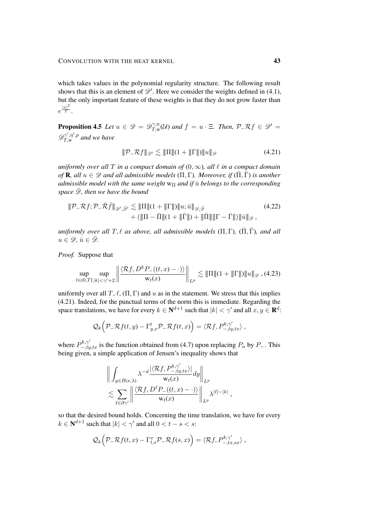which takes values in the polynomial regularity structure. The following result shows that this is an element of  $\mathscr{D}'$ . Here we consider the weights defined in [\(4.1\)](#page-32-2), but the only important feature of these weights is that they do not grow faster than  $e^{\frac{|x|^2}{T}}$ .

<span id="page-42-0"></span>**Proposition 4.5** Let  $u \in \mathscr{D} = \mathscr{D}_{T,w}^{\gamma,\eta}$  $T_{T,w}^{\gamma,\eta}(\mathcal{U})$  and  $f = u \cdot \Xi$ . Then,  $\mathcal{P}_{-}\mathcal{R}f \in \mathscr{D}' =$  $\mathscr{D}^{\gamma',\eta',p}_{T,\mathrm{w}}$  $T_{,\mathrm{w}}^{\gamma^{\gamma^{\prime}},\eta^{\prime},p}$  and we have

<span id="page-42-3"></span><span id="page-42-1"></span>
$$
\|\mathcal{P}_-\mathcal{R}f\|_{\mathscr{D}'} \lesssim \|\Pi\|(1+\|\Gamma\|)\|u\|_{\mathscr{D}}
$$
\n(4.21)

*uniformly over all*  $T$  *in a compact domain of*  $(0, \infty)$ *, all*  $\ell$  *in a compact domain of* **R**, all  $u \in \mathcal{D}$  *and all admissible models* ( $\Pi$ ,  $\Gamma$ )*. Moreover, if* ( $\overline{\Pi}$ ,  $\overline{\Gamma}$ ) *is another admissible model with the same weight*  $w_{\Pi}$  *and if*  $\bar{u}$  *belongs to the corresponding space*  $\mathscr{D}$ *, then we have the bound* 

$$
\|\mathcal{P}_-\mathcal{R}f; \mathcal{P}_-\bar{\mathcal{R}}\bar{f}\|_{\mathscr{D}',\bar{\mathscr{D}}'} \lesssim \|\Pi\|(1+\|\Gamma\|)\|u; \bar{u}\|_{\mathscr{D},\bar{\mathscr{D}}}+\left(\|\Pi-\bar{\Pi}\|(1+\|\bar{\Gamma}\|)+\|\bar{\Pi}\|\|\Gamma-\bar{\Gamma}\|\right)\|\bar{u}\|_{\mathscr{D}} ,
$$
(4.22)

*uniformly over all*  $T, \ell$  *as above, all admissible models*  $(\Pi, \Gamma)$ ,  $(\overline{\Pi}, \overline{\Gamma})$ *, and all*  $u \in \mathscr{D}, \, \bar{u} \in \bar{\mathscr{D}}.$ 

*Proof.* Suppose that

$$
\sup_{t\in(0,T]}\sup_{|k|<\gamma'+2}\left\|\frac{\langle\mathcal{R}f,D^kP_{-}((t,x)-\cdot)\rangle}{\mathsf{w}_t(x)}\right\|_{L^p}\lesssim\|\Pi\|(1+\|\Gamma\|)\|u\|_{\mathscr{D}}\,(4.23)
$$

uniformly over all T,  $\ell$ ,  $(\Pi, \Gamma)$  and u as in the statement. We stress that this implies [\(4.21\)](#page-42-1). Indeed, for the punctual terms of the norm this is immediate. Regarding the space translations, we have for every  $k \in \mathbf{N}^{d+1}$  such that  $|k| < \gamma'$  and all  $x, y \in \mathbf{R}^d$ :

<span id="page-42-2"></span>
$$
\mathcal{Q}_k\Big(\mathcal{P}_-\mathcal{R}f(t,y)-\Gamma_{y,x}^t\mathcal{P}_-\mathcal{R}f(t,x)\Big)=\langle\mathcal{R}f,P_{-,ty,tx}^{k,\gamma'}\rangle\;,
$$

where  $P_{-,ty,tx}^{k,\gamma'}$  is the function obtained from [\(4.7\)](#page-34-1) upon replacing  $P_n$  by  $P_-\$ . This being given, a simple application of Jensen's inequality shows that

$$
\left\| \int_{y \in B(x,\lambda)} \lambda^{-d} \frac{|\langle \mathcal{R}f, P_{-,ty,tx}^{k,\gamma'} \rangle|}{\mathsf{w}_t(x)} dy \right\|_{L^p} \lesssim \sum_{\ell \in \partial \gamma'} \left\| \frac{\langle \mathcal{R}f, D^{\ell}P_{-}((t,x) - \cdot) \rangle}{\mathsf{w}_t(x)} \right\|_{L^p} \lambda^{|\ell|-|k|},
$$

so that the desired bound holds. Concerning the time translation, we have for every  $k \in \mathbf{N}^{d+1}$  such that  $|k| < \gamma'$  and all  $0 < t - s < s$ :

$$
\mathcal{Q}_k\Big(\mathcal{P}_-\mathcal{R}f(t,x)-\Gamma^x_{t,s}\mathcal{P}_-\mathcal{R}f(s,x)\Big)=\langle \mathcal{R}f,P^{k,\gamma'}_{-,tx,sx}\rangle\;,
$$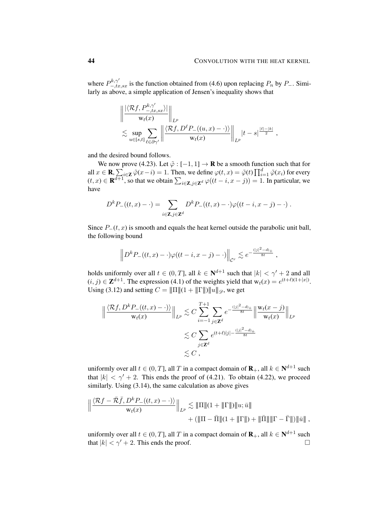where  $P_{-,tx,sx}^{k,\gamma'}$  is the function obtained from [\(4.6\)](#page-34-0) upon replacing  $P_n$  by  $P_-\$ . Similarly as above, a simple application of Jensen's inequality shows that

$$
\frac{\left\|\frac{\left\langle \mathcal{R}f, P_{-,tx,sx}^{k,\gamma'} \right\rangle}{w_t(x)}\right\|_{L^p}}{\left\|\sum_{u \in [s,t]} \sum_{\ell \in \partial \gamma'} \left\|\frac{\left\langle \mathcal{R}f, D^\ell P_{-}((u,x) - \cdot)\right\rangle}{w_t(x)}\right\|_{L^p} |t-s|^{\frac{|\ell|-|k|}{2}} \right\|_{L^p},
$$

and the desired bound follows.

We now prove [\(4.23\)](#page-42-2). Let  $\tilde{\varphi}$  : [-1, 1]  $\rightarrow \mathbf{R}$  be a smooth function such that for all  $x \in \mathbf{R}$ ,  $\sum_{i \in \mathbf{Z}} \tilde{\varphi}(x - i) = 1$ . Then, we define  $\varphi(t, x) = \tilde{\varphi}(t) \prod_{i=1}^{d} \tilde{\varphi}(x_i)$  for every  $(t, x) \in \mathbf{R}^{d+1}$ , so that we obtain  $\sum_{i \in \mathbf{Z}, j \in \mathbf{Z}^d} \varphi((t - i, x - j)) = 1$ . In particular, we have

$$
D^k P_{-}((t,x)-\cdot) = \sum_{i\in \mathbf{Z},j\in \mathbf{Z}^d} D^k P_{-}((t,x)-\cdot)\varphi((t-i,x-j)-\cdot) .
$$

Since  $P_-(t, x)$  is smooth and equals the heat kernel outside the parabolic unit ball, the following bound

$$
\left\| D^k P_{-}((t,x)-\cdot)\varphi((t-i,x-j)-\cdot)\right\|_{\mathcal{C}^r}\lesssim e^{-\frac{(|j|^2-d)_+}{8t}}\;,
$$

holds uniformly over all  $t \in (0, T]$ , all  $k \in \mathbb{N}^{d+1}$  such that  $|k| < \gamma' + 2$  and all  $(i, j) \in \mathbb{Z}^{d+1}$ . The expression [\(4.1\)](#page-32-2) of the weights yield that  $w_t(x) = e^{(t+\ell)(1+|x|)}$ . Using [\(3.12\)](#page-30-2) and setting  $C = ||\Pi|| (1 + ||\Pi||) ||u||_{\mathscr{D}}$ , we get

$$
\left\| \frac{\langle \mathcal{R}f, D^k P_{-}((t, x) - \cdot) \rangle}{\mathbf{w}_t(x)} \right\|_{L^p} \lesssim C \sum_{i=-1}^{T+1} \sum_{j \in \mathbb{Z}^d} e^{-\frac{(|j|^2 - d)_+}{8t}} \left\| \frac{\mathbf{w}_t(x - j)}{\mathbf{w}_t(x)} \right\|_{L^p}
$$
  

$$
\lesssim C \sum_{j \in \mathbb{Z}^d} e^{(t+\ell)|j| - \frac{(|j|^2 - d)_+}{8t}}
$$
  

$$
\lesssim C,
$$

uniformly over all  $t \in (0, T]$ , all  $T$  in a compact domain of  $\mathbf{R}_{+}$ , all  $k \in \mathbf{N}^{d+1}$  such that  $|k| < \gamma' + 2$ . This ends the proof of [\(4.21\)](#page-42-1). To obtain [\(4.22\)](#page-42-3), we proceed similarly. Using  $(3.14)$ , the same calculation as above gives

$$
\left\| \frac{\langle \mathcal{R}f - \bar{\mathcal{R}}\bar{f}, D^k P_{-}((t, x) - \cdot) \rangle}{w_t(x)} \right\|_{L^p} \lesssim \| \Pi \| (1 + \| \Gamma \|) \| u; \bar{u} \| + (\| \Pi - \bar{\Pi} \| (1 + \| \Gamma \|) + \| \bar{\Pi} \| \| \Gamma - \bar{\Gamma} \|) \| \bar{u} \|,
$$

uniformly over all  $t \in (0, T]$ , all  $T$  in a compact domain of  $\mathbf{R}_{+}$ , all  $k \in \mathbf{N}^{d+1}$  such that  $|k| < \gamma' + 2$ . This ends the proof.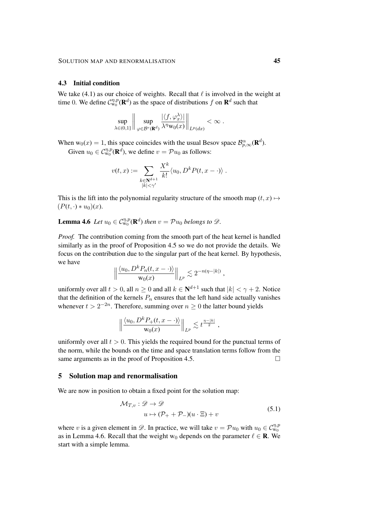#### <span id="page-44-1"></span>4.3 Initial condition

We take [\(4.1\)](#page-32-2) as our choice of weights. Recall that  $\ell$  is involved in the weight at time 0. We define  $C_{w_0}^{\eta,p}(\mathbf{R}^d)$  as the space of distributions f on  $\mathbf{R}^d$  such that

$$
\sup_{\lambda \in (0,1]} \left\| \sup_{\varphi \in \mathcal{B}^r(\mathbf{R}^d)} \frac{|\langle f, \varphi_x^{\lambda} \rangle|}{\lambda^{\eta} \mathbf{w}_0(x)} \right\|_{L^p(dx)} < \infty.
$$

When  $w_0(x) = 1$ , this space coincides with the usual Besov space  $\mathcal{B}_{p,\infty}^{\alpha}(\mathbf{R}^d)$ . Given  $u_0 \in C_{w_0}^{\eta,p}(\mathbf{R}^d)$ , we define  $v = \mathcal{P}u_0$  as follows:

<span id="page-44-2"></span>
$$
v(t,x) := \sum_{\substack{k \in \mathbb{N}^{d+1} \\ |k| < \gamma'}} \frac{X^k}{k!} \langle u_0, D^k P(t, x - \cdot) \rangle.
$$

This is the lift into the polynomial regularity structure of the smooth map  $(t, x) \mapsto$  $(P(t, \cdot) * u_0)(x)$ .

**Lemma 4.6** Let  $u_0 \in C_{w_0}^{\eta,p}(\mathbf{R}^d)$  then  $v = \mathcal{P}u_0$  belongs to  $\mathscr{D}$ .

*Proof.* The contribution coming from the smooth part of the heat kernel is handled similarly as in the proof of Proposition [4.5](#page-42-0) so we do not provide the details. We focus on the contribution due to the singular part of the heat kernel. By hypothesis, we have

$$
\left\|\frac{\langle u_0, D^k P_n(t, x-\cdot)\rangle}{w_0(x)}\right\|_{L^p} \lesssim 2^{-n(\eta-|k|)},
$$

uniformly over all  $t > 0$ , all  $n \ge 0$  and all  $k \in \mathbb{N}^{d+1}$  such that  $|k| < \gamma + 2$ . Notice that the definition of the kernels  $P_n$  ensures that the left hand side actually vanishes whenever  $t > 2^{-2n}$ . Therefore, summing over  $n \geq 0$  the latter bound yields

$$
\left\|\frac{\langle u_0, D^k P_+(t, x-\cdot)\rangle}{w_0(x)}\right\|_{L^p} \lesssim t^{\frac{\eta-|k|}{2}} ,
$$

uniformly over all  $t > 0$ . This yields the required bound for the punctual terms of the norm, while the bounds on the time and space translation terms follow from the same arguments as in the proof of Proposition [4.5.](#page-42-0)

### <span id="page-44-0"></span>5 Solution map and renormalisation

We are now in position to obtain a fixed point for the solution map:

<span id="page-44-4"></span><span id="page-44-3"></span>
$$
\mathcal{M}_{T,v}: \mathcal{D} \to \mathcal{D}
$$
  
\n
$$
u \mapsto (\mathcal{P}_+ + \mathcal{P}_-)(u \cdot \Xi) + v
$$
\n(5.1)

where v is a given element in  $\mathscr{D}$ . In practice, we will take  $v = \mathcal{P}u_0$  with  $u_0 \in \mathcal{C}_{w_0}^{\eta,p}$ as in Lemma [4.6.](#page-44-2) Recall that the weight w<sub>0</sub> depends on the parameter  $\ell \in \mathbb{R}$ . We start with a simple lemma.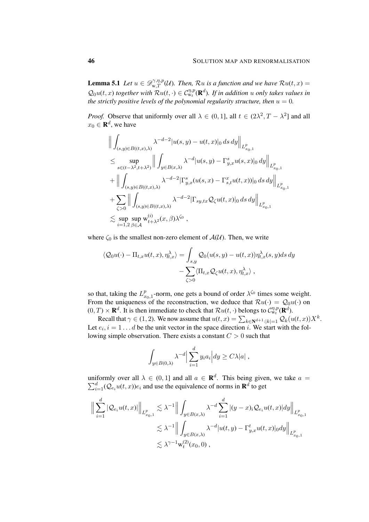**Lemma 5.1** *Let*  $u \in \mathscr{D}_{w,T}^{\gamma,\eta,p}(\mathcal{U})$ *. Then, Ru is a function and we have*  $Ru(t, x) =$  $Q_0u(t, x)$  together with  $Ru(t, \cdot) \in C_{w_t}^{\eta, p}(\mathbf{R}^d)$ . If in addition u only takes values in *the strictly positive levels of the polynomial regularity structure, then*  $u = 0$ *.* 

*Proof.* Observe that uniformly over all  $\lambda \in (0, 1]$ , all  $t \in (2\lambda^2, T - \lambda^2]$  and all  $x_0 \in \mathbf{R}^d$ , we have

$$
\label{eq:22} \begin{split} &\Big\|\int_{(s,y)\in B((t,x),\lambda)}\lambda^{-d-2}|u(s,y)-u(t,x)|_0\,ds\,dy\Big\|_{L^p_{x_0,1}}\\ &\leq \sup_{s\in (t-\lambda^2,t+\lambda^2)}\Big\|\int_{y\in B(x,\lambda)}\lambda^{-d}|u(s,y)-\Gamma^s_{y,x}u(s,x)|_0\,dy\Big\|_{L^p_{x_0,1}}\\ &+\Big\|\int_{(s,y)\in B((t,x),\lambda)}\lambda^{-d-2}|\Gamma^s_{y,x}(u(s,x)-\Gamma^x_{s,t}u(t,x))|_0\,ds\,dy\Big\|_{L^p_{x_0,1}}\\ &+\sum_{\zeta>0}\Big\|\int_{(s,y)\in B((t,x),\lambda)}\lambda^{-d-2}|\Gamma_{sy,tx}\mathcal{Q}_{\zeta}u(t,x)|_0\,ds\,dy\Big\|_{L^p_{x_0,1}}\\ &\lesssim \sup_{i=1,2}\sup_{\beta\in\mathcal{A}}\mathbf{w}^{(i)}_{t+\lambda^2}(x,\beta)\lambda^{\zeta_0}\;, \end{split}
$$

where  $\zeta_0$  is the smallest non-zero element of  $\mathcal{A}(\mathcal{U})$ . Then, we write

$$
\langle \mathcal{Q}_0 u(\cdot) - \Pi_{t,x} u(t,x), \eta_{t,x}^{\lambda} \rangle = \int_{s,y} \mathcal{Q}_0(u(s,y) - u(t,x)) \eta_{t,x}^{\lambda}(s,y) ds dy - \sum_{\zeta > 0} \langle \Pi_{t,x} \mathcal{Q}_{\zeta} u(t,x), \eta_{t,x}^{\lambda} \rangle,
$$

so that, taking the  $L_x^p$  $_{x_0,1}^p$ -norm, one gets a bound of order  $\lambda^{\zeta_0}$  times some weight. From the uniqueness of the reconstruction, we deduce that  $\mathcal{R}u(\cdot) = \mathcal{Q}_0u(\cdot)$  on  $(0, T) \times \mathbf{R}^d$ . It is then immediate to check that  $\mathcal{R}u(t, \cdot)$  belongs to  $\mathcal{C}_{w_t}^{\eta, p}(\mathbf{R}^d)$ .

Recall that  $\gamma \in (1, 2)$ . We now assume that  $u(t, x) = \sum_{k \in \mathbb{N}^{d+1}:|k|=1} \mathcal{Q}_k(u(t, x))X^k$ . Let  $e_i$ ,  $i = 1 \dots d$  be the unit vector in the space direction i. We start with the following simple observation. There exists a constant  $C > 0$  such that

$$
\int_{y \in B(0,\lambda)} \lambda^{-d} \left| \sum_{i=1}^d y_i a_i \right| dy \ge C \lambda |a|,
$$

uniformly over all  $\lambda \in (0,1]$  and all  $a \in \mathbf{R}^d$ . This being given, we take  $a =$  $\sum_{i=1}^{d} (Q_{e_i}u(t,x))e_i$  and use the equivalence of norms in  $\mathbf{R}^d$  to get

$$
\Big\| \sum_{i=1}^{d} |\mathcal{Q}_{e_i} u(t,x)| \Big\|_{L_{x_0,1}^p} \lesssim \lambda^{-1} \Big\| \int_{y \in B(x,\lambda)} \lambda^{-d} \sum_{i=1}^d |(y-x)_i \mathcal{Q}_{e_i} u(t,x)| dy \Big\|_{L_{x_0,1}^p}
$$
  

$$
\lesssim \lambda^{-1} \Big\| \int_{y \in B(x,\lambda)} \lambda^{-d} |u(t,y) - \Gamma_{y,x}^t u(t,x)|_0 dy \Big\|_{L_{x_0,1}^p}
$$
  

$$
\lesssim \lambda^{\gamma - 1} \mathbf{w}_t^{(2)}(x_0,0),
$$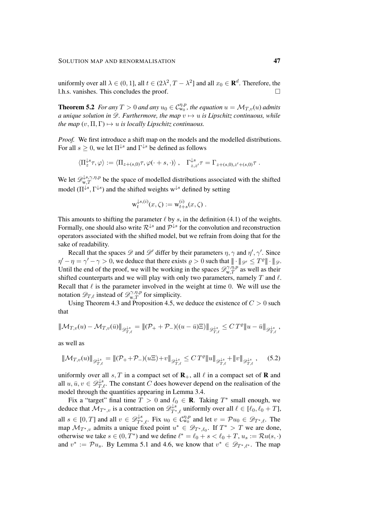uniformly over all  $\lambda \in (0,1]$ , all  $t \in (2\lambda^2, T - \lambda^2]$  and all  $x_0 \in \mathbf{R}^d$ . Therefore, the l.h.s. vanishes. This concludes the proof.

<span id="page-46-0"></span>**Theorem 5.2** For any  $T > 0$  and any  $u_0 \in C_{w_0}^{\eta,p}$ , the equation  $u = \mathcal{M}_{T,v}(u)$  admits *a unique solution in*  $\mathscr{D}$ *. Furthermore, the map*  $v \mapsto u$  *is Lipschitz continuous, while the map*  $(v, \Pi, \Gamma) \mapsto u$  *is locally Lipschitz continuous.* 

*Proof.* We first introduce a shift map on the models and the modelled distributions. For all  $s \geq 0$ , we let  $\Pi^{\downarrow s}$  and  $\Gamma^{\downarrow s}$  be defined as follows

$$
\langle \Pi_z^{\downarrow s} \tau, \varphi \rangle := \langle \Pi_{z + (s,0)} \tau, \varphi(\cdot + s, \cdot) \rangle \ , \quad \Gamma_{z,z'}^{\downarrow s} \tau = \Gamma_{z + (s,0), z' + (s,0)} \tau \ .
$$

We let  $\mathscr{D}_{w,T}^{\downarrow s,\gamma,\eta,p}$  be the space of modelled distributions associated with the shifted model ( $\Pi^{\downarrow s}, \Gamma^{\downarrow s}$ ) and the shifted weights w<sup> $\downarrow s$ </sup> defined by setting

$$
w_t^{\downarrow s,(i)}(x,\zeta) := w_{t+s}^{(i)}(x,\zeta) .
$$

This amounts to shifting the parameter  $\ell$  by s, in the definition [\(4.1\)](#page-32-2) of the weights. Formally, one should also write  $\mathcal{R}^{\downarrow s}$  and  $\mathcal{P}^{\downarrow s}$  for the convolution and reconstruction operators associated with the shifted model, but we refrain from doing that for the sake of readability.

Recall that the spaces  $\mathscr D$  and  $\mathscr D'$  differ by their parameters  $\eta, \gamma$  and  $\eta', \gamma'$ . Since  $\eta' - \eta = \gamma' - \gamma > 0$ , we deduce that there exists  $\rho > 0$  such that  $|| \cdot ||_{\mathscr{D}'} \leq T^{\varrho} || \cdot ||_{\mathscr{D}}$ . Until the end of the proof, we will be working in the spaces  $\mathscr{D}_{w,T}^{\gamma,\bar{\eta},p}$  as well as their shifted counterparts and we will play with only two parameters, namely  $T$  and  $\ell$ . Recall that  $\ell$  is the parameter involved in the weight at time 0. We will use the notation  $\mathscr{D}_{T,\ell}$  instead of  $\mathscr{D}_{w,T}^{\gamma,\eta,p}$  for simplicity.

Using Theorem [4.3](#page-33-0) and Proposition [4.5,](#page-42-0) we deduce the existence of  $C > 0$  such that

$$
\|\mathcal{M}_{T,v}(u) - \mathcal{M}_{T,v}(\bar{u})\|_{\mathscr{D}^{+s}_{T,\ell}} = \|(\mathcal{P}_+ + \mathcal{P}_-)((u - \bar{u})\Xi)\|_{\mathscr{D}^{+s}_{T,\ell}} \leq C\,T^{\varrho}\|u - \bar{u}\|_{\mathscr{D}^{+s}_{T,\ell}},
$$

as well as

$$
\|\mathcal{M}_{T,v}(u)\|_{\mathscr{D}_{T,\ell}^{\downarrow s}} = \|(\mathcal{P}_+ + \mathcal{P}_-)(u\Xi) + v\|_{\mathscr{D}_{T,\ell}^{\downarrow s}} \le C T^{\varrho} \|u\|_{\mathscr{D}_{T,\ell}^{\downarrow s}} + \|v\|_{\mathscr{D}_{T,\ell}^{\downarrow s}},\tag{5.2}
$$

uniformly over all  $s, T$  in a compact set of  $\mathbf{R}_+$ , all  $\ell$  in a compact set of  $\mathbf R$  and all  $u, \bar{u}, v \in \mathscr{D}_{T,\ell}^{\downarrow s}$ . The constant  $\hat{C}$  does however depend on the realisation of the model through the quantities appearing in Lemma [3.4.](#page-24-0)

Fix a "target" final time  $T > 0$  and  $\ell_0 \in \mathbf{R}$ . Taking  $T^*$  small enough, we deduce that  $\mathcal{M}_{T^*,v}$  is a contraction on  $\mathscr{D}^{\downarrow s}_{T^*,\ell}$  uniformly over all  $\ell \in [\ell_0, \ell_0 + T]$ , all  $s \in [0, T]$  and all  $v \in \mathscr{D}^{\downarrow s}_{T^*, \ell}$ . Fix  $u_0 \in \mathcal{C}_{w_0}^{\eta, p}$  and let  $v = \mathcal{P}u_0 \in \mathscr{D}_{T^*, \ell}$ . The map  $\mathcal{M}_{T^*,v}$  admits a unique fixed point  $u^* \in \mathscr{D}_{T^*,\ell_0}$ . If  $T^* > T$  we are done, otherwise we take  $s \in (0, T^*)$  and we define  $\ell^* = \ell_0 + s < \ell_0 + T$ ,  $u_s := \mathcal{R}u(s, \cdot)$ and  $v^* := \mathcal{P} u_s$ . By Lemma [5.1](#page-44-3) and [4.6,](#page-44-2) we know that  $v^* \in \mathscr{D}_{T^*,\ell^*}$ . The map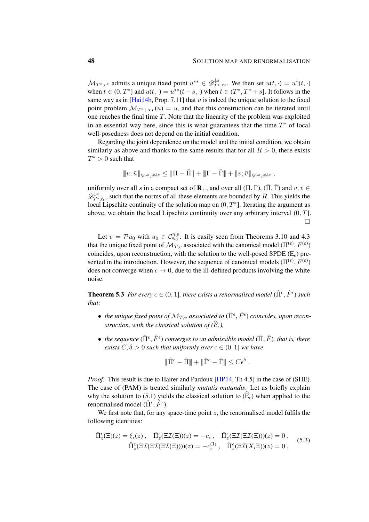$\mathcal{M}_{T^*,v^*}$  admits a unique fixed point  $u^{**} \in \mathscr{D}^{\downarrow s}_{T^*,\ell^*}$ . We then set  $u(t,\cdot) = u^*(t,\cdot)$ when  $t \in (0, T^*]$  and  $u(t, \cdot) = u^{**}(t - s, \cdot)$  when  $t \in (T^*, T^* + s]$ . It follows in the same way as in  $[Hai14b, Prop. 7.11]$  $[Hai14b, Prop. 7.11]$  that u is indeed the unique solution to the fixed point problem  $\mathcal{M}_{T^*+s,v}(u) = u$ , and that this construction can be iterated until one reaches the final time  $T$ . Note that the linearity of the problem was exploited in an essential way here, since this is what guarantees that the time  $T^*$  of local well-posedness does not depend on the initial condition.

Regarding the joint dependence on the model and the initial condition, we obtain similarly as above and thanks to the same results that for all  $R > 0$ , there exists  $T^* > 0$  such that

$$
|\!|\!| u;\bar{u}|\!|\!|_{\mathscr{D}^{\downarrow s},\bar{\mathscr{D}}^{\downarrow s}}\le |\!|\!| \Pi-\bar{\Pi}|\!|\!| +|\!|\!| \Gamma-\bar{\Gamma}|\!|\!| +|\!|\!| v;\bar{v}|\!|\!|_{\mathscr{D}^{\downarrow s},\bar{\mathscr{D}}^{\downarrow s}}\,,
$$

uniformly over all s in a compact set of  $\mathbf{R}_+$ , and over all  $(\Pi, \Gamma)$ ,  $(\overline{\Pi}, \overline{\Gamma})$  and  $v, \overline{v} \in \mathbb{R}$  $\mathscr{D}^{\downarrow s}_{T^*}$  $T^*_{T^*,\ell_0}$ , such that the norms of all these elements are bounded by R. This yields the local Lipschitz continuity of the solution map on  $(0, T^*]$ . Iterating the argument as above, we obtain the local Lipschitz continuity over any arbitrary interval  $(0, T]$ .  $\Box$ 

Let  $v = \mathcal{P}u_0$  with  $u_0 \in \mathcal{C}_{w_0}^{\eta, p}$ . It is easily seen from Theorems [3.10](#page-30-0) and [4.3](#page-33-0) that the unique fixed point of  $\mathcal{M}_{T,v}$  associated with the canonical model  $(\Pi^{(\varepsilon)}, F^{(\varepsilon)})$ coincides, upon reconstruction, with the solution to the well-posed SPDE ( $E<sub>e</sub>$ ) presented in the introduction. However, the sequence of canonical models  $(\Pi^{(\varepsilon)}, F^{(\varepsilon)})$ does not converge when  $\epsilon \to 0$ , due to the ill-defined products involving the white noise.

**Theorem 5.3** For every  $\epsilon \in (0, 1]$ , there exists a renormalised model  $(\hat{\Pi}^{\epsilon}, \hat{F}^{\epsilon})$  such *that:*

- *the unique fixed point of*  $\mathcal{M}_{T,v}$  *associated to*  $(\hat{\Pi}^{\epsilon}, \hat{F}^{\epsilon})$  *coincides, upon reconstruction, with the classical solution of*  $(\widehat{E}_{\epsilon})$ ,
- *the sequence*  $(\hat{\Pi}^{\epsilon}, \hat{F}^{\epsilon})$  converges to an admissible model  $(\hat{\Pi}, \hat{F})$ , that is, there *exists*  $C, \delta > 0$  *such that uniformly over*  $\epsilon \in (0, 1]$  *we have*

<span id="page-47-0"></span>
$$
\|\hat{\Pi}^{\epsilon} - \hat{\Pi}\| + \|\hat{\Gamma}^{\epsilon} - \hat{\Gamma}\| \leq C\epsilon^{\delta} .
$$

*Proof.* This result is due to Hairer and Pardoux [\[HP14,](#page-49-3) Th 4.5] in the case of (SHE). The case of (PAM) is treated similarly *mutatis mutandis*. Let us briefly explain why the solution to [\(5.1\)](#page-44-4) yields the classical solution to  $(\widehat{E}_{\epsilon})$  when applied to the renormalised model  $(\hat{\Pi}^{\epsilon}, \hat{F}^{\epsilon})$ .

We first note that, for any space-time point  $z$ , the renormalised model fulfils the following identities:

$$
\hat{\Pi}_{z}^{\epsilon}(\Xi)(z) = \xi_{\epsilon}(z), \quad \hat{\Pi}_{z}^{\epsilon}(\Xi\mathcal{I}(\Xi))(z) = -c_{\epsilon}, \quad \hat{\Pi}_{z}^{\epsilon}(\Xi\mathcal{I}(\Xi\mathcal{I}(\Xi)))(z) = 0, \n\hat{\Pi}_{z}^{\epsilon}(\Xi\mathcal{I}(\Xi\mathcal{I}(\Xi\mathcal{I}(\Xi))))(z) = -c_{\epsilon}^{(1)}, \quad \hat{\Pi}_{z}^{\epsilon}(\Xi\mathcal{I}(X_{i}\Xi))(z) = 0,
$$
\n(5.3)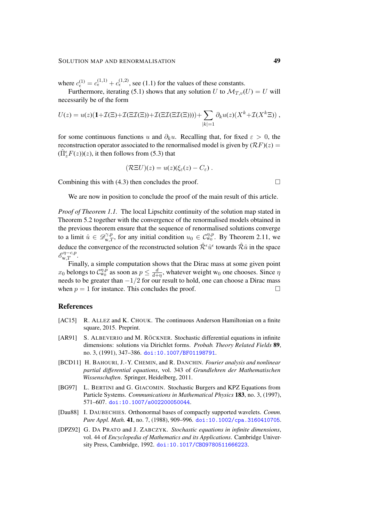where  $c_{\epsilon}^{(1)} = c_{\epsilon}^{(1,1)} + c_{\epsilon}^{(1,2)}$ , see [\(1.1\)](#page-5-0) for the values of these constants.

Furthermore, iterating [\(5.1\)](#page-44-4) shows that any solution U to  $\mathcal{M}_{T,v}(U) = U$  will necessarily be of the form

$$
U(z) = u(z)(1+\mathcal{I}(\Xi)+\mathcal{I}(\Xi\mathcal{I}(\Xi))+\mathcal{I}(\Xi\mathcal{I}(\Xi\mathcal{I}(\Xi))))+\sum_{|k|=1} \partial_k u(z)(X^k+\mathcal{I}(X^k\Xi)),
$$

for some continuous functions u and  $\partial_k u$ . Recalling that, for fixed  $\varepsilon > 0$ , the reconstruction operator associated to the renormalised model is given by  $(RF)(z)$  =  $(\hat{\Pi}_{z}^{\epsilon}F(z))(z)$ , it then follows from [\(5.3\)](#page-47-0) that

$$
(\mathcal{R} \Xi U)(z) = u(z)(\xi_{\varepsilon}(z) - C_{\varepsilon}).
$$

Combining this with [\(4.3\)](#page-33-3) then concludes the proof.  $\Box$ 

We are now in position to conclude the proof of the main result of this article.

*Proof of Theorem [1.1.](#page-4-0)* The local Lipschitz continuity of the solution map stated in Theorem [5.2](#page-46-0) together with the convergence of the renormalised models obtained in the previous theorem ensure that the sequence of renormalised solutions converge to a limit  $\hat{u} \in \mathcal{D}_{w,T}^{\gamma,p}$ , for any initial condition  $u_0 \in \mathcal{C}_{w_0}^{\eta,p}$ . By Theorem [2.11,](#page-14-0) we deduce the convergence of the reconstructed solution  $\hat{\mathcal{R}}^{\epsilon}\hat{u}^{\epsilon}$  towards  $\hat{\mathcal{R}}\hat{u}$  in the space  $\mathscr{E}_{\mathbf{w},T}^{\eta-c,p}$ .

Finally, a simple computation shows that the Dirac mass at some given point  $x_0$  belongs to  $\mathcal{C}_{w_0}^{\eta,\tilde{p}}$  as soon as  $p \leq \frac{d}{d+1}$  $\frac{d}{d+\eta}$ , whatever weight w<sub>0</sub> one chooses. Since  $\eta$ needs to be greater than  $-1/2$  for our result to hold, one can choose a Dirac mass when  $p = 1$  for instance. This concludes the proof.

### **References**

- <span id="page-48-4"></span>[AC15] R. ALLEZ and K. CHOUK. The continuous Anderson Hamiltonian on a finite square, 2015. Preprint.
- <span id="page-48-2"></span>[AR91] S. ALBEVERIO and M. RÖCKNER. Stochastic differential equations in infinite dimensions: solutions via Dirichlet forms. *Probab. Theory Related Fields* 89, no. 3, (1991), 347–386. [doi:10.1007/BF01198791](http://dx.doi.org/10.1007/BF01198791).
- <span id="page-48-0"></span>[BCD11] H. BAHOURI, J.-Y. CHEMIN, and R. DANCHIN. *Fourier analysis and nonlinear partial differential equations*, vol. 343 of *Grundlehren der Mathematischen Wissenschaften*. Springer, Heidelberg, 2011.
- <span id="page-48-1"></span>[BG97] L. BERTINI and G. GIACOMIN. Stochastic Burgers and KPZ Equations from Particle Systems. *Communications in Mathematical Physics* 183, no. 3, (1997), 571–607. [doi:10.1007/s002200050044](http://dx.doi.org/10.1007/s002200050044).
- <span id="page-48-5"></span>[Dau88] I. DAUBECHIES. Orthonormal bases of compactly supported wavelets. *Comm. Pure Appl. Math.* 41, no. 7, (1988), 909–996. [doi:10.1002/cpa.3160410705](http://dx.doi.org/10.1002/cpa.3160410705).
- <span id="page-48-3"></span>[DPZ92] G. DA PRATO and J. ZABCZYK. *Stochastic equations in infinite dimensions*, vol. 44 of *Encyclopedia of Mathematics and its Applications*. Cambridge University Press, Cambridge, 1992. doi:10.1017/CB09780511666223.